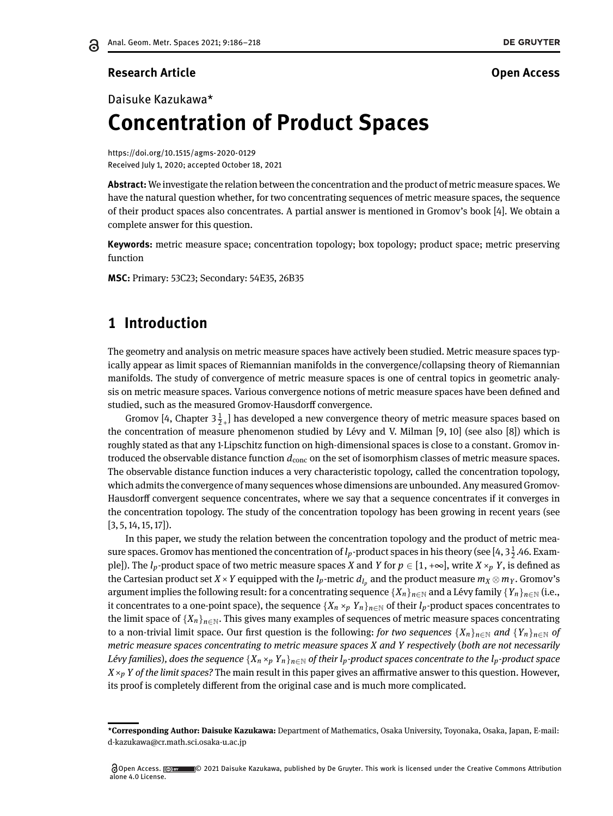### **Research Article Open Access**

# Daisuke Kazukawa\* **Concentration of Product Spaces**

<https://doi.org/10.1515/agms-2020-0129> Received July 1, 2020; accepted October 18, 2021

**Abstract:** We investigate the relation between the concentration and the product of metric measure spaces. We have the natural question whether, for two concentrating sequences of metric measure spaces, the sequence of their product spaces also concentrates. A partial answer is mentioned in Gromov's book [\[4\]](#page-32-1). We obtain a complete answer for this question.

**Keywords:** metric measure space; concentration topology; box topology; product space; metric preserving function

**MSC:** Primary: 53C23; Secondary: 54E35, 26B35

# **1 Introduction**

The geometry and analysis on metric measure spaces have actively been studied. Metric measure spaces typically appear as limit spaces of Riemannian manifolds in the convergence/collapsing theory of Riemannian manifolds. The study of convergence of metric measure spaces is one of central topics in geometric analysis on metric measure spaces. Various convergence notions of metric measure spaces have been defined and studied, such as the measured Gromov-Hausdorff convergence.

Gromov [\[4,](#page-32-1) Chapter  $3\frac{1}{2}$ , ] has developed a new convergence theory of metric measure spaces based on the concentration of measure phenomenon studied by Lévy and V. Milman [\[9,](#page-32-2) [10\]](#page-32-3) (see also [\[8\]](#page-32-4)) which is roughly stated as that any 1-Lipschitz function on high-dimensional spaces is close to a constant. Gromov introduced the observable distance function *d*conc on the set of isomorphism classes of metric measure spaces. The observable distance function induces a very characteristic topology, called the concentration topology, which admits the convergence of many sequences whose dimensions are unbounded. Any measured Gromov-Hausdorff convergent sequence concentrates, where we say that a sequence concentrates if it converges in the concentration topology. The study of the concentration topology has been growing in recent years (see  $[3, 5, 14, 15, 17]$  $[3, 5, 14, 15, 17]$  $[3, 5, 14, 15, 17]$  $[3, 5, 14, 15, 17]$  $[3, 5, 14, 15, 17]$ .

In this paper, we study the relation between the concentration topology and the product of metric measure spaces. Gromov has mentioned the concentration of  $l_p$ -product spaces in his theory (see [\[4,](#page-32-1) 3 $\frac{1}{2}$ .46. Example]). The  $l_p$ -product space of two metric measure spaces *X* and *Y* for  $p \in [1, +\infty]$ , write *X* ×*p Y*, is defined as the Cartesian product set  $X\times Y$  equipped with the  $l_p$ -metric  $d_{l_p}$  and the product measure  $m_X\otimes m_Y.$  Gromov's argument implies the following result: for a concentrating sequence  $\{X_n\}_{n\in\mathbb{N}}$  and a Lévy family  $\{Y_n\}_{n\in\mathbb{N}}$  (i.e., it concentrates to a one-point space), the sequence  $\{X_n \times_p Y_n\}_{n \in \mathbb{N}}$  of their  $l_p$ -product spaces concentrates to the limit space of  ${X_n}_{n \in \mathbb{N}}$ . This gives many examples of sequences of metric measure spaces concentrating to a non-trivial limit space. Our first question is the following: *for two sequences*  $\{X_n\}_{n\in\mathbb{N}}$  and  $\{Y_n\}_{n\in\mathbb{N}}$  of *metric measure spaces concentrating to metric measure spaces X and Y respectively* (*both are not necessarily Lévy families*), does the sequence  $\{X_n \times_p Y_n\}_{n \in \mathbb{N}}$  of their  $l_p$ -product spaces concentrate to the  $l_p$ -product space  $X \times_p Y$  *of the limit spaces?* The main result in this paper gives an affirmative answer to this question. However, its proof is completely different from the original case and is much more complicated.

**<sup>\*</sup>Corresponding Author: Daisuke Kazukawa:** Department of Mathematics, Osaka University, Toyonaka, Osaka, Japan, E-mail: d-kazukawa@cr.math.sci.osaka-u.ac.jp

Open Access. @ w \ \ 0 2021 Daisuke Kazukawa, published by De Gruyter. This work is licensed under the Creative Commons Attribution alone 4.0 License.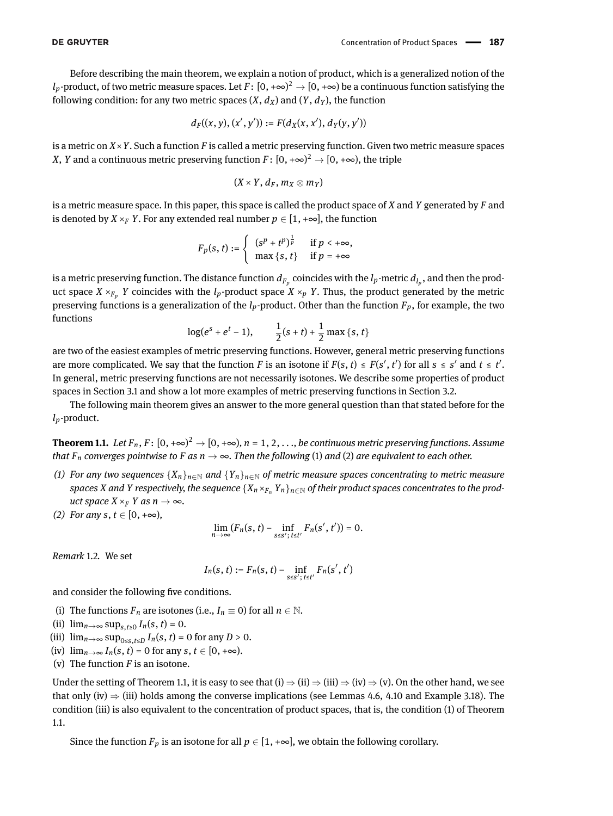Before describing the main theorem, we explain a notion of product, which is a generalized notion of the  $l_p$ -product, of two metric measure spaces. Let  $F\colon [0,+\infty)^2\to [0,+\infty)$  be a continuous function satisfying the following condition: for any two metric spaces  $(X, d_X)$  and  $(Y, d_Y)$ , the function

$$
d_F((x,y),(x',y')):=F(d_X(x,x'),d_Y(y,y'))
$$

is a metric on *X*×*Y*. Such a function *F* is called a metric preserving function. Given two metric measure spaces *X*, *Y* and a continuous metric preserving function  $F\colon [0,+\infty)^2 \to [0,+\infty)$ , the triple

$$
(X\times Y, d_F, m_X\otimes m_Y)
$$

is a metric measure space. In this paper, this space is called the product space of *X* and *Y* generated by *F* and is denoted by *X* ×*F Y*. For any extended real number  $p \in [1, +\infty]$ , the function

$$
F_p(s, t) := \begin{cases} (s^p + t^p)^{\frac{1}{p}} & \text{if } p < +\infty, \\ \max\{s, t\} & \text{if } p = +\infty \end{cases}
$$

is a metric preserving function. The distance function  $d_{F_p}$  coincides with the  $l_p$ -metric  $d_{l_p}$ , and then the product space  $X \times_{F_n} Y$  coincides with the *l<sub>p</sub>*-product space  $X \times_p Y$ . Thus, the product generated by the metric preserving functions is a generalization of the *lp*-product. Other than the function *Fp*, for example, the two functions

$$
log(e^{s} + e^{t} - 1),
$$
  $\frac{1}{2}(s + t) + \frac{1}{2}max\{s, t\}$ 

are two of the easiest examples of metric preserving functions. However, general metric preserving functions are more complicated. We say that the function *F* is an isotone if  $F(s, t) \leq F(s', t')$  for all  $s \leq s'$  and  $t \leq t'$ . In general, metric preserving functions are not necessarily isotones. We describe some properties of product spaces in Section 3.1 and show a lot more examples of metric preserving functions in Section 3.2.

The following main theorem gives an answer to the more general question than that stated before for the *lp*-product.

<span id="page-1-0"></span>**Theorem 1.1.** Let  $F_n$  ,  $F: [0,+\infty)^2 \to [0,+\infty)$ ,  $n=1,2,\ldots$  , be continuous metric preserving functions. Assume *that*  $F_n$  *converges pointwise to*  $F$  *as*  $n \to \infty$ *. Then the following* (1) *and* (2) *are equivalent to each other.* 

- <span id="page-1-3"></span>*(1) For any two sequences*  $\{X_n\}_{n\in\mathbb{N}}$  *and*  $\{Y_n\}_{n\in\mathbb{N}}$  *of metric measure spaces concentrating to metric measure spaces X* and *Y* respectively, the sequence  $\{X_n \times_{F_n} Y_n\}_{n \in \mathbb{N}}$  of their product spaces concentrates to the prod*uct space*  $X \times_F Y$  *as*  $n \to \infty$ *.*
- <span id="page-1-2"></span>*(2) For any s*, *t* ∈ [0, +∞),

$$
\lim_{n\to\infty}(F_n(s,t)-\inf_{s\leq s';\,t\leq t'}F_n(s',t'))=0.
$$

<span id="page-1-1"></span>*Remark* 1.2*.* We set

$$
I_n(s,t) := F_n(s,t) - \inf_{s \le s';\, t \le t'} F_n(s',t')
$$

and consider the following five conditions.

- (i) The functions  $F_n$  are isotones (i.e.,  $I_n \equiv 0$ ) for all  $n \in \mathbb{N}$ .
- (ii)  $\lim_{n \to \infty} \sup_{s,t \geq 0} I_n(s,t) = 0.$
- (iii)  $\lim_{n\to\infty} \sup_{0\le s,t\le D} I_n(s,t) = 0$  for any  $D > 0$ .
- (iv)  $\lim_{n\to\infty} I_n(s,t) = 0$  for any  $s, t \in [0, +\infty)$ .
- (v) The function *F* is an isotone.

Under the setting of Theorem [1.1,](#page-1-0) it is easy to see that (i)  $\Rightarrow$  (ii)  $\Rightarrow$  (iii)  $\Rightarrow$  (iv)  $\Rightarrow$  (v). On the other hand, we see that only (iv)  $\Rightarrow$  (iii) holds among the converse implications (see Lemmas [4.6,](#page-15-0) [4.10](#page-17-0) and Example [3.18\)](#page-10-0). The condition (iii) is also equivalent to the concentration of product spaces, that is, the condition (1) of Theorem [1.1.](#page-1-0)

Since the function  $F_p$  is an isotone for all  $p \in [1, +\infty]$ , we obtain the following corollary.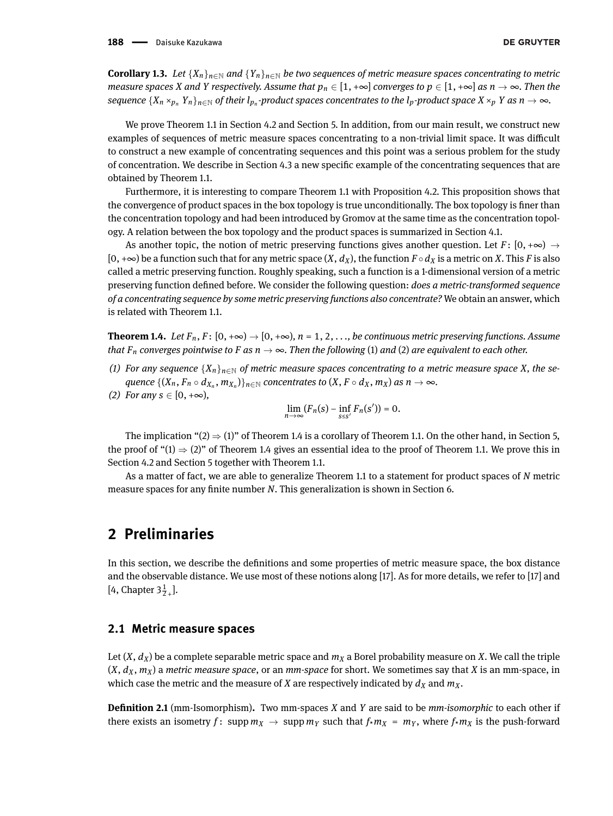<span id="page-2-3"></span>**Corollary 1.3.** *Let*  $\{X_n\}_{n\in\mathbb{N}}$  *and*  $\{Y_n\}_{n\in\mathbb{N}}$  *be two sequences of metric measure spaces concentrating to metric measure spaces X* and *Y respectively.* Assume that  $p_n \in [1, +\infty]$  *converges to*  $p \in [1, +\infty]$  *as*  $n \to \infty$ *. Then the* sequence  $\{X_n\times_{p_n}Y_n\}_{n\in\mathbb{N}}$  of their  $l_{p_n}$ -product spaces concentrates to the  $l_p$ -product space  $X\times_pY$  as  $n\to\infty$ .

We prove Theorem [1.1](#page-1-0) in Section 4.2 and Section 5. In addition, from our main result, we construct new examples of sequences of metric measure spaces concentrating to a non-trivial limit space. It was difficult to construct a new example of concentrating sequences and this point was a serious problem for the study of concentration. We describe in Section 4.3 a new specific example of the concentrating sequences that are obtained by Theorem [1.1.](#page-1-0)

Furthermore, it is interesting to compare Theorem [1.1](#page-1-0) with Proposition [4.2.](#page-14-0) This proposition shows that the convergence of product spaces in the box topology is true unconditionally. The box topology is finer than the concentration topology and had been introduced by Gromov at the same time as the concentration topology. A relation between the box topology and the product spaces is summarized in Section 4.1.

As another topic, the notion of metric preserving functions gives another question. Let  $F: [0, +\infty) \rightarrow$  $[0, +\infty)$  be a function such that for any metric space  $(X, d_X)$ , the function  $F \circ d_X$  is a metric on *X*. This *F* is also called a metric preserving function. Roughly speaking, such a function is a 1-dimensional version of a metric preserving function dened before. We consider the following question: *does a metric-transformed sequence of a concentrating sequence by some metric preserving functions also concentrate?* We obtain an answer, which is related with Theorem [1.1.](#page-1-0)

<span id="page-2-2"></span>**Theorem 1.4.** *Let*  $F_n$ ,  $F: [0, +\infty) \to [0, +\infty)$ ,  $n = 1, 2, \ldots$ , be continuous metric preserving functions. Assume *that*  $F_n$  *converges pointwise to*  $F$  *as*  $n \to \infty$ *. Then the following* (1) *and* (2) *are equivalent to each other.* 

- <span id="page-2-1"></span>(1) For any sequence  $\{X_n\}_{n\in\mathbb{N}}$  of metric measure spaces concentrating to a metric measure space X, the sequence  $\{(X_n,F_n\circ d_{X_n},m_{X_n})\}_{n\in\mathbb{N}}$  concentrates to  $(X,F\circ d_X,m_X)$  as  $n\to\infty$ .
- <span id="page-2-0"></span>*(2) For any s* ∈ [0, +∞),

$$
\lim_{n\to\infty}(F_n(s)-\inf_{s\leq s'}F_n(s'))=0.
$$

The implication "[\(2\)](#page-2-0)  $\Rightarrow$  [\(1\)](#page-2-1)" of Theorem [1.4](#page-2-2) is a corollary of Theorem [1.1.](#page-1-0) On the other hand, in Section 5, the proof of " $(1) \Rightarrow (2)$  $(1) \Rightarrow (2)$  $(1) \Rightarrow (2)$ " of Theorem [1.4](#page-2-2) gives an essential idea to the proof of Theorem [1.1.](#page-1-0) We prove this in Section 4.2 and Section 5 together with Theorem [1.1.](#page-1-0)

As a matter of fact, we are able to generalize Theorem [1.1](#page-1-0) to a statement for product spaces of *N* metric measure spaces for any finite number *N*. This generalization is shown in Section 6.

# **2 Preliminaries**

In this section, we describe the denitions and some properties of metric measure space, the box distance and the observable distance. We use most of these notions along [\[17\]](#page-32-9). As for more details, we refer to [\[17\]](#page-32-9) and [\[4,](#page-32-1) Chapter  $3\frac{1}{2}$ <sub>+</sub>].

### **2.1 Metric measure spaces**

Let  $(X, d_X)$  be a complete separable metric space and  $m_X$  a Borel probability measure on *X*. We call the triple  $(X, d_X, m_X)$  a *metric measure space*, or an *mm-space* for short. We sometimes say that *X* is an mm-space, in which case the metric and the measure of *X* are respectively indicated by  $d_X$  and  $m_X$ .

**Definition 2.1** (mm-Isomorphism). Two mm-spaces *X* and *Y* are said to be *mm-isomorphic* to each other if there exists an isometry  $f: \text{supp } m_X \to \text{supp } m_Y \text{ such that } f \star m_X = m_Y$ , where  $f \star m_X$  is the push-forward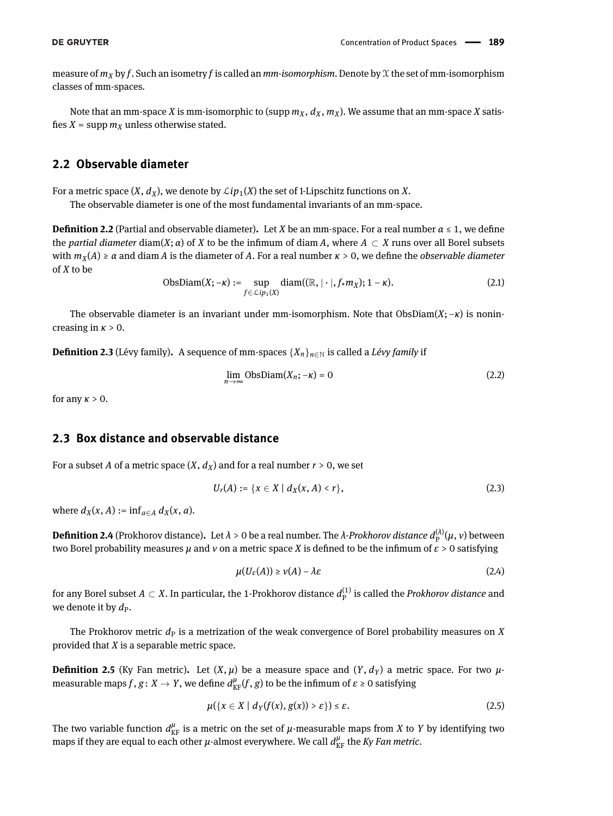measure of  $m_X$  by f. Such an isometry f is called an  $mm$ -isomorphism. Denote by X the set of mm-isomorphism classes of mm-spaces.

Note that an mm-space *X* is mm-isomorphic to (supp  $m_X$ ,  $d_X$ ,  $m_X$ ). We assume that an mm-space *X* satisfies  $X = \text{supp } m_X$  unless otherwise stated.

### **2.2 Observable diameter**

For a metric space  $(X, d_X)$ , we denote by  $\mathcal{L}ip_1(X)$  the set of 1-Lipschitz functions on X.

The observable diameter is one of the most fundamental invariants of an mm-space.

**Definition 2.2** (Partial and observable diameter). Let *X* be an mm-space. For a real number  $\alpha \leq 1$ , we define the *partial diameter* diam(*X*; *α*) of *X* to be the infimum of diam *A*, where  $A \subset X$  runs over all Borel subsets with  $m_X(A) \ge \alpha$  and diam *A* is the diameter of *A*. For a real number  $\kappa > 0$ , we define the *observable diameter* of *X* to be

$$
\text{ObsDiam}(X; -\kappa) := \sup_{f \in \mathcal{L}ip_1(X)} \text{diam}((\mathbb{R}, |\cdot|, f \star m_X); 1 - \kappa). \tag{2.1}
$$

The observable diameter is an invariant under mm-isomorphism. Note that ObsDiam(*X*; −*κ*) is nonincreasing in *κ* > 0.

**Definition 2.3** (Lévy family). A sequence of mm-spaces  $\{X_n\}_{n\in\mathbb{N}}$  is called a *Lévy family* if

$$
\lim_{n \to \infty} \text{ObsDiam}(X_n; -\kappa) = 0 \tag{2.2}
$$

for any  $\kappa > 0$ .

### **2.3 Box distance and observable distance**

For a subset *A* of a metric space  $(X, d_X)$  and for a real number  $r > 0$ , we set

$$
U_r(A) := \{ x \in X \mid d_X(x, A) < r \},\tag{2.3}
$$

where  $d_X(x, A) := \inf_{a \in A} d_X(x, a)$ .

**Definition 2.4** (Prokhorov distance). Let  $λ > 0$  be a real number. The  $λ$ -Prokhorov distance  $d_{\rm P}^{(\lambda)}(\mu,\nu)$  between two Borel probability measures  $\mu$  and  $\nu$  on a metric space *X* is defined to be the infimum of  $\varepsilon > 0$  satisfying

$$
\mu(U_{\varepsilon}(A)) \ge \nu(A) - \lambda \varepsilon \tag{2.4}
$$

for any Borel subset  $A \subset X$ . In particular, the 1-Prokhorov distance  $d_{\rm P}^{(1)}$  is called the *Prokhorov distance* and we denote it by  $d_{\rm P}$ .

The Prokhorov metric  $d<sub>P</sub>$  is a metrization of the weak convergence of Borel probability measures on *X* provided that *X* is a separable metric space.

**Definition 2.5** (Ky Fan metric). Let  $(X, \mu)$  be a measure space and  $(Y, d_Y)$  a metric space. For two  $\mu$ measurable maps  $f$  ,  $g\colon X\to Y$  , we define  $d_{\rm KF}^\mu(f,g)$  to be the infimum of  $\varepsilon\geq 0$  satisfying

$$
\mu({x \in X \mid d_Y(f(x), g(x)) > \varepsilon}) \leq \varepsilon. \tag{2.5}
$$

The two variable function  $d_{\text{KF}}^{\mu}$  is a metric on the set of  $\mu$ -measurable maps from *X* to *Y* by identifying two maps if they are equal to each other  $\mu$ -almost everywhere. We call  $d_{\text{KF}}^{\mu}$  the *Ky Fan metric*.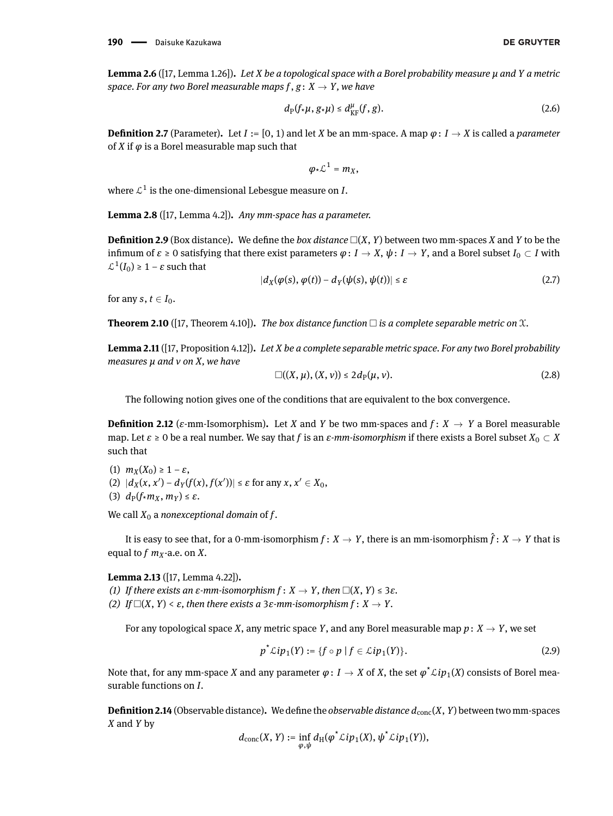**Lemma 2.6** ([\[17,](#page-32-9) Lemma 1.26])**.** *Let X be a topological space with a Borel probability measure µ and Y a metric space. For any two Borel measurable maps*  $f, g: X \rightarrow Y$ , we have

$$
d_{\mathcal{P}}(f \star \mu, g \star \mu) \leq d_{\text{KF}}^{\mu}(f, g). \tag{2.6}
$$

**Definition 2.7** (Parameter). Let  $I := [0, 1)$  and let *X* be an mm-space. A map  $\varphi: I \to X$  is called a *parameter* of *X* if  $\varphi$  is a Borel measurable map such that

$$
\varphi\star\mathcal{L}^1=m_X,
$$

where  $\mathcal{L}^1$  is the one-dimensional Lebesgue measure on *I*.

<span id="page-4-0"></span>**Lemma 2.8** ([\[17,](#page-32-9) Lemma 4.2])**.** *Any mm-space has a parameter.*

**Definition 2.9** (Box distance). We define the *box distance*  $\Box(X, Y)$  between two mm-spaces *X* and *Y* to be the infimum of  $\varepsilon \ge 0$  satisfying that there exist parameters  $\varphi: I \to X$ ,  $\psi: I \to Y$ , and a Borel subset *I*<sub>0</sub> ⊂ *I* with  $\mathcal{L}^1(I_0) \geq 1 - \varepsilon$  such that

$$
|d_X(\varphi(s), \varphi(t)) - d_Y(\psi(s), \psi(t))| \le \varepsilon
$$
\n(2.7)

for any  $s, t \in I_0$ .

**Theorem 2.10** ([\[17,](#page-32-9) Theorem 4.10]). *The box distance function*  $\Box$  *is a complete separable metric on*  $\mathcal{X}$ *.* 

**Lemma 2.11** ([\[17,](#page-32-9) Proposition 4.12])**.** *Let X be a complete separable metric space. For any two Borel probability measures µ and ν on X, we have*

$$
\square((X,\mu),(X,\nu))\leq 2d_{\mathcal{P}}(\mu,\nu).
$$
\n(2.8)

The following notion gives one of the conditions that are equivalent to the box convergence.

**Definition 2.12** ( $\varepsilon$ -mm-Isomorphism). Let *X* and *Y* be two mm-spaces and  $f: X \to Y$  a Borel measurable map. Let *ε* ≥ 0 be a real number. We say that *f* is an *ε-mm-isomorphism* if there exists a Borel subset *X*<sup>0</sup> ⊂ *X* such that

(1)  $m_X(X_0) \geq 1 - \varepsilon$ ,  $|d_X(x, x') - d_Y(f(x), f(x'))| \le \varepsilon$  for any  $x, x' \in X_0$ , (3)  $d_P(f \star m_X, m_Y) \leq \varepsilon$ .

We call  $X_0$  a *nonexceptional domain* of  $f$ .

It is easy to see that, for a 0-mm-isomorphism  $f: X \to Y$ , there is an mm-isomorphism  $\hat{f}: X \to Y$  that is equal to  $f$   $m_X$ -a.e. on  $X$ .

**Lemma 2.13** ([\[17,](#page-32-9) Lemma 4.22])**.**

*(1) If there exists an*  $\varepsilon$ *-mm-isomorphism*  $f: X \to Y$ , then  $\square(X, Y) \leq 3\varepsilon$ .

*(2) If*  $\Box$ (*X*, *Y*) < *ε*, then there exists a 3*ε*-mm-isomorphism  $f: X \rightarrow Y$ .

For any topological space *X*, any metric space *Y*, and any Borel measurable map  $p: X \to Y$ , we set

$$
p^{\star}\mathcal{L}ip_1(Y) := \{f \circ p \mid f \in \mathcal{L}ip_1(Y)\}.
$$
 (2.9)

Note that, for any mm-space  $X$  and any parameter  $\varphi\colon I\to X$  of  $X$ , the set  $\varphi^*\mathcal{L}ip_1(X)$  consists of Borel measurable functions on *I*.

**Definition 2.14** (Observable distance). We define the *observable distance*  $d_{\text{conc}}(X, Y)$  between two mm-spaces *X* and *Y* by

$$
d_{\mathrm{conc}}(X,Y) := \inf_{\varphi,\psi} d_{\mathrm{H}}(\varphi^{\star} \mathcal{L}ip_1(X), \psi^{\star} \mathcal{L}ip_1(Y)),
$$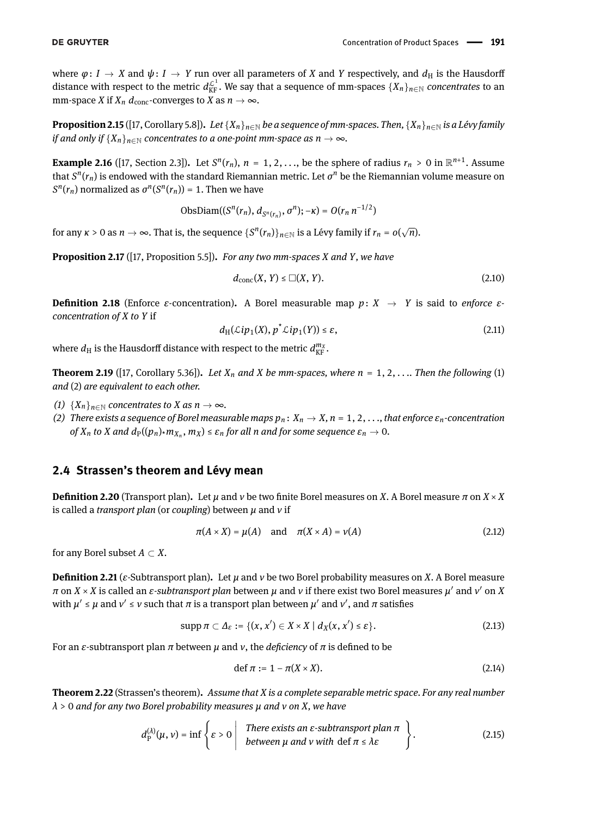where  $\varphi: I \to X$  and  $\psi: I \to Y$  run over all parameters of *X* and *Y* respectively, and  $d_H$  is the Hausdorff distance with respect to the metric  $d_{\text{KF}}^{\mathcal{L}^1}$ . We say that a sequence of mm-spaces  $\{X_n\}_{n\in\mathbb{N}}$  *concentrates* to an mm-space *X* if  $X_n$   $d_{\text{conc}}$ -converges to *X* as  $n \to \infty$ .

**Proposition 2.15** ([\[17,](#page-32-9) Corollary 5.8]). *Let*  $\{X_n\}_{n\in\mathbb{N}}$  *be a sequence of mm-spaces. Then,*  $\{X_n\}_{n\in\mathbb{N}}$  *is a Lévy family if and only if*  ${X_n}_{n \in \mathbb{N}}$  *concentrates to a one-point mm-space as*  $n \to \infty$ *.* 

<span id="page-5-0"></span>**Example 2.16** ([\[17,](#page-32-9) Section 2.3]). Let  $S^n(r_n)$ ,  $n = 1, 2, ...,$  be the sphere of radius  $r_n > 0$  in  $\mathbb{R}^{n+1}$ . Assume that  $S^n(r_n)$  is endowed with the standard Riemannian metric. Let  $\sigma^n$  be the Riemannian volume measure on  $S^n(r_n)$  normalized as  $\sigma^n(S^n(r_n)) = 1$ . Then we have

$$
ObsDiam((S^{n}(r_{n}), d_{S^{n}(r_{n})}, \sigma^{n}); -\kappa) = O(r_{n} n^{-1/2})
$$

for any  $\kappa > 0$  as  $n \to \infty$ . That is, the sequence  $\{S^n(r_n)\}_{n \in \mathbb{N}}$  is a Lévy family if  $r_n = o(\sqrt{n})$ .

**Proposition 2.17** ([\[17,](#page-32-9) Proposition 5.5])**.** *For any two mm-spaces X and Y, we have*

$$
d_{\text{conc}}(X, Y) \leq \Box(X, Y). \tag{2.10}
$$

**Definition 2.18** (Enforce *ε*-concentration). A Borel measurable map *p*: *X*  $\rightarrow$  *Y* is said to *enforce εconcentration of X to Y* if

$$
d_{\mathrm{H}}(\mathcal{L}ip_1(X), p^{\star}\mathcal{L}ip_1(Y)) \leq \varepsilon,\tag{2.11}
$$

where  $d_{\rm H}$  is the Hausdorff distance with respect to the metric  $d_{\rm KF}^{m_{\chi}}$ .

<span id="page-5-1"></span>**Theorem 2.19** ([\[17,](#page-32-9) Corollary 5.36]). Let  $X_n$  and  $X$  be mm-spaces, where  $n = 1, 2, \ldots$  Then the following (1) *and* (2) *are equivalent to each other.*

- *(1)*  ${X_n}_{n \in \mathbb{N}}$  *concentrates to X as*  $n \to \infty$ *.*
- *(2)* There exists a sequence of Borel measurable maps  $p_n: X_n \to X$ ,  $n = 1, 2, \ldots$ , that enforce  $\varepsilon_n$ -concentration of  $X_n$  to  $X$  and  $d_\text{P}((p_n)_*m_{X_n},$   $m_X)\leq\varepsilon_n$  for all  $n$  and for some sequence  $\varepsilon_n\to0.$

### **2.4 Strassen's theorem and Lévy mean**

**Definition 2.20** (Transport plan). Let  $\mu$  and  $\nu$  be two finite Borel measures on *X*. A Borel measure  $\pi$  on  $X \times X$ is called a *transport plan* (or *coupling*) between *µ* and *ν* if

$$
\pi(A \times X) = \mu(A) \quad \text{and} \quad \pi(X \times A) = \nu(A) \tag{2.12}
$$

for any Borel subset  $A \subset X$ .

**Definition 2.21** (*ε*-Subtransport plan). Let  $\mu$  and  $\nu$  be two Borel probability measures on *X*. A Borel measure *π* on *X* × *X* is called an *ε-subtransport plan* between  $\mu$  and  $\nu$  if there exist two Borel measures  $\mu'$  and  $\nu'$  on *X* with  $μ' ≤ μ$  and  $ν' ≤ ν$  such that  $π$  is a transport plan between  $μ'$  and  $ν'$ , and  $π$  satisfies

$$
\operatorname{supp} \pi \subset \Delta_{\varepsilon} := \{ (x, x') \in X \times X \mid d_X(x, x') \leq \varepsilon \}. \tag{2.13}
$$

For an *ε*-subtransport plan  $π$  between  $μ$  and  $ν$ , the *deficiency* of  $π$  is defined to be

$$
\text{def } \pi := 1 - \pi(X \times X). \tag{2.14}
$$

<span id="page-5-2"></span>**Theorem 2.22** (Strassen's theorem)**.** *Assume that X is a complete separable metric space. For any real number λ* > 0 *and for any two Borel probability measures µ and ν on X, we have*

$$
d_{\rm p}^{(\lambda)}(\mu,\nu) = \inf \left\{ \varepsilon > 0 \; \middle| \; \begin{array}{c} \text{There exists an } \varepsilon \text{-subtransport plan } \pi \\ \text{between } \mu \text{ and } \nu \text{ with } \text{def } \pi \leq \lambda \varepsilon \end{array} \right\}.
$$
 (2.15)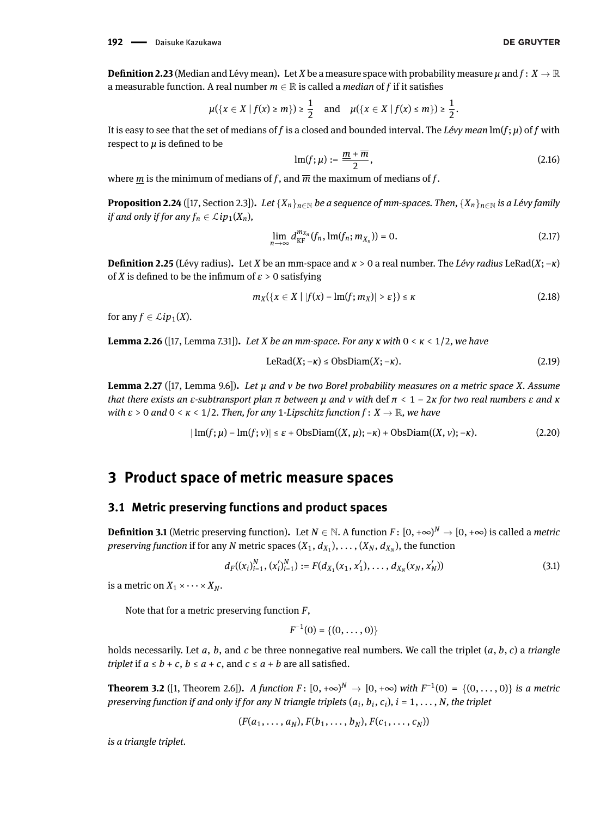**Definition 2.23** (Median and Lévy mean). Let *X* be a measure space with probability measure  $\mu$  and  $f: X \to \mathbb{R}$ a measurable function. A real number  $m \in \mathbb{R}$  is called a *median* of *f* if it satisfies

$$
\mu({x \in X | f(x) \ge m}) \ge \frac{1}{2}
$$
 and  $\mu({x \in X | f(x) \le m}) \ge \frac{1}{2}$ .

It is easy to see that the set of medians of *f* is a closed and bounded interval. The *Lévy mean* lm(*f*; *µ*) of *f* with respect to  $\mu$  is defined to be

$$
\operatorname{lm}(f;\mu) := \frac{m + \overline{m}}{2},\tag{2.16}
$$

where *m* is the minimum of medians of *f*, and  $\overline{m}$  the maximum of medians of *f*.

**Proposition 2.24** ([\[17,](#page-32-9) Section 2.3]). Let  $\{X_n\}_{n\in\mathbb{N}}$  be a sequence of mm-spaces. Then,  $\{X_n\}_{n\in\mathbb{N}}$  is a Lévy family *if and only if for any*  $f_n \in \mathcal{L}ip_1(X_n)$ ,

$$
\lim_{n\to\infty} d_{\text{KF}}^{m_{X_n}}(f_n, \text{Im}(f_n; m_{X_n})) = 0. \tag{2.17}
$$

**Denition 2.25** (Lévy radius)**.** Let *X* be an mm-space and *κ* > 0 a real number. The *Lévy radius* LeRad(*X*; −*κ*) of *X* is defined to be the infimum of  $\varepsilon > 0$  satisfying

$$
m_X(\lbrace x \in X \mid |f(x) - \text{Im}(f; m_X) | > \varepsilon \rbrace) \le \kappa \tag{2.18}
$$

for any  $f \in \mathcal{L}ip_1(X)$ .

<span id="page-6-1"></span>**Lemma 2.26** ([\[17,](#page-32-9) Lemma 7.31])**.** *Let X be an mm-space. For any κ with* 0 < *κ* < 1/2*, we have*

$$
LeRad(X; -\kappa) \leq ObsDiam(X; -\kappa). \tag{2.19}
$$

<span id="page-6-2"></span>**Lemma 2.27** ([\[17,](#page-32-9) Lemma 9.6])**.** *Let µ and ν be two Borel probability measures on a metric space X. Assume that there exists an ε-subtransport plan π between µ and ν with* def *π* < 1 − 2*κ for two real numbers ε and κ with ε* > 0 *and* 0 < *κ* < 1/2*. Then, for any* 1*-Lipschitz function f* : *X* → R*, we have*

$$
|\operatorname{Im}(f;\mu) - \operatorname{Im}(f;\nu)| \le \varepsilon + \operatorname{ObsDiam}((X,\mu); -\kappa) + \operatorname{ObsDiam}((X,\nu); -\kappa). \tag{2.20}
$$

# **3 Product space of metric measure spaces**

#### **3.1 Metric preserving functions and product spaces**

**Definition 3.1** (Metric preserving function). Let  $N \in \mathbb{N}$ . A function  $F \colon [0, +\infty)^N \to [0, +\infty)$  is called a *metric*  $p$ reserving function if for any  $N$  metric spaces  $(X_1, d_{X_1}), \ldots, (X_N, d_{X_N}),$  the function

$$
d_F((x_i)_{i=1}^N, (x_i')_{i=1}^N) := F(d_{X_1}(x_1, x_1'), \dots, d_{X_N}(x_N, x_N'))
$$
\n(3.1)

is a metric on  $X_1 \times \cdots \times X_N$ .

Note that for a metric preserving function *F*,

$$
F^{-1}(0) = \{(0, \ldots, 0)\}
$$

holds necessarily. Let *a*, *b*, and *c* be three nonnegative real numbers. We call the triplet (*a*, *b*, *c*) a *triangle triplet* if  $a \le b + c$ ,  $b \le a + c$ , and  $c \le a + b$  are all satisfied.

<span id="page-6-0"></span>**Theorem 3.2** ([\[1,](#page-32-10) Theorem 2.6]). A function  $F: [0, +\infty)^N$  →  $[0, +\infty)$  with  $F^{-1}(0) = \{(0, ..., 0)\}$  is a metric *preserving function if and only if for any N triangle triplets* (*a<sup>i</sup>* , *b<sup>i</sup>* , *c<sup>i</sup>* )*, i* = 1, *. . .* , *N, the triplet*

$$
(F(a_1,\ldots,a_N),F(b_1,\ldots,b_N),F(c_1,\ldots,c_N))
$$

*is a triangle triplet.*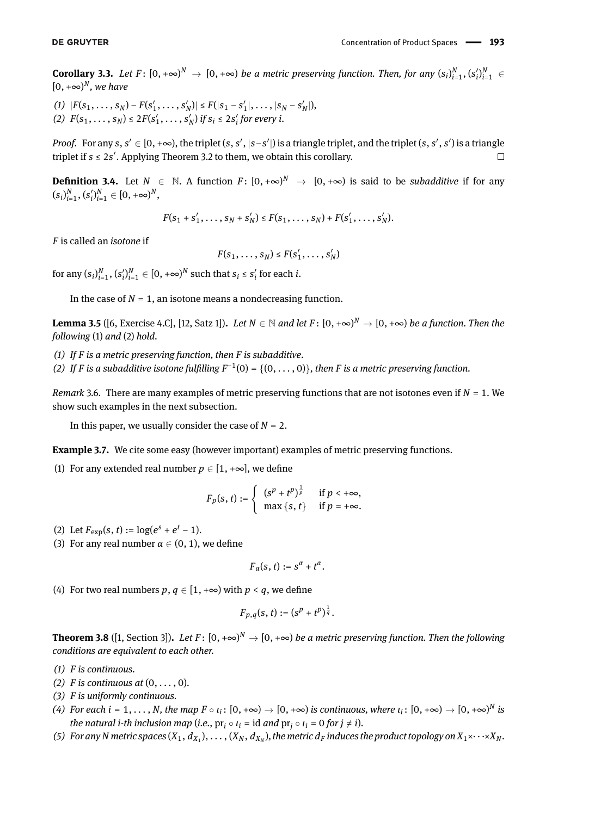<span id="page-7-0"></span>**Corollary 3.3.** Let  $F: [0, +\infty)^N \to [0, +\infty)$  be a metric preserving function. Then, for any  $(s_i)_{i=1}^N$ ,  $(s'_i)_{i=1}^N \in$  $[0, +\infty)$ <sup>N</sup>, we have

(1)  $|F(s_1,\ldots,s_N)-F(s'_1,\ldots,s'_N)| \leq F(|s_1-s'_1|,\ldots,|s_N-s'_N|),$ (2)  $F(s_1, \ldots, s_N) \leq 2F(s'_1, \ldots, s'_N)$  if  $s_i \leq 2s'_i$  for every *i*.

*Proof.* For any  $s, s' \in [0, +\infty)$ , the triplet  $(s, s', |s - s'|)$  is a triangle triplet, and the triplet  $(s, s', s')$  is a triangle triplet if  $s \leq 2s'$ . Applying Theorem [3.2](#page-6-0) to them, we obtain this corollary.  $\Box$ 

**Definition 3.4.** Let  $N \in \mathbb{N}$ . A function  $F: [0, +\infty)^N \to [0, +\infty)$  is said to be *subadditive* if for any  $(s_i)_{i=1}^N$ ,  $(s'_i)_{i=1}^N \in [0, +\infty)^N$ ,

$$
F(s_1 + s'_1, \ldots, s_N + s'_N) \leq F(s_1, \ldots, s_N) + F(s'_1, \ldots, s'_N).
$$

*F* is called an *isotone* if

$$
F(s_1,\ldots,s_N)\leq F(s_1',\ldots,s_N')
$$

for any  $(s_i)_{i=1}^N$ ,  $(s'_i)_{i=1}^N \in [0, +\infty)^N$  such that  $s_i \leq s'_i$  for each *i*.

In the case of  $N = 1$ , an isotone means a nondecreasing function.

**Lemma 3.5** ([\[6,](#page-32-11) Exercise 4.C], [\[12,](#page-32-12) Satz 1]). *Let N*  $\in$  *N and let F* : [0, +∞)<sup>N</sup>  $\to$  [0, +∞) *be a function. Then the following* (1) *and* (2) *hold.*

- *(1) If F is a metric preserving function, then F is subadditive.*
- (2) If *F* is a subadditive isotone fulfilling  $F^{-1}(0) = \{(0, \ldots, 0)\}\$ , then *F* is a metric preserving function.

*Remark* 3.6*.* There are many examples of metric preserving functions that are not isotones even if *N* = 1. We show such examples in the next subsection.

In this paper, we usually consider the case of *N* = 2.

<span id="page-7-1"></span>**Example 3.7.** We cite some easy (however important) examples of metric preserving functions.

<span id="page-7-2"></span>(1) For any extended real number  $p \in [1, +\infty]$ , we define

$$
F_p(s,t) := \begin{cases} (s^p + t^p)^{\frac{1}{p}} & \text{if } p < +\infty, \\ \max\{s,t\} & \text{if } p = +\infty. \end{cases}
$$

- <span id="page-7-3"></span>(2) Let  $F_{\text{exp}}(s, t) := \log(e^s + e^t - 1)$ .
- (3) For any real number  $\alpha \in (0, 1)$ , we define

$$
F_\alpha(s,t):=s^\alpha+t^\alpha.
$$

(4) For two real numbers  $p, q \in [1, +\infty)$  with  $p < q$ , we define

$$
F_{p,q}(s,t):=(s^p+t^p)^{\frac{1}{q}}.
$$

**Theorem 3.8** ([\[1,](#page-32-10) Section 3]). Let  $F: [0, +\infty)^N \to [0, +\infty)$  be a metric preserving function. Then the following *conditions are equivalent to each other.*

- *(1) F is continuous.*
- *(2)*  $F$  *is continuous at*  $(0, \ldots, 0)$ *.*
- *(3) F is uniformly continuous.*
- *(4)* For each  $i = 1, \ldots, N$ , the map  $F \circ \iota_i \colon [0, +\infty) \to [0, +\infty)$  is continuous, where  $\iota_i \colon [0, +\infty) \to [0, +\infty)^N$  is  $t$ *he natural i-th inclusion map (i.e.,*  $\mathrm{pr}_i \circ \iota_i = \mathrm{id}$  *and*  $\mathrm{pr}_j \circ \iota_i = 0$  *for*  $j \neq i$ *).*
- (5) For any N metric spaces  $(X_1,d_{X_1}),\ldots,(X_N,d_{X_N})$ , the metric  $d_F$  induces the product topology on  $X_1\times\cdots\times X_N$ .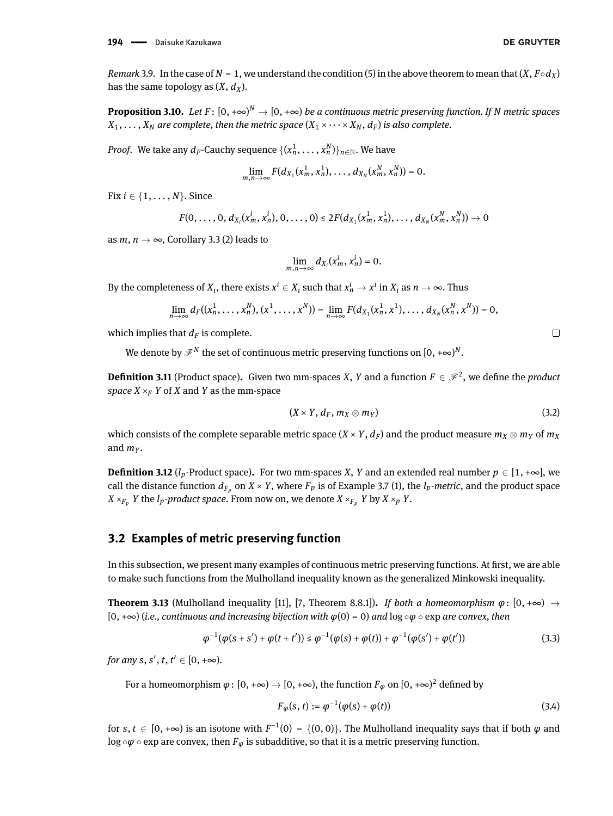*Remark* 3.9. In the case of *N* = 1, we understand the condition (5) in the above theorem to mean that  $(X, F \circ d_X)$ has the same topology as  $(X, d_X)$ .

**Proposition 3.10.** Let  $F\colon [0,+\infty)^N \to [0,+\infty)$  be a continuous metric preserving function. If N metric spaces  $X_1, \ldots, X_N$  are complete, then the metric space  $(X_1 \times \cdots \times X_N, d_F)$  is also complete.

*Proof.* We take any  $d_F$ -Cauchy sequence  $\{(x_n^1, \dots, x_n^N)\}_{n \in \mathbb{N}}.$  We have

$$
\lim_{m,n\to\infty}F(d_{X_1}(x_m^1,x_n^1),\ldots,d_{X_N}(x_m^N,x_n^N))=0.
$$

Fix  $i \in \{1, \ldots, N\}$ . Since

$$
F(0,\ldots,0,d_{X_i}(x_m^i,x_n^i),0,\ldots,0) \leq 2F(d_{X_1}(x_m^1,x_n^1),\ldots,d_{X_N}(x_m^N,x_n^N)) \to 0
$$

as  $m, n \rightarrow \infty$ , Corollary [3.3](#page-7-0) (2) leads to

$$
\lim_{m,n\to\infty}d_{X_i}(x_m^i,x_n^i)=0.
$$

By the completeness of  $X_i$ , there exists  $x^i \in X_i$  such that  $x^i_n \to x^i$  in  $X_i$  as  $n \to \infty.$  Thus

$$
\lim_{n\to\infty}d_F((x_n^1,\ldots,x_n^N),(x^1,\ldots,x^N))=\lim_{n\to\infty}F(d_{X_1}(x_n^1,x^1),\ldots,d_{X_N}(x_n^N,x^N))=0,
$$

which implies that  $d_F$  is complete.

We denote by  $\mathscr{F}^N$  the set of continuous metric preserving functions on  $[0,+\infty)^N.$ 

**Definition 3.11** (Product space). Given two mm-spaces *X*, *Y* and a function  $F \in \mathcal{F}^2$ , we define the *product space*  $X \times_F Y$  of *X* and *Y* as the mm-space

$$
(X \times Y, d_F, m_X \otimes m_Y) \tag{3.2}
$$

which consists of the complete separable metric space  $(X \times Y, d_F)$  and the product measure  $m_X \otimes m_Y$  of  $m_X$ and  $m_V$ .

**Definition 3.12** ( $l_p$ -Product space). For two mm-spaces *X*, *Y* and an extended real number  $p \in [1, +\infty]$ , we call the distance function  $d_{F_p}$  on  $X \times Y$ , where  $F_p$  is of Example [3.7](#page-7-1) [\(1\)](#page-7-2), the  $l_p$ *-metric*, and the product space  $X \times_{F_n} Y$  the *l<sub>p</sub>*-product space. From now on, we denote  $X \times_{F_n} Y$  by  $X \times_p Y$ .

### **3.2 Examples of metric preserving function**

In this subsection, we present many examples of continuous metric preserving functions. At first, we are able to make such functions from the Mulholland inequality known as the generalized Minkowski inequality.

<span id="page-8-0"></span>**Theorem 3.13** (Mulholland inequality [\[11\]](#page-32-13), [\[7,](#page-32-14) Theorem 8.8.1]). If both a homeomorphism  $\varphi: [0, +\infty) \to$ [0, +∞) (*i.e., continuous and increasing bijection with φ*(0) = 0) *and* log ◦*φ* ◦ exp *are convex, then*

$$
\varphi^{-1}(\varphi(s+s') + \varphi(t+t')) \leq \varphi^{-1}(\varphi(s) + \varphi(t)) + \varphi^{-1}(\varphi(s') + \varphi(t')) \tag{3.3}
$$

*for any s*, *s'*, *t*, *t'*  $\in$   $[0, +\infty)$ .

For a homeomorphism  $\varphi\colon [0,+\infty)\to [0,+\infty),$  the function  $F_\varphi$  on  $[0,+\infty)^2$  defined by

<span id="page-8-1"></span>
$$
F_{\varphi}(s, t) := \varphi^{-1}(\varphi(s) + \varphi(t))
$$
\n(3.4)

for  $s, t \in [0, +\infty)$  is an isotone with  $F^{-1}(0) = \{(0, 0)\}$ . The Mulholland inequality says that if both  $\varphi$  and  $\log \circ \varphi \circ \exp$  are convex, then  $F_{\varphi}$  is subadditive, so that it is a metric preserving function.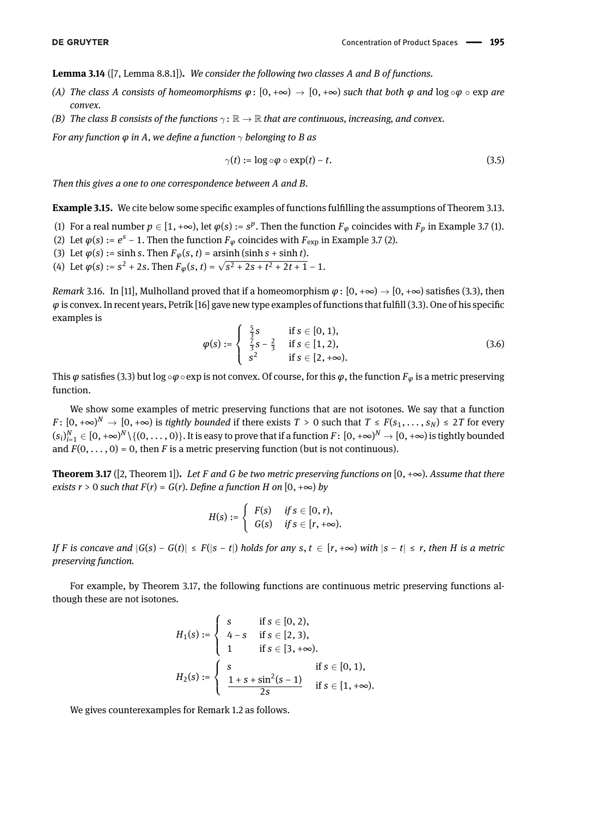**Lemma 3.14** ([\[7,](#page-32-14) Lemma 8.8.1])**.** *We consider the following two classes A and B of functions.*

- *(A)* The class A consists of homeomorphisms  $\varphi: [0, +\infty) \to [0, +\infty)$  such that both  $\varphi$  and  $\log \circ \varphi \circ \exp$  are *convex.*
- *(B)* The class *B* consists of the functions  $\gamma: \mathbb{R} \to \mathbb{R}$  that are continuous, increasing, and convex.

*For any function*  $\varphi$  *in A*, we define a function  $\gamma$  *belonging to B as* 

$$
\gamma(t) := \log \circ \varphi \circ \exp(t) - t. \tag{3.5}
$$

*Then this gives a one to one correspondence between A and B.*

**Example 3.15.** We cite below some specific examples of functions fulfilling the assumptions of Theorem [3.13.](#page-8-0)

- [\(1\)](#page-7-2) For a real number  $p \in [1, +\infty)$ , let  $\varphi(s) := s^p$ . Then the function  $F_\varphi$  coincides with  $F_p$  in Example [3.7](#page-7-1) (1).
- [\(2\)](#page-7-3) Let  $\varphi(s) := e^s 1$ . Then the function  $F_{\varphi}$  coincides with  $F_{\text{exp}}$  in Example [3.7](#page-7-1) (2).
- (3) Let  $\varphi(s) := \sinh s$ . Then  $F_{\varphi}(s, t) = \operatorname{arsinh}(\sinh s + \sinh t)$ .
- (4) Let  $\varphi(s) := s^2 + 2s$ . Then  $F_{\varphi}(s, t) = \sqrt{s^2 + 2s + t^2 + 2t + 1} 1$ .

*Remark* 3.16. In [\[11\]](#page-32-13), Mulholland proved that if a homeomorphism  $\omega$ :  $[0, +\infty) \rightarrow [0, +\infty)$  satisfies [\(3.3\)](#page-8-1), then  $\varphi$  is convex. In recent years, Petrík [\[16\]](#page-32-15) gave new type examples of functions that fulfill [\(3.3\)](#page-8-1). One of his specific examples is

$$
\varphi(s) := \begin{cases} \frac{5}{3}s & \text{if } s \in [0, 1), \\ \frac{7}{3}s - \frac{2}{3} & \text{if } s \in [1, 2), \\ s^2 & \text{if } s \in [2, +\infty). \end{cases}
$$
(3.6)

This  $\varphi$  satisfies [\(3.3\)](#page-8-1) but log ∘ $\varphi$  ∘ exp is not convex. Of course, for this  $\varphi$ , the function  $F_{\varphi}$  is a metric preserving function.

We show some examples of metric preserving functions that are not isotones. We say that a function  $F\colon [0,+\infty)^N \to [0,+\infty)$  is *tightly bounded* if there exists  $T>0$  such that  $T\leq F(s_1,\ldots,s_N)\leq 2T$  for every  $(s_i)_{i=1}^N\in[0,+\infty)^N\setminus\{(0,\dots,0)\}.$  It is easy to prove that if a function  $F\colon[0,+\infty)^N\to[0,+\infty)$  is tightly bounded and  $F(0, \ldots, 0) = 0$ , then *F* is a metric preserving function (but is not continuous).

<span id="page-9-0"></span>**Theorem 3.17** ([\[2,](#page-32-16) Theorem 1]). Let *F* and *G* be two metric preserving functions on  $[0, +\infty)$ . Assume that there *exists*  $r > 0$  *such that*  $F(r) = G(r)$ *. Define a function H on* [0, + $\infty$ ) *by* 

$$
H(s):=\left\{\begin{array}{ll}F(s) & \textit{if $s\in [0,r)$,}\\G(s) & \textit{if $s\in [r,+\infty)$.}\end{array}\right.
$$

If F is concave and  $|G(s) - G(t)| \leq F(|s - t|)$  holds for any  $s, t \in [r, +\infty)$  with  $|s - t| \leq r$ , then H is a metric *preserving function.*

For example, by Theorem [3.17,](#page-9-0) the following functions are continuous metric preserving functions although these are not isotones.

$$
H_1(s) := \begin{cases} s & \text{if } s \in [0, 2), \\ 4 - s & \text{if } s \in [2, 3), \\ 1 & \text{if } s \in [3, +\infty). \end{cases}
$$

$$
H_2(s) := \begin{cases} s & \text{if } s \in [0, 1), \\ \frac{1 + s + \sin^2(s - 1)}{2s} & \text{if } s \in [1, +\infty). \end{cases}
$$

We gives counterexamples for Remark [1.2](#page-1-1) as follows.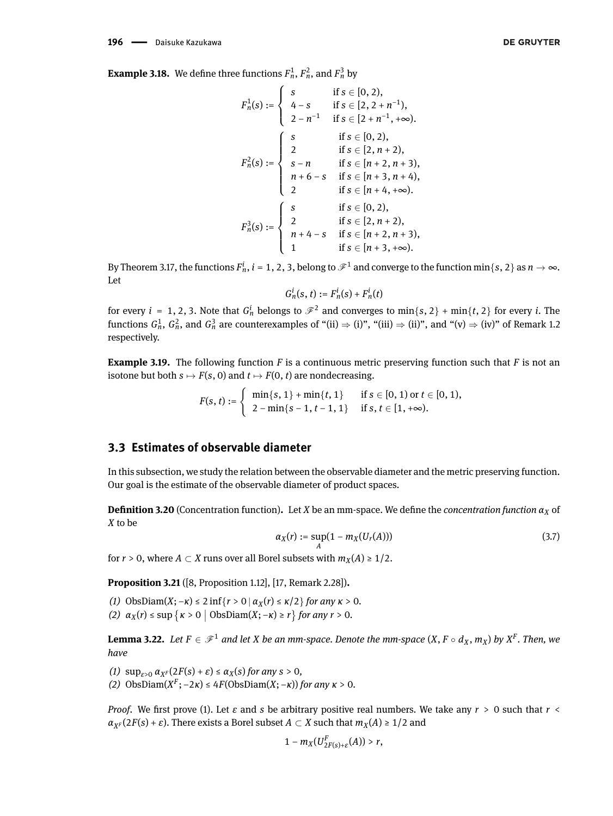<span id="page-10-0"></span>
$$
F_n^1(s) := \begin{cases} s & \text{if } s \in [0, 2), \\ 4 - s & \text{if } s \in [2, 2 + n^{-1}), \\ 2 - n^{-1} & \text{if } s \in [2 + n^{-1}, +\infty). \end{cases}
$$
  

$$
F_n^2(s) := \begin{cases} s & \text{if } s \in [0, 2), \\ 2 & \text{if } s \in [2, n + 2), \\ s - n & \text{if } s \in [n + 2, n + 3), \\ n + 6 - s & \text{if } s \in [n + 3, n + 4), \\ 2 & \text{if } s \in [n + 4, +\infty). \end{cases}
$$
  

$$
F_n^3(s) := \begin{cases} s & \text{if } s \in [0, 2), \\ 2 & \text{if } s \in [2, n + 2), \\ n + 4 - s & \text{if } s \in [n + 2, n + 3), \\ 1 & \text{if } s \in [n + 3, +\infty). \end{cases}
$$

By Theorem [3.17,](#page-9-0) the functions  $F_n^i$ ,  $i=1,2,3,$  belong to  $\mathscr{F}^1$  and converge to the function min{s, 2} as  $n\to\infty.$ Let

$$
G_n^i(s,t) := F_n^i(s) + F_n^i(t)
$$

for every  $i = 1, 2, 3.$  Note that  $G_n^i$  belongs to  $\mathscr{F}^2$  and converges to  $\min\{s, 2\} + \min\{t, 2\}$  for every  $i.$  The functions  $G_n^1,$   $G_n^2,$  and  $G_n^3$  are counterexamples of "(ii)  $\Rightarrow$  (i)", "(iii)  $\Rightarrow$  (ii)", and "(v)  $\Rightarrow$  (iv)" of Remark [1.2](#page-1-1) respectively.

**Example 3.19.** The following function *F* is a continuous metric preserving function such that *F* is not an isotone but both  $s \mapsto F(s, 0)$  and  $t \mapsto F(0, t)$  are nondecreasing.

> $F(s, t) := \begin{cases} \min\{s, 1\} + \min\{t, 1\} & \text{if } s \in [0, 1) \text{ or } t \in [0, 1), \\ 0 & \text{if } s \in [0, 1] \end{cases}$ 2 − min{*s* − 1, *t* − 1, 1} if *s*, *t* ∈ [1, +∞).

## **3.3 Estimates of observable diameter**

In this subsection, we study the relation between the observable diameter and the metric preserving function. Our goal is the estimate of the observable diameter of product spaces.

**Definition 3.20** (Concentration function). Let *X* be an mm-space. We define the *concentration function*  $\alpha_X$  of *X* to be

$$
\alpha_X(r) := \sup_A (1 - m_X(U_r(A))) \tag{3.7}
$$

for *r* > 0, where *A*  $\subset$  *X* runs over all Borel subsets with  $m_X(A) \ge 1/2$ .

<span id="page-10-1"></span>**Proposition 3.21** ([\[8,](#page-32-4) Proposition 1.12], [\[17,](#page-32-9) Remark 2.28])**.**

*(1)* ObsDiam(*X*; −*κ*) ≤ 2 inf{*r* > 0 |  $\alpha$ <sub>*X*</sub>(*r*) ≤ *κ*/2} *for any κ* > 0*. (2)*  $\alpha_X(r)$  ≤ sup { $\kappa > 0$  | ObsDiam(*X*; −*κ*) ≥ *r*} *for any r* > 0.

<span id="page-10-2"></span>**Lemma 3.22.** Let  $F \in \mathscr{F}^1$  and let  $X$  be an mm-space. Denote the mm-space  $(X, F \circ d_X, m_X)$  by  $X^F$ . Then, we *have*

- *(1)*  $\sup_{s>0} \alpha_{X^F}(2F(s) + \varepsilon) \leq \alpha_X(s)$  *for any*  $s > 0$ *,*
- *(2)* ObsDiam(*X<sup>F</sup>*; −2*κ*) ≤ 4*F*(ObsDiam(*X*; −*κ*)) *for any κ* > 0*.*

*Proof.* We first prove (1). Let  $\varepsilon$  and  $s$  be arbitrary positive real numbers. We take any  $r > 0$  such that  $r <$  $\alpha_{X^F}(2F(s) + \varepsilon)$ . There exists a Borel subset  $A \subset X$  such that  $m_X(A) \geq 1/2$  and

$$
1-m_X(U_{2F(s)+\varepsilon}^F(A))>r,
$$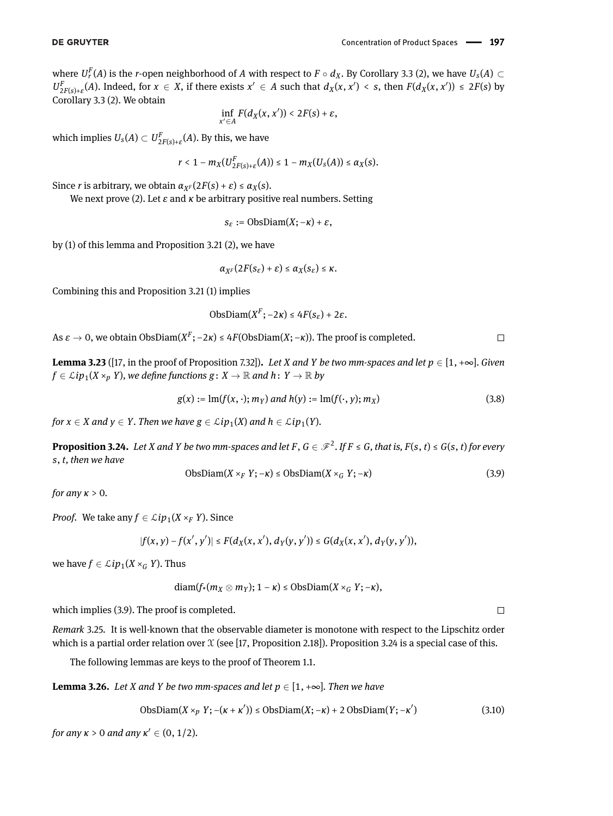where  $U_r^F(A)$  is the *r*-open neighborhood of  $A$  with respect to  $F\circ d_X.$  By Corollary [3.3](#page-7-0) (2), we have  $U_s(A)\subset$  $U_{2F(s)+\varepsilon}^F(A)$ . Indeed, for  $x \in X$ , if there exists  $x' \in A$  such that  $d_X(x,x') < s$ , then  $F(d_X(x,x')) \le 2F(s)$  by Corollary [3.3](#page-7-0) (2). We obtain

$$
\inf_{x'\in A}F(d_X(x,x'))<2F(s)+\varepsilon,
$$

which implies  $U_{\mathcal{S}}(A) \subset U^F_{2F(\mathcal{S})+\varepsilon}(A).$  By this, we have

$$
r<1-m_X(U_{2F(s)+\varepsilon}^F(A))\leq 1-m_X(U_s(A))\leq \alpha_X(s).
$$

Since *r* is arbitrary, we obtain  $\alpha_{X^F}(2F(s) + \varepsilon) \leq \alpha_X(s)$ .

We next prove (2). Let *ε* and *κ* be arbitrary positive real numbers. Setting

$$
s_{\varepsilon}:=\mathrm{ObsDiam}(X;-\kappa)+\varepsilon,
$$

by (1) of this lemma and Proposition [3.21](#page-10-1) (2), we have

$$
\alpha_{X^F}(2F(s_{\varepsilon})+\varepsilon)\leq \alpha_X(s_{\varepsilon})\leq \kappa.
$$

Combining this and Proposition [3.21](#page-10-1) (1) implies

$$
ObsDiam(X^F; -2\kappa) \le 4F(s_{\varepsilon}) + 2\varepsilon.
$$

As  $\varepsilon \to 0$ , we obtain ObsDiam( $X^F$ ;  $-2\kappa$ ) ≤ 4*F*(ObsDiam( $X$ ;  $-\kappa$ )). The proof is completed.

<span id="page-11-3"></span>**Lemma 3.23** ([\[17,](#page-32-9) in the proof of Proposition 7.32]). Let *X* and *Y* be two mm-spaces and let  $p \in [1, +\infty]$ . Given  $f \in \mathcal{L}ip_1(X \times_p Y)$ , we define functions  $g: X \to \mathbb{R}$  and  $h: Y \to \mathbb{R}$  by

$$
g(x) := \text{Im}(f(x, \cdot); m_Y) \text{ and } h(y) := \text{Im}(f(\cdot, y); m_X) \tag{3.8}
$$

*for*  $x \in X$  *and*  $y \in Y$ *. Then we have*  $g \in \mathcal{L}ip_1(X)$  *and*  $h \in \mathcal{L}ip_1(Y)$ *.* 

<span id="page-11-1"></span>**Proposition 3.24.** Let X and Y be two mm-spaces and let F,  $G \in \mathscr{F}^2$ . If  $F \leq G$ , that is,  $F(s, t) \leq G(s, t)$  for every *s*, *t, then we have*

<span id="page-11-0"></span>
$$
ObsDiam(X \times_F Y; -\kappa) \leq ObsDiam(X \times_G Y; -\kappa)
$$
\n(3.9)

*for any κ* > 0*.*

*Proof.* We take any  $f \in \mathcal{L}ip_1(X \times_F Y)$ . Since

$$
|f(x,y)-f(x',y')|\leq F(d_X(x,x'),d_Y(y,y'))\leq G(d_X(x,x'),d_Y(y,y')),
$$

we have  $f \in \mathcal{L}ip_1(X \times_G Y)$ . Thus

$$
\text{diam}(f_*(m_X\otimes m_Y); 1-\kappa)\leq \text{ObsDiam}(X\times_G Y; -\kappa),
$$

which implies [\(3.9\)](#page-11-0). The proof is completed.

*Remark* 3.25*.* It is well-known that the observable diameter is monotone with respect to the Lipschitz order which is a partial order relation over  $X$  (see [\[17,](#page-32-9) Proposition 2.18]). Proposition [3.24](#page-11-1) is a special case of this.

The following lemmas are keys to the proof of Theorem [1.1.](#page-1-0)

<span id="page-11-2"></span>**Lemma 3.26.** *Let X and Y be two mm-spaces and let*  $p \in [1, +\infty]$ *. Then we have* 

$$
ObsDiam(X \times_p Y; -(k + \kappa')) \leq ObsDiam(X; -\kappa) + 2 ObsDiam(Y; -\kappa') \tag{3.10}
$$

*for any*  $\kappa > 0$  *and any*  $\kappa' \in (0, 1/2)$ *.* 

 $\Box$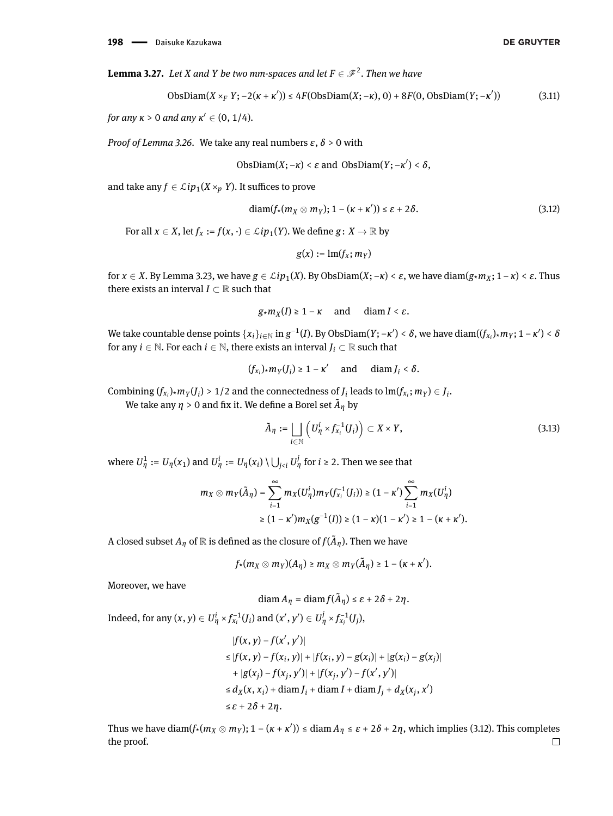<span id="page-12-1"></span>**Lemma 3.27.** Let *X* and *Y* be two mm-spaces and let  $F \in \mathcal{F}^2$ . Then we have

$$
\text{ObsDiam}(X \times_F Y; -2(\kappa + \kappa')) \le 4F(\text{ObsDiam}(X; -\kappa), 0) + 8F(0, \text{ObsDiam}(Y; -\kappa')) \tag{3.11}
$$

*for any*  $\kappa > 0$  *and any*  $\kappa' \in (0, 1/4)$ *.* 

*Proof of Lemma [3.26.](#page-11-2)* We take any real numbers *ε*, *δ* > 0 with

$$
ObsDiam(X; -\kappa) < \varepsilon \text{ and } ObsDiam(Y; -\kappa') < \delta,
$$

and take any  $f \in \mathcal{L}ip_1(X \times_p Y)$ . It suffices to prove

<span id="page-12-0"></span>
$$
diam(f_*(m_X \otimes m_Y); 1-(\kappa+\kappa')) \leq \varepsilon+2\delta. \tag{3.12}
$$

For all  $x \in X$ , let  $f_x := f(x, \cdot) \in \mathcal{L}ip_1(Y)$ . We define  $g: X \to \mathbb{R}$  by

$$
g(x):=\mathrm{lm}(f_x;m_Y)
$$

for  $x \in X$ . By Lemma [3.23,](#page-11-3) we have  $g \in \mathcal{L}ip_1(X)$ . By ObsDiam $(X; -\kappa) < \varepsilon$ , we have diam $(g * m_X; 1 - \kappa) < \varepsilon$ . Thus there exists an interval  $I \subset \mathbb{R}$  such that

$$
g \star m_X(I) \geq 1 - \kappa
$$
 and  $\text{diam } I < \varepsilon$ .

We take countable dense points  $\{x_i\}_{i\in\mathbb{N}}$  in  $g^{-1}(I)$ . By ObsDiam $(Y; -\kappa') < \delta$ , we have diam $((f_{x_i})_\star m_Y; 1-\kappa') < \delta$ for any *i*  $\in$  N. For each *i*  $\in$  N, there exists an interval *J<sub>i</sub>*  $\subset$  R such that

$$
(f_{x_i})_\star m_Y(J_i) \geq 1-\kappa' \quad \text{ and } \quad \text{diam}\, J_i < \delta.
$$

Combining  $(f_{x_i})$ \* $m_Y(J_i)$  > 1/2 and the connectedness of  $J_i$  leads to  $\text{Im}(f_{x_i}; m_Y) \in J_i$ .

We take any  $\eta > 0$  and fix it. We define a Borel set  $\tilde{A}_{\eta}$  by

$$
\tilde{A}_{\eta} := \bigsqcup_{i \in \mathbb{N}} \left( U_{\eta}^{i} \times f_{x_i}^{-1}(J_i) \right) \subset X \times Y, \tag{3.13}
$$

where  $U^1_\eta := U_\eta(x_1)$  and  $U^i_\eta := U_\eta(x_i) \setminus \bigcup_{j < i} U^j_\eta$  for  $i \ge 2$ . Then we see that

$$
\begin{aligned} m_X\otimes m_Y(\tilde A_\eta)=\sum_{i=1}^\infty m_X(U_\eta^i)m_Y(f_{x_i}^{-1}(J_i))\geq (1-\kappa')\sum_{i=1}^\infty m_X(U_\eta^i)\\ \geq (1-\kappa')m_X(g^{-1}(I))\geq (1-\kappa)(1-\kappa')\geq 1-(\kappa+\kappa'). \end{aligned}
$$

A closed subset  $A_\eta$  of  $\mathbb R$  is defined as the closure of  $f(\tilde{A}_\eta)$ . Then we have

$$
f_{*}(m_X \otimes m_Y)(A_{\eta}) \geq m_X \otimes m_Y(\tilde{A}_{\eta}) \geq 1-(\kappa+\kappa').
$$

Moreover, we have

$$
\operatorname{diam} A_{\eta} = \operatorname{diam} f(\tilde{A}_{\eta}) \leq \varepsilon + 2\delta + 2\eta.
$$

Indeed, for any  $(x,y)\in U^i_{\eta}\times f^{-1}_{x_i}(J_i)$  and  $(x',y')\in U^j_{\eta}\times f^{-1}_{x_j}(J_j),$ 

$$
|f(x, y) - f(x', y')|
$$
  
\n
$$
\leq |f(x, y) - f(x_i, y)| + |f(x_i, y) - g(x_i)| + |g(x_i) - g(x_j)|
$$
  
\n
$$
+ |g(x_j) - f(x_j, y')| + |f(x_j, y') - f(x', y')|
$$
  
\n
$$
\leq d_X(x, x_i) + \text{diam } J_i + \text{diam } J_j + d_X(x_j, x')
$$
  
\n
$$
\leq \varepsilon + 2\delta + 2\eta.
$$

Thus we have diam( $f_*(m_X \otimes m_Y)$ ; 1 –  $(\kappa + \kappa')$ ) ≤ diam  $A_\eta \le \varepsilon + 2\delta + 2\eta$ , which implies [\(3.12\)](#page-12-0). This completes the proof. $\Box$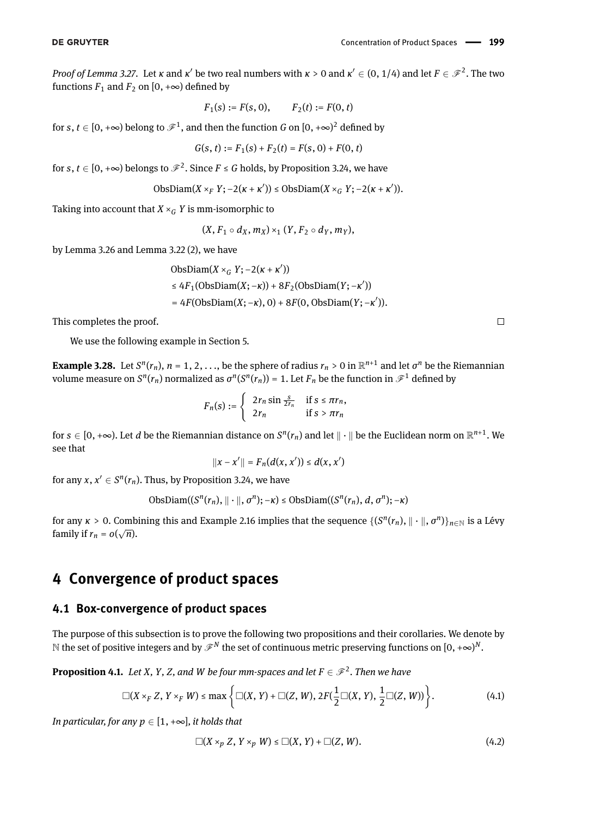$\Box$ 

*Proof of Lemma [3.27.](#page-12-1)* Let *κ* and *κ'* be two real numbers with  $\kappa > 0$  and  $\kappa' \in (0, 1/4)$  and let  $F \in \mathscr{F}^2$ . The two functions  $F_1$  and  $F_2$  on [0, + $\infty$ ) defined by

$$
F_1(s) := F(s, 0),
$$
  $F_2(t) := F(0, t)$ 

for  $s, t \in [0,+\infty)$  belong to  $\mathscr{F}^1$ , and then the function  $G$  on  $[0,+\infty)^2$  defined by

$$
G(s, t) := F_1(s) + F_2(t) = F(s, 0) + F(0, t)
$$

for  $s, t \in [0, +\infty)$  belongs to  $\mathscr{F}^2$ . Since  $F \leq G$  holds, by Proposition [3.24,](#page-11-1) we have

$$
\text{ObsDiam}(X\times_F Y;-2(\kappa+\kappa'))\leq \text{ObsDiam}(X\times_G Y;-2(\kappa+\kappa')).
$$

Taking into account that  $X \times_G Y$  is mm-isomorphic to

$$
(X, F_1 \circ d_X, m_X) \times_1 (Y, F_2 \circ d_Y, m_Y),
$$

by Lemma [3.26](#page-11-2) and Lemma [3.22](#page-10-2) (2), we have

$$
\begin{aligned} \text{ObsDiam}(X \times_G Y; -2(\kappa + \kappa'))\\ &\leq 4F_1(\text{ObsDiam}(X; -\kappa)) + 8F_2(\text{ObsDiam}(Y; -\kappa'))\\ &= 4F(\text{ObsDiam}(X; -\kappa), 0) + 8F(0, \text{ObsDiam}(Y; -\kappa')). \end{aligned}
$$

This completes the proof.

We use the following example in Section 5.

<span id="page-13-3"></span>**Example 3.28.** Let  $S^n(r_n)$ ,  $n = 1, 2, ...,$  be the sphere of radius  $r_n > 0$  in  $\mathbb{R}^{n+1}$  and let  $\sigma^n$  be the Riemannian volume measure on  $S^n(r_n)$  normalized as  $\sigma^n(S^n(r_n))$  = 1. Let  $F_n$  be the function in  $\mathscr{F}^1$  defined by

$$
F_n(s) := \begin{cases} 2r_n \sin \frac{s}{2r_n} & \text{if } s \leq \pi r_n, \\ 2r_n & \text{if } s > \pi r_n \end{cases}
$$

for  $s\in[0,+\infty)$ . Let  $d$  be the Riemannian distance on  $S^n(r_n)$  and let  $\|\cdot\|$  be the Euclidean norm on  $\R^{n+1}$ . We see that

$$
||x - x'|| = F_n(d(x, x')) \leq d(x, x')
$$

for any  $x, x' \in S^n(r_n)$ . Thus, by Proposition [3.24,](#page-11-1) we have

$$
\text{ObsDiam}((S^n(r_n), \|\cdot\|, \sigma^n); -\kappa) \leq \text{ObsDiam}((S^n(r_n), d, \sigma^n); -\kappa)
$$

for any  $\kappa > 0$ . Combining this and Example [2.16](#page-5-0) implies that the sequence  $\{(S^n(r_n), \| \cdot \|, \sigma^n)\}_{n \in \mathbb{N}}$  is a Lévy family if  $r_n = o(\sqrt{n})$ .

# **4 Convergence of product spaces**

### **4.1 Box-convergence of product spaces**

The purpose of this subsection is to prove the following two propositions and their corollaries. We denote by  $\mathbb N$  the set of positive integers and by  $\mathscr F^N$  the set of continuous metric preserving functions on  $[0,+\infty)^N.$ 

<span id="page-13-0"></span>**Proposition 4.1.** Let X, Y, Z, and W be four mm-spaces and let  $F \in \mathcal{F}^2$ . Then we have

$$
\Box(X\times_F Z, Y\times_F W)\leq \max\left\{\Box(X,Y)+\Box(Z,W), 2F(\frac{1}{2}\Box(X,Y),\frac{1}{2}\Box(Z,W))\right\}.
$$
 (4.1)

*In particular, for any*  $p \in [1, +\infty]$ *, it holds that* 

<span id="page-13-2"></span><span id="page-13-1"></span>
$$
\Box(X \times_p Z, Y \times_p W) \leq \Box(X, Y) + \Box(Z, W). \tag{4.2}
$$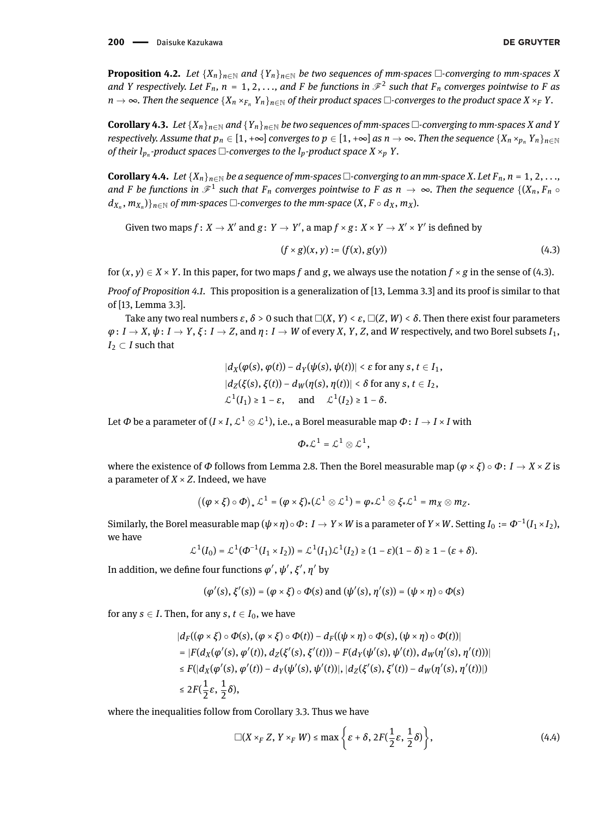200 - Daisuke Kazukawa

<span id="page-14-0"></span>**Proposition 4.2.** *Let* { $X_n$ }<sub>*n*∈N</sub> *and* { $Y_n$ }<sub>*n*∈N</sub> *be two sequences of mm-spaces*  $\Box$ *-converging to mm-spaces X and Y* respectively. Let  $F_n$ ,  $n = 1, 2, \ldots$ , and F be functions in  $\mathcal{F}^2$  such that  $F_n$  converges pointwise to F as *n* → ∞. Then the sequence  ${X_n \times_{F_n} Y_n}_{n \in \mathbb{N}}$  of their product spaces  $\Box$ -converges to the product space  $X \times_F Y$ .

<span id="page-14-3"></span>**Corollary 4.3.** *Let* { $X_n$ } $_{n \in \mathbb{N}}$  *and* { $Y_n$ } $_{n \in \mathbb{N}}$  *be two sequences of mm-spaces*  $\Box$ *-converging to mm-spaces X and Y respectively. Assume that*  $p_n \in [1, +\infty]$  *converges to*  $p \in [1, +\infty]$  *as*  $n \to \infty$ *. Then the sequence*  $\{X_n \times_{p_n} Y_n\}_{n \in \mathbb{N}}$ of their  $l_{p_n}$ -product spaces  $\Box$ -converges to the  $l_p$ -product space  $X \times_p Y$ .

<span id="page-14-4"></span>**Corollary 4.4.** *Let* { $X_n$ } $_{n \in \mathbb{N}}$  *be a sequence of mm-spaces* □-converging to an mm-space *X*. Let  $F_n$ ,  $n = 1, 2, \ldots$ , and F be functions in  $\mathscr{F}^1$  such that  $F_n$  converges pointwise to F as  $n\to\infty$ . Then the sequence  $\{(X_n,F_n\circ\phi):x\in X\}$  $(d_{X_n}, m_{X_n})\}_{n \in \mathbb{N}}$  of mm-spaces  $\Box$ -converges to the mm-space  $(X, F \circ d_X, m_X)$ .

Given two maps  $f\colon X\to X'$  and  $g\colon Y\to Y'$ , a map  $f\times g\colon X\times Y\to X'\times Y'$  is defined by

<span id="page-14-1"></span>
$$
(f \times g)(x, y) := (f(x), g(y))
$$
\n(4.3)

for  $(x, y) \in X \times Y$ . In this paper, for two maps *f* and *g*, we always use the notation  $f \times g$  in the sense of [\(4.3\)](#page-14-1).

*Proof of Proposition [4.1.](#page-13-0)* This proposition is a generalization of [\[13,](#page-32-17) Lemma 3.3] and its proof is similar to that of [\[13,](#page-32-17) Lemma 3.3].

Take any two real numbers  $\varepsilon$ ,  $\delta$  > 0 such that  $\Box(X, Y) < \varepsilon$ ,  $\Box(Z, W) < \delta$ . Then there exist four parameters  $\varphi: I \to X$ ,  $\psi: I \to Y$ ,  $\xi: I \to Z$ , and  $\eta: I \to W$  of every X, Y, Z, and W respectively, and two Borel subsets  $I_1$ ,  $I_2 \subset I$  such that

$$
|d_X(\varphi(s), \varphi(t)) - d_Y(\psi(s), \psi(t))| < \varepsilon \text{ for any } s, t \in I_1,
$$
\n
$$
|d_Z(\xi(s), \xi(t)) - d_W(\eta(s), \eta(t))| < \delta \text{ for any } s, t \in I_2,
$$
\n
$$
\mathcal{L}^1(I_1) \ge 1 - \varepsilon, \quad \text{and} \quad \mathcal{L}^1(I_2) \ge 1 - \delta.
$$

Let  $\varPhi$  be a parameter of ( $I$  ×  $I$ ,  $\mathcal{L}^1\otimes\mathcal{L}^1$ ), i.e., a Borel measurable map  $\varPhi\colon I\to I$  ×  $I$  with

$$
\Phi_{\star}\mathcal{L}^1=\mathcal{L}^1\otimes\mathcal{L}^1,
$$

where the existence of  $\Phi$  follows from Lemma [2.8.](#page-4-0) Then the Borel measurable map ( $\varphi \times \xi$ ) ∘  $\Phi$ : *I* → *X* × *Z* is a parameter of  $X \times Z$ . Indeed, we have

$$
((\varphi \times \xi) \circ \varPhi)_* \mathcal{L}^1 = (\varphi \times \xi)_* (\mathcal{L}^1 \otimes \mathcal{L}^1) = \varphi_* \mathcal{L}^1 \otimes \xi_* \mathcal{L}^1 = m_X \otimes m_Z.
$$

Similarly, the Borel measurable map  $(\psi \times \eta) \circ \Phi \colon I \to Y \times W$  is a parameter of  $Y \times W.$  Setting  $I_0 := \Phi^{-1}(I_1 \times I_2),$ we have

$$
\mathcal{L}^1(I_0)=\mathcal{L}^1(\Phi^{-1}(I_1\times I_2))=\mathcal{L}^1(I_1)\mathcal{L}^1(I_2)\geq (1-\varepsilon)(1-\delta)\geq 1-(\varepsilon+\delta).
$$

In addition, we define four functions  $\varphi', \psi', \xi', \eta'$  by

$$
(\varphi'(s), \xi'(s)) = (\varphi \times \xi) \circ \varPhi(s) \text{ and } (\psi'(s), \eta'(s)) = (\psi \times \eta) \circ \varPhi(s)
$$

for any *s*  $\in$  *I*. Then, for any *s*, *t*  $\in$  *I*<sub>0</sub>, we have

$$
|d_F((\varphi \times \xi) \circ \Phi(s), (\varphi \times \xi) \circ \Phi(t)) - d_F((\psi \times \eta) \circ \Phi(s), (\psi \times \eta) \circ \Phi(t))|
$$
  
= |F(d\_X(\varphi'(s), \varphi'(t)), d\_Z(\xi'(s), \xi'(t))) - F(d\_Y(\psi'(s), \psi'(t)), d\_W(\eta'(s), \eta'(t)))|  

$$
\leq F(|d_X(\varphi'(s), \varphi'(t)) - d_Y(\psi'(s), \psi'(t))|, |d_Z(\xi'(s), \xi'(t)) - d_W(\eta'(s), \eta'(t))|)
$$
  

$$
\leq 2F(\frac{1}{2}\varepsilon, \frac{1}{2}\delta),
$$

where the inequalities follow from Corollary [3.3.](#page-7-0) Thus we have

<span id="page-14-2"></span>
$$
\Box(X \times_F Z, Y \times_F W) \le \max\left\{\varepsilon + \delta, 2F(\frac{1}{2}\varepsilon, \frac{1}{2}\delta)\right\},\tag{4.4}
$$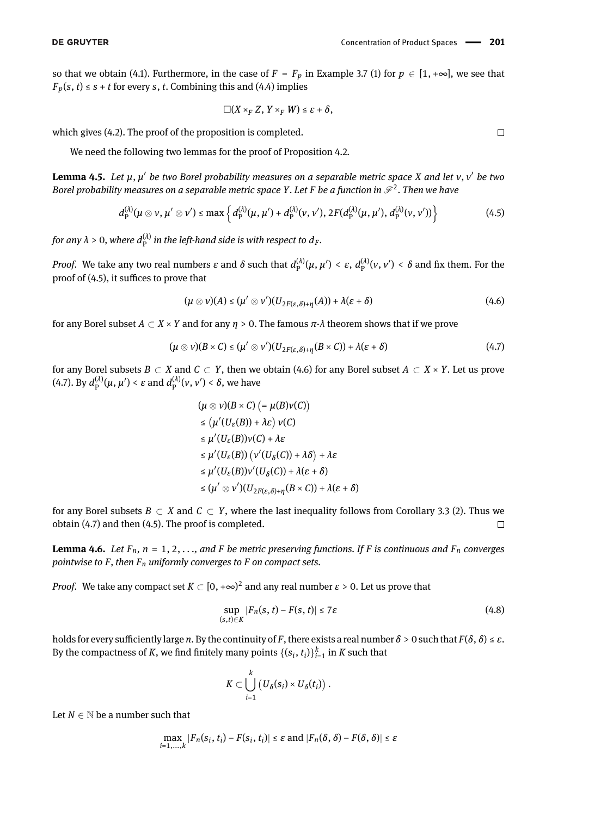so that we obtain [\(4.1\)](#page-13-1). Furthermore, in the case of  $F = F_p$  in Example [3.7](#page-7-1) (1) for  $p \in [1, +\infty]$ , we see that  $F_p(s, t) \leq s + t$  for every *s*, *t*. Combining this and [\(4.4\)](#page-14-2) implies

<span id="page-15-1"></span>
$$
\Box(X\times_F Z, Y\times_F W)\leq \varepsilon+\delta,
$$

which gives [\(4.2\)](#page-13-2). The proof of the proposition is completed.

We need the following two lemmas for the proof of Proposition [4.2.](#page-14-0)

<span id="page-15-5"></span>**Lemma 4.5.** *Let µ*, *µ* <sup>0</sup> *be two Borel probability measures on a separable metric space X and let ν*, *ν* <sup>0</sup> *be two Borel probability measures on a separable metric space Y. Let F be a function in*  $\mathscr{F}^2$ *. Then we have* 

$$
d_{\mathrm{P}}^{(\lambda)}(\mu \otimes \nu, \mu' \otimes \nu') \leq \max \left\{ d_{\mathrm{P}}^{(\lambda)}(\mu, \mu') + d_{\mathrm{P}}^{(\lambda)}(\nu, \nu'), 2F(d_{\mathrm{P}}^{(\lambda)}(\mu, \mu'), d_{\mathrm{P}}^{(\lambda)}(\nu, \nu')) \right\}
$$
(4.5)

for any  $\lambda > 0$ , where  $d_{\rm P}^{(\lambda)}$  in the left-hand side is with respect to  $d_F$ .

*Proof.* We take any two real numbers *ε* and *δ* such that  $d_P^{(\lambda)}(\mu, \mu') < \varepsilon$ ,  $d_P^{(\lambda)}(\nu, \nu') < \delta$  and fix them. For the proof of  $(4.5)$ , it suffices to prove that

<span id="page-15-2"></span>
$$
(\mu \otimes \nu)(A) \leq (\mu' \otimes \nu')(U_{2F(\varepsilon,\delta)+\eta}(A)) + \lambda(\varepsilon+\delta)
$$
\n(4.6)

for any Borel subset *A* ⊂ *X* × *Y* and for any *η* > 0. The famous *π*-*λ* theorem shows that if we prove

$$
(\mu \otimes \nu)(B \times C) \leq (\mu' \otimes \nu')(U_{2F(\varepsilon,\delta)+\eta}(B \times C)) + \lambda(\varepsilon+\delta)
$$
\n(4.7)

for any Borel subsets  $B \subset X$  and  $C \subset Y$ , then we obtain [\(4.6\)](#page-15-2) for any Borel subset  $A \subset X \times Y$ . Let us prove [\(4.7\)](#page-15-3). By  $d_{\rm P}^{(\lambda)}(\mu, \mu') < \varepsilon$  and  $d_{\rm P}^{(\lambda)}(\nu, \nu') < \delta$ , we have

<span id="page-15-3"></span>
$$
(\mu \otimes \nu)(B \times C) = \mu(B)\nu(C)
$$
  
\n
$$
\leq (\mu'(U_{\varepsilon}(B)) + \lambda \varepsilon) \nu(C)
$$
  
\n
$$
\leq \mu'(U_{\varepsilon}(B))\nu(C) + \lambda \varepsilon
$$
  
\n
$$
\leq \mu'(U_{\varepsilon}(B)) (\nu'(U_{\delta}(C)) + \lambda \delta) + \lambda \varepsilon
$$
  
\n
$$
\leq \mu'(U_{\varepsilon}(B))\nu'(U_{\delta}(C)) + \lambda(\varepsilon + \delta)
$$
  
\n
$$
\leq (\mu' \otimes \nu')(U_{2F(\varepsilon,\delta)+\eta}(B \times C)) + \lambda(\varepsilon + \delta)
$$

for any Borel subsets *B* ⊂ *X* and *C* ⊂ *Y*, where the last inequality follows from Corollary [3.3](#page-7-0) (2). Thus we obtain [\(4.7\)](#page-15-3) and then [\(4.5\)](#page-15-1). The proof is completed.  $\Box$ 

<span id="page-15-0"></span>**Lemma 4.6.** Let  $F_n$ ,  $n = 1, 2, \ldots$ , and  $F$  be metric preserving functions. If  $F$  is continuous and  $F_n$  converges *pointwise to F, then Fn uniformly converges to F on compact sets.*

*Proof.* We take any compact set  $K \subset [0,+\infty)^2$  and any real number  $\varepsilon > 0.$  Let us prove that

<span id="page-15-4"></span>
$$
\sup_{(s,t)\in K} |F_n(s,t) - F(s,t)| \le 7\varepsilon \tag{4.8}
$$

holds for every sufficiently large *n*. By the continuity of *F*, there exists a real number  $\delta > 0$  such that  $F(\delta, \delta) \leq \varepsilon$ . By the compactness of *K*, we find finitely many points  $\{(s_i, t_i)\}_{i=1}^k$  in *K* such that

$$
K\subset \bigcup_{i=1}^k \big(U_\delta(s_i)\times U_\delta(t_i)\big)\ .
$$

Let  $N \in \mathbb{N}$  be a number such that

$$
\max_{i=1,\ldots,k}|F_n(s_i,t_i)-F(s_i,t_i)|\leq \varepsilon \text{ and } |F_n(\delta,\delta)-F(\delta,\delta)|\leq \varepsilon
$$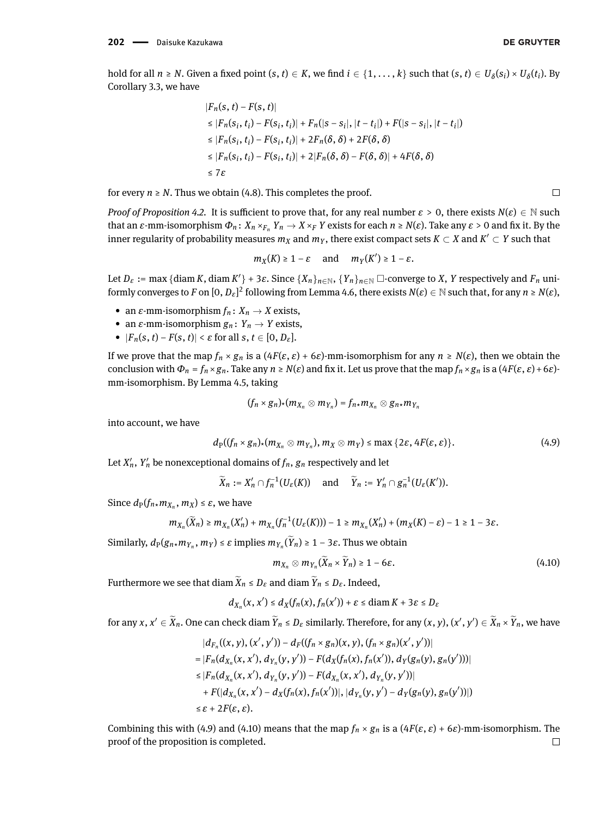$\Box$ 

hold for all  $n\geq N.$  Given a fixed point  $(s,t)\in K,$  we find  $i\in\{1,\ldots,k\}$  such that  $(s,t)\in U_\delta(s_i)\times U_\delta(t_i).$  By Corollary [3.3,](#page-7-0) we have

$$
|F_n(s, t) - F(s, t)|
$$
  
\n
$$
\leq |F_n(s_i, t_i) - F(s_i, t_i)| + F_n(|s - s_i|, |t - t_i|) + F(|s - s_i|, |t - t_i|)
$$
  
\n
$$
\leq |F_n(s_i, t_i) - F(s_i, t_i)| + 2F_n(\delta, \delta) + 2F(\delta, \delta)
$$
  
\n
$$
\leq |F_n(s_i, t_i) - F(s_i, t_i)| + 2|F_n(\delta, \delta) - F(\delta, \delta)| + 4F(\delta, \delta)
$$
  
\n
$$
\leq 7\varepsilon
$$

for every  $n \geq N$ . Thus we obtain [\(4.8\)](#page-15-4). This completes the proof.

*Proof of Proposition [4.2.](#page-14-0)* It is sufficient to prove that, for any real number  $\varepsilon > 0$ , there exists  $N(\varepsilon) \in \mathbb{N}$  such that an *ε*-mm-isomorphism  $Φ_n$ :  $X_n ×_{F_n} Y_n → X ×_F Y$  exists for each  $n ≥ N(ε)$ . Take any  $ε > 0$  and fix it. By the inner regularity of probability measures  $m_X$  and  $m_Y$ , there exist compact sets  $K\subset X$  and  $K'\subset Y$  such that

$$
m_X(K) \geq 1-\varepsilon \quad \text{ and } \quad m_Y(K') \geq 1-\varepsilon.
$$

Let  $D_{\varepsilon}$  := max {diam K, diam K'} + 3 $\varepsilon$ . Since  $\{X_n\}_{n\in\mathbb{N}}, \{Y_n\}_{n\in\mathbb{N}}$   $\Box$  converge to X, Y respectively and  $F_n$  uniformly converges to  $F$  on  $[0,D_\varepsilon]^2$  following from Lemma [4.6,](#page-15-0) there exists  $N(\varepsilon)\in\mathbb N$  such that, for any  $n\ge N(\varepsilon),$ 

- an  $\varepsilon$ -mm-isomorphism  $f_n: X_n \to X$  exists,
- an  $\varepsilon$ -mm-isomorphism  $g_n: Y_n \to Y$  exists,
- $|F_n(s,t) F(s,t)| < \varepsilon$  for all  $s, t \in [0, D_{\varepsilon}].$

If we prove that the map  $f_n \times g_n$  is a  $(4F(\varepsilon, \varepsilon) + 6\varepsilon)$ -mm-isomorphism for any  $n \ge N(\varepsilon)$ , then we obtain the conclusion with  $\Phi_n = f_n \times g_n$ . Take any  $n \ge N(\varepsilon)$  and fix it. Let us prove that the map  $f_n \times g_n$  is a  $(4F(\varepsilon, \varepsilon) + 6\varepsilon)$ mm-isomorphism. By Lemma [4.5,](#page-15-5) taking

$$
(f_n \times g_n)_*(m_{X_n} \otimes m_{Y_n}) = f_{n*}m_{X_n} \otimes g_{n*}m_{Y_n}
$$

into account, we have

<span id="page-16-0"></span>
$$
d_{\rm P}((f_n\times g_n)_*(m_{X_n}\otimes m_{Y_n}), m_X\otimes m_Y)\leq \max\{2\varepsilon, 4F(\varepsilon,\varepsilon)\}.
$$
 (4.9)

Let  $X'_n$ ,  $Y'_n$  be nonexceptional domains of  $f_n$ ,  $g_n$  respectively and let

$$
\widetilde{X}_n := X'_n \cap f_n^{-1}(U_{\varepsilon}(K))
$$
 and  $\widetilde{Y}_n := Y'_n \cap g_n^{-1}(U_{\varepsilon}(K')).$ 

Since  $d_P(f_{n*}m_{X_n}, m_X) \leq \varepsilon$ , we have

$$
m_{X_n}(\widetilde{X}_n) \geq m_{X_n}(X'_n) + m_{X_n}(f_n^{-1}(U_{\varepsilon}(K))) - 1 \geq m_{X_n}(X'_n) + (m_X(K) - \varepsilon) - 1 \geq 1 - 3\varepsilon.
$$

Similarly,  $d_P(g_{n*}m_{Y_n}, m_Y) \leq \varepsilon$  implies  $m_{Y_n}(Y_n) \geq 1 - 3\varepsilon$ . Thus we obtain

<span id="page-16-1"></span>
$$
m_{X_n} \otimes m_{Y_n}(\widetilde{X}_n \times \widetilde{Y}_n) \ge 1 - 6\varepsilon. \tag{4.10}
$$

Furthermore we see that diam  $\widetilde{X}_n \leq D_{\varepsilon}$  and diam  $\widetilde{Y}_n \leq D_{\varepsilon}$ . Indeed,

$$
d_{X_n}(x, x') \leq d_X(f_n(x), f_n(x')) + \varepsilon \leq \text{diam}\, K + 3\varepsilon \leq D_\varepsilon
$$

for any  $x, x' \in \widetilde{X}_n$ . One can check diam  $\widetilde{Y}_n \leq D_\varepsilon$  similarly. Therefore, for any  $(x, y), (x', y') \in \widetilde{X}_n \times \widetilde{Y}_n$ , we have

$$
|d_{F_n}((x, y), (x', y')) - d_F((f_n \times g_n)(x, y), (f_n \times g_n)(x', y'))|
$$
  
\n
$$
= |F_n(d_{X_n}(x, x'), d_{Y_n}(y, y')) - F(d_X(f_n(x), f_n(x')), d_Y(g_n(y), g_n(y')))|
$$
  
\n
$$
\leq |F_n(d_{X_n}(x, x'), d_{Y_n}(y, y')) - F(d_{X_n}(x, x'), d_{Y_n}(y, y'))|
$$
  
\n
$$
+ F(|d_{X_n}(x, x') - d_X(f_n(x), f_n(x'))|, |d_{Y_n}(y, y') - d_Y(g_n(y), g_n(y'))|)
$$
  
\n
$$
\leq \varepsilon + 2F(\varepsilon, \varepsilon).
$$

Combining this with [\(4.9\)](#page-16-0) and [\(4.10\)](#page-16-1) means that the map  $f_n \times g_n$  is a ( $4F(\varepsilon, \varepsilon) + 6\varepsilon$ )-mm-isomorphism. The proof of the proposition is completed. $\Box$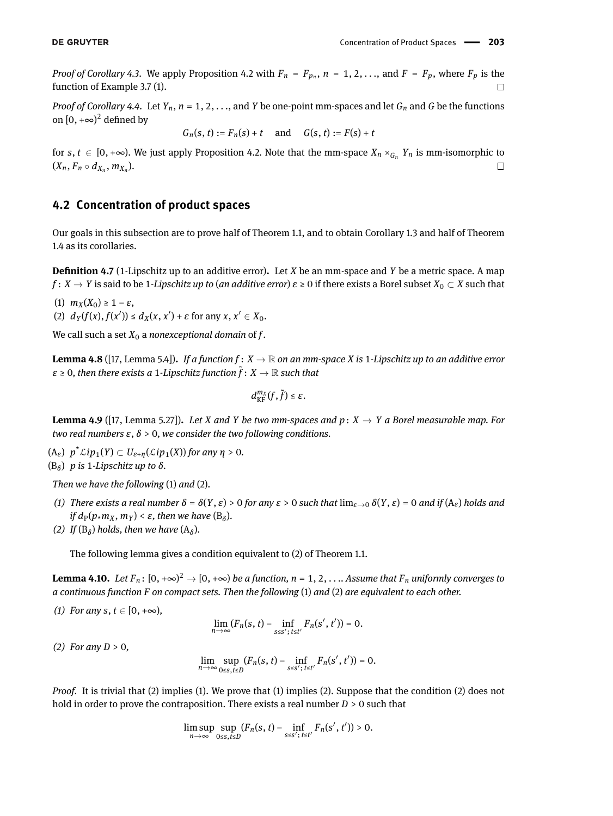*Proof of Corollary* [4.3.](#page-14-3) We apply Proposition [4.2](#page-14-0) with  $F_n = F_{p_n}$ ,  $n = 1, 2, \ldots$ , and  $F = F_p$ , where  $F_p$  is the function of Example [3.7](#page-7-1) [\(1\)](#page-7-2).  $\Box$ 

*Proof of Corollary* [4.4.](#page-14-4) Let  $Y_n$ ,  $n = 1, 2, \ldots$ , and *Y* be one-point mm-spaces and let  $G_n$  and *G* be the functions on  $[0, +\infty)^2$  defined by

 $G_n(s, t) := F_n(s) + t$  and  $G(s, t) := F(s) + t$ 

for  $s, t \in [0, +\infty)$ . We just apply Proposition [4.2.](#page-14-0) Note that the mm-space  $X_n \times_{G_n} Y_n$  is mm-isomorphic to  $\Box$  $(X_n, F_n \circ d_{X_n}, m_{X_n}).$ 

### **4.2 Concentration of product spaces**

Our goals in this subsection are to prove half of Theorem [1.1,](#page-1-0) and to obtain Corollary [1.3](#page-2-3) and half of Theorem [1.4](#page-2-2) as its corollaries.

**Definition 4.7** (1-Lipschitz up to an additive error). Let *X* be an mm-space and *Y* be a metric space. A map *f* :  $X \to Y$  is said to be 1*-Lipschitz up to (an additive error)*  $\varepsilon \ge 0$  if there exists a Borel subset  $X_0 \subset X$  such that

(1)  $m_X(X_0) \geq 1 - \varepsilon$ ,

(2)  $d_Y(f(x), f(x')) \le d_X(x, x') + \varepsilon$  for any  $x, x' \in X_0$ .

We call such a set  $X_0$  a *nonexceptional domain* of  $f$ .

<span id="page-17-2"></span>**Lemma 4.8** ([\[17,](#page-32-9) Lemma 5.4]). If a function  $f: X \to \mathbb{R}$  on an mm-space X is 1-Lipschitz up to an additive error  $\varepsilon \geq 0$ , then there exists a 1-Lipschitz function  $\tilde{f}: X \to \mathbb{R}$  such that

$$
d_{\mathrm{KF}}^{m_X}(f,\tilde{f})\leq \varepsilon.
$$

<span id="page-17-1"></span>**Lemma 4.9** ([\[17,](#page-32-9) Lemma 5.27]). Let *X* and *Y* be two mm-spaces and  $p: X \to Y$  a Borel measurable map. For *two real numbers ε*, *δ* > 0*, we consider the two following conditions.*

- (A*ε*) *p* \*L*ip*1(*Y*) ⊂ *Uε*+*η*(L*ip*1(*X*)) *for any η* > 0*.*
- (B*<sup>δ</sup>* ) *p is* 1*-Lipschitz up to δ.*

*Then we have the following* (1) *and* (2)*.*

- *(1) There exists a real number*  $\delta = \delta(Y, \varepsilon) > 0$  *for any*  $\varepsilon > 0$  *such that*  $\lim_{\varepsilon \to 0} \delta(Y, \varepsilon) = 0$  *and if* (A<sub>ε</sub>) *holds and*  $if d_P(p \star m_X, m_Y) < \varepsilon$ , then we have  $(B_\delta)$ .
- *(2)* If  $(B_\delta)$  holds, then we have  $(A_\delta)$ .

The following lemma gives a condition equivalent to [\(2\)](#page-1-2) of Theorem [1.1.](#page-1-0)

<span id="page-17-0"></span>**Lemma 4.10.** Let  $F_n$ :  $[0, +\infty)^2 \to [0, +\infty)$  be a function,  $n = 1, 2, \ldots$  Assume that  $F_n$  uniformly converges to *a continuous function F on compact sets. Then the following* (1) *and* (2) *are equivalent to each other.*

*(1) For any s*, *t* ∈ [0, +∞),

$$
\lim_{n\to\infty}(F_n(s,t)-\inf_{s\leq s';\,t\leq t'}F_n(s',t'))=0.
$$

*(2) For any D* > 0*,*

$$
\lim_{n\to\infty}\sup_{0\leq s,t\leq D}(F_n(s,t)-\inf_{s\leq s';\,t\leq t'}F_n(s',t'))=0.
$$

*Proof.* It is trivial that (2) implies (1). We prove that (1) implies (2). Suppose that the condition (2) does not hold in order to prove the contraposition. There exists a real number *D* > 0 such that

$$
\limsup_{n\to\infty}\sup_{0\leq s,t\leq D}(F_n(s,t)-\inf_{s\leq s';\,t\leq t'}F_n(s',t'))>0.
$$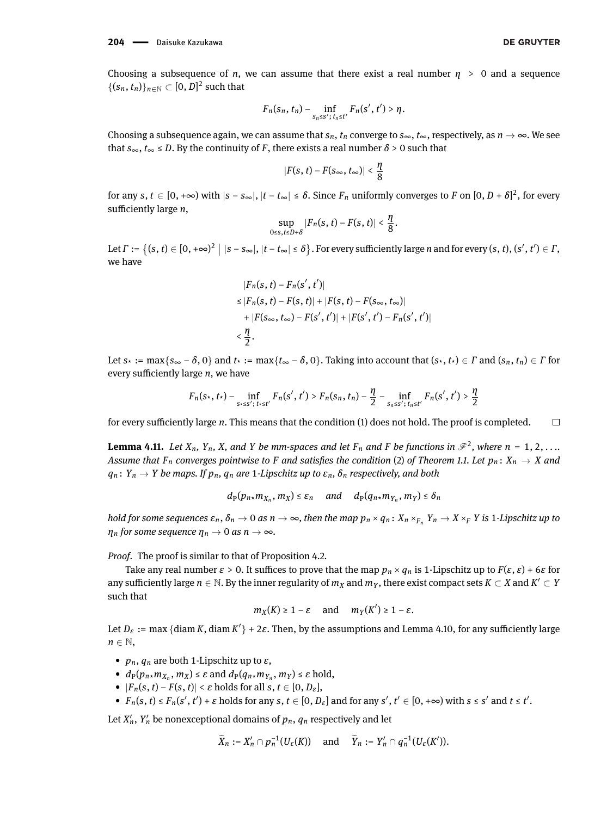Choosing a subsequence of *n*, we can assume that there exist a real number  $\eta > 0$  and a sequence  $\{(s_n,t_n)\}_{n\in\mathbb{N}}\subset[0,D]^2$  such that

$$
F_n(s_n,t_n)-\inf_{s_n\leq s'\,;\,t_n\leq t'}F_n(s',t')>\eta.
$$

Choosing a subsequence again, we can assume that  $s_n$ ,  $t_n$  converge to  $s_{\infty}$ ,  $t_{\infty}$ , respectively, as  $n \to \infty$ . We see that  $s_{\infty}$ ,  $t_{\infty} \leq D$ . By the continuity of *F*, there exists a real number  $\delta > 0$  such that

$$
|F(s, t)-F(s_{\infty}, t_{\infty})|<\frac{\eta}{8}
$$

for any  $s, t \in [0, +\infty)$  with  $|s - s_\infty|, |t - t_\infty| \le \delta$ . Since  $F_n$  uniformly converges to  $F$  on  $[0, D + \delta]^2$ , for every sufficiently large *n*,

$$
\sup_{0\leq s,t\leq D+\delta}|F_n(s,t)-F(s,t)|<\frac{\eta}{8}.
$$

Let  $\Gamma := \{(s, t) \in [0, +\infty)^2 \mid |s - s_\infty|, |t - t_\infty| \le \delta\}$ . For every sufficiently large n and for every  $(s, t), (s', t') \in \Gamma$ , we have

$$
|F_n(s, t) - F_n(s', t')|
$$
  
\n
$$
\leq |F_n(s, t) - F(s, t)| + |F(s, t) - F(s_{\infty}, t_{\infty})|
$$
  
\n
$$
+ |F(s_{\infty}, t_{\infty}) - F(s', t')| + |F(s', t') - F_n(s', t')|
$$
  
\n
$$
< \frac{\eta}{2}.
$$

Let  $s$ \* := max{ $s$ ∞ −  $\delta$ , 0} and  $t$ \* := max{ $t$ ∞ −  $\delta$ , 0}. Taking into account that ( $s$ \*,  $t$ \*)  $\in$   $\Gamma$  and ( $s_n$ ,  $t_n$ )  $\in$   $\Gamma$  for every sufficiently large  $n$ , we have

$$
F_n(s_*, t_*) - \inf_{s_* \le s';\, t_* \le t'} F_n(s', t') > F_n(s_n, t_n) - \frac{\eta}{2} - \inf_{s_n \le s';\, t_n \le t'} F_n(s', t') > \frac{\eta}{2}
$$

for every sufficiently large *n*. This means that the condition (1) does not hold. The proof is completed.  $\Box$ 

<span id="page-18-0"></span>**Lemma 4.11.** Let  $X_n$ ,  $Y_n$ , X, and Y be mm-spaces and let  $F_n$  and F be functions in  $\mathscr{F}^2$ , where  $n = 1, 2, ...$ *Assume that*  $F_n$  *converges pointwise to*  $F$  *and satisfies the condition* [\(2\)](#page-1-2) *of Theorem [1.1.](#page-1-0)* Let  $p_n: X_n \to X$  *and*  $q_n: Y_n \to Y$  *be maps. If*  $p_n$ *,*  $q_n$  *are* 1*-Lipschitz up to*  $\varepsilon_n$ *,*  $\delta_n$  *respectively, and both* 

$$
d_P(p_{n\star}m_{X_n}, m_X) \leq \varepsilon_n \quad \text{and} \quad d_P(q_{n\star}m_{Y_n}, m_Y) \leq \delta_n
$$

hold for some sequences  $\varepsilon_n$ ,  $\delta_n\to 0$  as  $n\to\infty$ , then the map  $p_n\times q_n\colon X_n\times_{F_n}Y_n\to X\times_F Y$  is 1-Lipschitz up to *n*<sub>*n*</sub> *for some sequence*  $\eta_n \to 0$  *as*  $n \to \infty$ *.* 

*Proof.* The proof is similar to that of Proposition [4.2.](#page-14-0)

Take any real number  $\varepsilon > 0$ . It suffices to prove that the map  $p_n \times q_n$  is 1-Lipschitz up to  $F(\varepsilon, \varepsilon) + 6\varepsilon$  for any sufficiently large  $n\in\mathbb{N}$ . By the inner regularity of  $m_X$  and  $m_Y$ , there exist compact sets  $K\subset X$  and  $K'\subset Y$ such that

$$
m_X(K) \ge 1 - \varepsilon
$$
 and  $m_Y(K') \ge 1 - \varepsilon$ .

Let  $D_{\varepsilon}$  := max {diam K, diam K'} + 2 $\varepsilon$ . Then, by the assumptions and Lemma [4.10,](#page-17-0) for any sufficiently large  $n \in \mathbb{N}$ ,

- $p_n$ ,  $q_n$  are both 1-Lipschitz up to  $\varepsilon$ ,
- $d_P(p_{n*}m_{X_n}, m_X) \leq \varepsilon$  and  $d_P(q_{n*}m_{Y_n}, m_Y) \leq \varepsilon$  hold,
- $|F_n(s, t) F(s, t)| < \varepsilon$  holds for all  $s, t \in [0, D_{\varepsilon}],$
- $F_n(s, t) \le F_n(s', t') + \varepsilon$  holds for any  $s, t \in [0, D_{\varepsilon}]$  and for any  $s', t' \in [0, +\infty)$  with  $s \le s'$  and  $t \le t'$ .

Let  $X'_n$ ,  $Y'_n$  be nonexceptional domains of  $p_n$ ,  $q_n$  respectively and let

$$
\widetilde{X}_n := X'_n \cap p_n^{-1}(U_{\varepsilon}(K))
$$
 and  $\widetilde{Y}_n := Y'_n \cap q_n^{-1}(U_{\varepsilon}(K')).$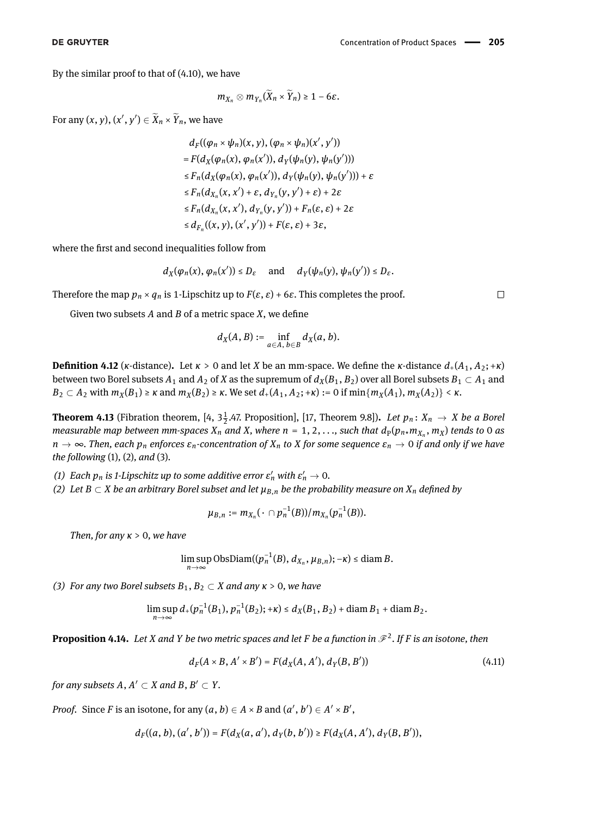By the similar proof to that of [\(4.10\)](#page-16-1), we have

$$
m_{X_n}\otimes m_{Y_n}(\bar{X}_n\times \bar{Y}_n)\geq 1-6\varepsilon.
$$

For any  $(x, y)$ ,  $(x', y') \in \widetilde{X}_n \times \widetilde{Y}_n$ , we have

$$
d_F((\varphi_n \times \psi_n)(x, y), (\varphi_n \times \psi_n)(x', y'))
$$
  
=  $F(d_X(\varphi_n(x), \varphi_n(x')), d_Y(\psi_n(y), \psi_n(y')))$   
 $\leq F_n(d_X(\varphi_n(x), \varphi_n(x')), d_Y(\psi_n(y), \psi_n(y')))+\varepsilon$   
 $\leq F_n(d_{X_n}(x, x') + \varepsilon, d_{Y_n}(y, y') + \varepsilon) + 2\varepsilon$   
 $\leq F_n(d_{X_n}(x, x'), d_{Y_n}(y, y')) + F_n(\varepsilon, \varepsilon) + 2\varepsilon$   
 $\leq d_{F_n}((x, y), (x', y')) + F(\varepsilon, \varepsilon) + 3\varepsilon,$ 

where the first and second inequalities follow from

$$
d_X(\varphi_n(x),\, \varphi_n(x')) \leq D_\varepsilon \quad \text{ and } \quad d_Y(\psi_n(y),\, \psi_n(y')) \leq D_\varepsilon.
$$

Therefore the map  $p_n \times q_n$  is 1-Lipschitz up to  $F(\varepsilon, \varepsilon) + 6\varepsilon$ . This completes the proof.

Given two subsets  $A$  and  $B$  of a metric space  $X$ , we define

$$
d_X(A, B) := \inf_{a \in A, b \in B} d_X(a, b).
$$

**Definition 4.12** (*κ*-distance). Let  $\kappa > 0$  and let *X* be an mm-space. We define the *κ*-distance  $d_+(A_1, A_2; +\kappa)$ between two Borel subsets  $A_1$  and  $A_2$  of *X* as the supremum of  $d_X(B_1, B_2)$  over all Borel subsets  $B_1 \subset A_1$  and  $B_2 \subset A_2$  with  $m_X(B_1) \ge \kappa$  and  $m_X(B_2) \ge \kappa$ . We set  $d_+(A_1, A_2; +\kappa) := 0$  if  $\min\{m_X(A_1), m_X(A_2)\} < \kappa$ .

<span id="page-19-0"></span>**Theorem 4.13** (Fibration theorem, [\[4,](#page-32-1) 3 $\frac{1}{2}$ .47. Proposition], [\[17,](#page-32-9) Theorem 9.8]). *Let*  $p_n: X_n \to X$  *be a Borel measurable map between mm-spaces*  $X_n$  *and*  $X$ *, where*  $n = 1, 2, ...,$  *such that*  $d_P(p_n, m_{X_n}, m_X)$  *tends to 0 as n* → ∞*. Then, each p<sup>n</sup> enforces εn-concentration of X<sup>n</sup> to X for some sequence ε<sup>n</sup>* → 0 *if and only if we have the following* (1)*,* (2)*, and* (3)*.*

- *(1)* Each  $p_n$  is 1-Lipschitz up to some additive error  $\varepsilon'_n$  with  $\varepsilon'_n \to 0$ .
- *(2)* Let  $B ⊂ X$  *be an arbitrary Borel subset and let*  $\mu_{B,n}$  *be the probability measure on*  $X_n$  *defined by*

$$
\mu_{B,n} := m_{X_n}(\cdot \cap p_n^{-1}(B))/m_{X_n}(p_n^{-1}(B)).
$$

*Then, for any κ* > 0*, we have*

$$
\limsup_{n\to\infty} \text{ObsDiam}((p_n^{-1}(B), d_{X_n}, \mu_{B,n}); -\kappa) \leq \text{diam } B.
$$

*(3) For any two Borel subsets*  $B_1, B_2 \subset X$  *and any*  $\kappa > 0$ *, we have* 

$$
\limsup_{n\to\infty} d_+(p_n^{-1}(B_1), p_n^{-1}(B_2); +\kappa) \leq d_X(B_1, B_2) + \text{diam}\, B_1 + \text{diam}\, B_2.
$$

<span id="page-19-1"></span>**Proposition 4.14.** Let *X* and *Y* be two metric spaces and let *F* be a function in  $\mathscr{F}^2$ . If *F* is an isotone, then

$$
d_F(A \times B, A' \times B') = F(d_X(A, A'), d_Y(B, B')) \tag{4.11}
$$

*for any subsets*  $A, A' \subset X$  *and*  $B, B' \subset Y$ .

*Proof.* Since *F* is an isotone, for any  $(a, b) \in A \times B$  and  $(a', b') \in A' \times B'$ ,

$$
d_F((a, b), (a', b')) = F(d_X(a, a'), d_Y(b, b')) \geq F(d_X(A, A'), d_Y(B, B')),
$$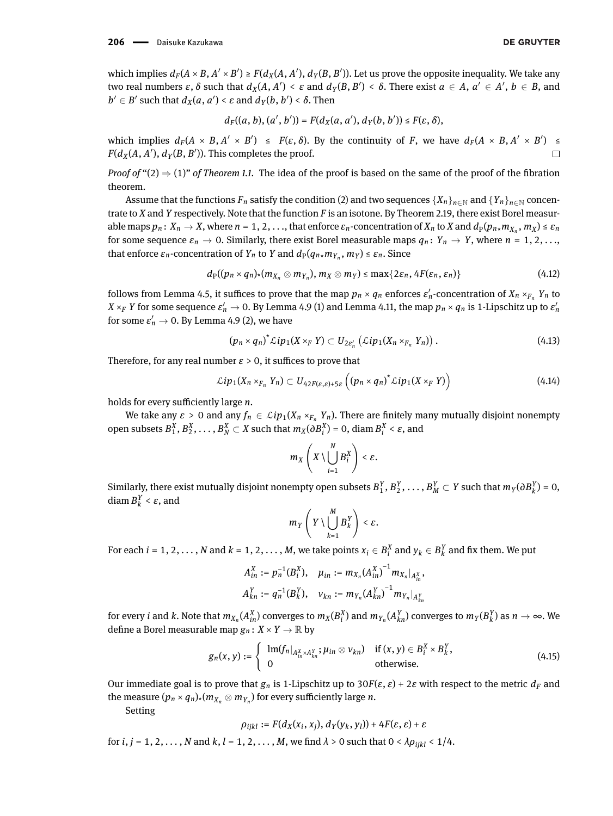which implies  $d_F(A \times B, A' \times B') \ge F(d_X(A, A'), d_Y(B, B')).$  Let us prove the opposite inequality. We take any two real numbers  $\varepsilon$ ,  $\delta$  such that  $d_X(A, A') < \varepsilon$  and  $d_Y(B, B') < \delta$ . There exist  $a \in A$ ,  $a' \in A'$ ,  $b \in B$ , and  $b' \in B'$  such that  $d_X(a, a') < ε$  and  $d_Y(b, b') < δ$ . Then

$$
d_F((a, b), (a', b')) = F(d_X(a, a'), d_Y(b, b')) \leq F(\varepsilon, \delta),
$$

which implies  $d_F(A \times B, A' \times B') \leq F(\varepsilon, \delta)$ . By the continuity of *F*, we have  $d_F(A \times B, A' \times B') \leq$  $F(d_X(A, A'), d_Y(B, B')).$  This completes the proof.  $\Box$ 

*Proof of* " $(2) \Rightarrow (1)$  $(2) \Rightarrow (1)$  $(2) \Rightarrow (1)$ " *of Theorem [1.1.](#page-1-0)* The idea of the proof is based on the same of the proof of the fibration theorem.

Assume that the functions  $F_n$  satisfy the condition [\(2\)](#page-1-2) and two sequences  $\{X_n\}_{n\in\mathbb{N}}$  and  $\{Y_n\}_{n\in\mathbb{N}}$  concentrate to *X* and *Y* respectively. Note that the function *F* is an isotone. By Theorem [2.19,](#page-5-1) there exist Borel measurable maps  $p_n\colon X_n\to X$ , where  $n=1,2,\ldots$ , that enforce  $\varepsilon_n$ -concentration of  $X_n$  to  $X$  and  $d_{\rm P}(p_n$ ,  $m_{X_n},\,m_X)\leq\varepsilon_n$ for some sequence  $\varepsilon_n \to 0$ . Similarly, there exist Borel measurable maps  $q_n: Y_n \to Y$ , where  $n = 1, 2, \ldots$ that enforce  $\varepsilon_n$ -concentration of  $Y_n$  to  $Y$  and  $d_P(q_n \star m_{Y_n}, m_Y) \leq \varepsilon_n$ . Since

$$
d_{\mathrm{P}}((p_n \times q_n) \star (m_{X_n} \otimes m_{Y_n}), m_X \otimes m_Y) \leq \max\{2\varepsilon_n, 4F(\varepsilon_n, \varepsilon_n)\}\tag{4.12}
$$

follows from Lemma [4.5,](#page-15-5) it suffices to prove that the map  $p_n \times q_n$  enforces  $\varepsilon'_n$ -concentration of  $X_n \times_{F_n} Y_n$  to  $X\times_F Y$  for some sequence  $\varepsilon'_n\to 0.$  By Lemma [4.9](#page-17-1) (1) and Lemma [4.11,](#page-18-0) the map  $p_n\times q_n$  is 1-Lipschitz up to  $\varepsilon'_n$ for some  $\varepsilon'_n \to 0$ . By Lemma [4.9](#page-17-1) (2), we have

<span id="page-20-0"></span>
$$
(p_n \times q_n)^{\star} \mathcal{L}ip_1(X \times_F Y) \subset U_{2\varepsilon'_n}(\mathcal{L}ip_1(X_n \times_{F_n} Y_n)). \qquad (4.13)
$$

Therefore, for any real number  $\varepsilon > 0$ , it suffices to prove that

$$
\mathcal{L}ip_1(X_n\times_{F_n}Y_n)\subset U_{42F(\varepsilon,\varepsilon)+5\varepsilon}\left((p_n\times q_n)^*\mathcal{L}ip_1(X\times_F Y)\right)\tag{4.14}
$$

holds for every sufficiently large *n*.

We take any  $\varepsilon > 0$  and any  $f_n \in \mathcal{L}ip_1(X_n \times_{F_n} Y_n)$ . There are finitely many mutually disjoint nonempty open subsets  $B_1^X, B_2^X, \ldots, B_N^X \subset X$  such that  $m_X(\partial B_i^X) = 0$ , diam  $B_i^X < \varepsilon$ , and

$$
m_X\left(X\setminus\bigcup_{i=1}^N B_i^X\right)<\varepsilon.
$$

Similarly, there exist mutually disjoint nonempty open subsets  $B_1^Y, B_2^Y, \ldots, B_M^Y \subset Y$  such that  $m_Y(\partial B_k^Y) = 0$ , diam  $B_k^Y < \varepsilon$ , and

$$
m_Y\left(Y\setminus\bigcup_{k=1}^M B_k^Y\right)<\varepsilon.
$$

For each  $i = 1, 2, ..., N$  and  $k = 1, 2, ..., M$ , we take points  $x_i \in B_i^X$  and  $y_k \in B_k^Y$  and fix them. We put

$$
A_{in}^X := p_n^{-1}(B_i^X), \quad \mu_{in} := m_{X_n}(A_{in}^X)^{-1} m_{X_n}|_{A_{in}^X},
$$
  

$$
A_{kn}^Y := q_n^{-1}(B_k^Y), \quad v_{kn} := m_{Y_n}(A_{kn}^Y)^{-1} m_{Y_n}|_{A_{kn}^Y}
$$

for every  $i$  and  $k.$  Note that  $m_{X_n}(A_{in}^X)$  converges to  $m_X(B_i^X)$  and  $m_{Y_n}(A_{kn}^Y)$  converges to  $m_Y(B_k^Y)$  as  $n\to\infty.$  We define a Borel measurable map  $g_n: X \times Y \to \mathbb{R}$  by

$$
g_n(x, y) := \begin{cases} \operatorname{lm}(f_n|_{A_{in}^X \times A_{kn}^Y}; \mu_{in} \otimes \nu_{kn}) & \text{if } (x, y) \in B_i^X \times B_k^Y, \\ 0 & \text{otherwise.} \end{cases}
$$
(4.15)

Our immediate goal is to prove that  $g_n$  is 1-Lipschitz up to 30*F*( $\varepsilon$ ,  $\varepsilon$ ) + 2 $\varepsilon$  with respect to the metric  $d_F$  and the measure  $(p_n \times q_n)$  $\star$   $(m_{X_n} \otimes m_{Y_n})$  for every sufficiently large *n*.

Setting

$$
\rho_{ijkl} := F(d_X(x_i, x_j), d_Y(y_k, y_l)) + 4F(\varepsilon, \varepsilon) + \varepsilon
$$

for  $i, j = 1, 2, \ldots, N$  and  $k, l = 1, 2, \ldots, M$ , we find  $\lambda > 0$  such that  $0 < \lambda \rho_{iikl} < 1/4$ .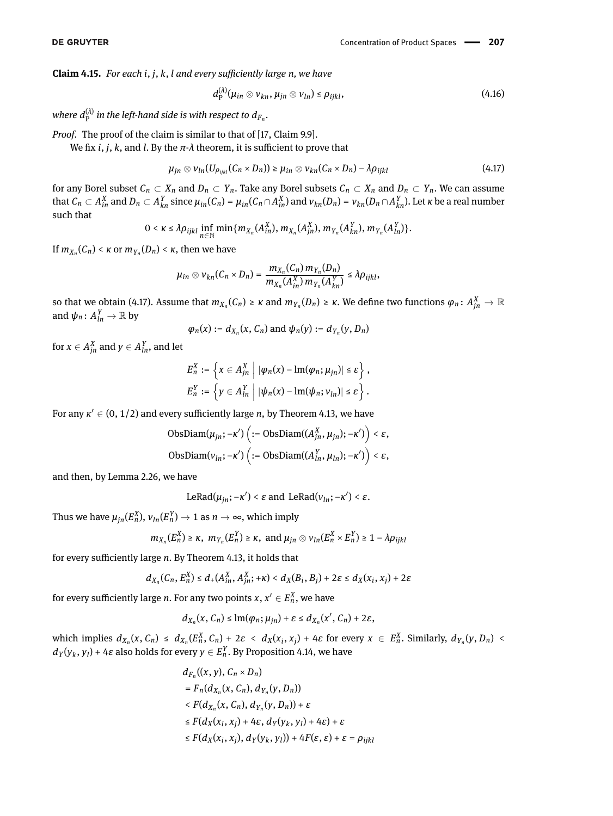<span id="page-21-1"></span>**Claim 4.15.** *For each i*, *j*, *k*, *l and every suciently large n, we have*

<span id="page-21-0"></span>
$$
d_{\mathrm{P}}^{(\lambda)}(\mu_{in} \otimes \nu_{kn}, \mu_{jn} \otimes \nu_{ln}) \leq \rho_{ijkl}, \qquad (4.16)
$$

where  $d_{\rm P}^{(\lambda)}$  in the left-hand side is with respect to  $d_{F_n}.$ 

*Proof.* The proof of the claim is similar to that of [\[17,](#page-32-9) Claim 9.9].

We fix *i*, *j*, *k*, and *l*. By the  $\pi$ - $\lambda$  theorem, it is sufficient to prove that

$$
\mu_{jn} \otimes \nu_{ln}(U_{\rho_{ijkl}}(C_n \times D_n)) \geq \mu_{in} \otimes \nu_{kn}(C_n \times D_n) - \lambda \rho_{ijkl} \tag{4.17}
$$

for any Borel subset  $C_n \subset X_n$  and  $D_n \subset Y_n$ . Take any Borel subsets  $C_n \subset X_n$  and  $D_n \subset Y_n$ . We can assume that  $C_n\subset A_{in}^X$  and  $D_n\subset A_{kn}^Y$  since  $\mu_{in}(C_n)=\mu_{in}(C_n\cap A_{in}^X)$  and  $v_{kn}(D_n)=v_{kn}(D_n\cap A_{kn}^Y)$ . Let  $\kappa$  be a real number such that

$$
0 < \kappa \leq \lambda \rho_{ijkl} \inf_{n \in \mathbb{N}} \min \{ m_{X_n}(A_{in}^X), m_{X_n}(A_{jn}^X), m_{Y_n}(A_{kn}^Y), m_{Y_n}(A_{ln}^Y) \}.
$$

If  $m_{X_n}(C_n) < \kappa$  or  $m_{Y_n}(D_n) < \kappa$ , then we have

$$
\mu_{in} \otimes \nu_{kn}(C_n \times D_n) = \frac{m_{X_n}(C_n) m_{Y_n}(D_n)}{m_{X_n}(A_{in}^X) m_{Y_n}(A_{kn}^Y)} \leq \lambda \rho_{ijkl},
$$

so that we obtain [\(4.17\)](#page-21-0). Assume that  $m_{X_n}(C_n)\geq \kappa$  and  $m_{Y_n}(D_n)\geq \kappa.$  We define two functions  $\varphi_n\colon A^X_{jn}\to\mathbb{R}$ and  $\psi_n \colon A^Y_{ln} \to \mathbb{R}$  by

$$
\varphi_n(x) := d_{X_n}(x, C_n) \text{ and } \psi_n(y) := d_{Y_n}(y, D_n)
$$

for  $x \in A_{jn}^X$  and  $y \in A_{ln}^Y$ , and let

$$
E_n^X := \left\{ x \in A_{jn}^X \middle| \left| \varphi_n(x) - \text{Im}(\varphi_n; \mu_{jn}) \right| \leq \varepsilon \right\},
$$
  

$$
E_n^Y := \left\{ y \in A_{ln}^Y \middle| \left| \psi_n(x) - \text{Im}(\psi_n; \nu_{ln}) \right| \leq \varepsilon \right\}.
$$

For any  $\kappa' \in (0, 1/2)$  and every sufficiently large *n*, by Theorem [4.13,](#page-19-0) we have

$$
\begin{aligned} \text{ObsDiam}(\mu_{jn}; -\kappa')\left(:=\text{ObsDiam}((A_{jn}^X, \mu_{jn}); -\kappa')\right)<\varepsilon, \\ \text{ObsDiam}(v_{ln}; -\kappa')\left(:=\text{ObsDiam}((A_{ln}^Y, \mu_{ln}); -\kappa')\right)<\varepsilon, \end{aligned}
$$

and then, by Lemma [2.26,](#page-6-1) we have

 $\text{LeRad}(\mu_{jn}; -\kappa')$  < *ε* and  $\text{LeRad}(v_{ln}; -\kappa')$  < *ε*.

Thus we have  $\mu_{jn}(E_n^X),$   $\nu_{ln}(E_n^Y) \rightarrow 1$  as  $n \rightarrow \infty,$  which imply

$$
m_{X_n}(E_n^X) \ge \kappa
$$
,  $m_{Y_n}(E_n^Y) \ge \kappa$ , and  $\mu_{jn} \otimes \nu_{ln}(E_n^X \times E_n^Y) \ge 1 - \lambda \rho_{ijkl}$ 

for every sufficiently large *n*. By Theorem [4.13,](#page-19-0) it holds that

$$
d_{X_n}(C_n, E_n^X) \leq d_+(A_{in}^X, A_{in}^X; +\kappa) < d_X(B_i, B_j) + 2\varepsilon \leq d_X(x_i, x_j) + 2\varepsilon
$$

for every sufficiently large *n*. For any two points  $x$  ,  $x' \in E^X_n$  , we have

$$
d_{X_n}(x, C_n) \leq \text{lm}(\varphi_n; \mu_{jn}) + \varepsilon \leq d_{X_n}(x', C_n) + 2\varepsilon,
$$

which implies  $d_{X_n}(x, C_n) \leq d_{X_n}(E_n^X, C_n) + 2\varepsilon < d_X(x_i, x_j) + 4\varepsilon$  for every  $x \in E_n^X$ . Similarly,  $d_{Y_n}(y, D_n)$  $d_Y(y_k, y_l)$  + 4*ε* also holds for every  $y \in E_n^Y$ . By Proposition [4.14,](#page-19-1) we have

$$
d_{F_n}((x, y), C_n \times D_n)
$$
  
=  $F_n(d_{X_n}(x, C_n), d_{Y_n}(y, D_n))$   
 $\langle F(d_{X_n}(x, C_n), d_{Y_n}(y, D_n)) + \varepsilon$   
 $\leq F(d_X(x_i, x_j) + 4\varepsilon, d_Y(y_k, y_l) + 4\varepsilon) + \varepsilon$   
 $\leq F(d_X(x_i, x_j), d_Y(y_k, y_l)) + 4F(\varepsilon, \varepsilon) + \varepsilon = \rho_{ijkl}$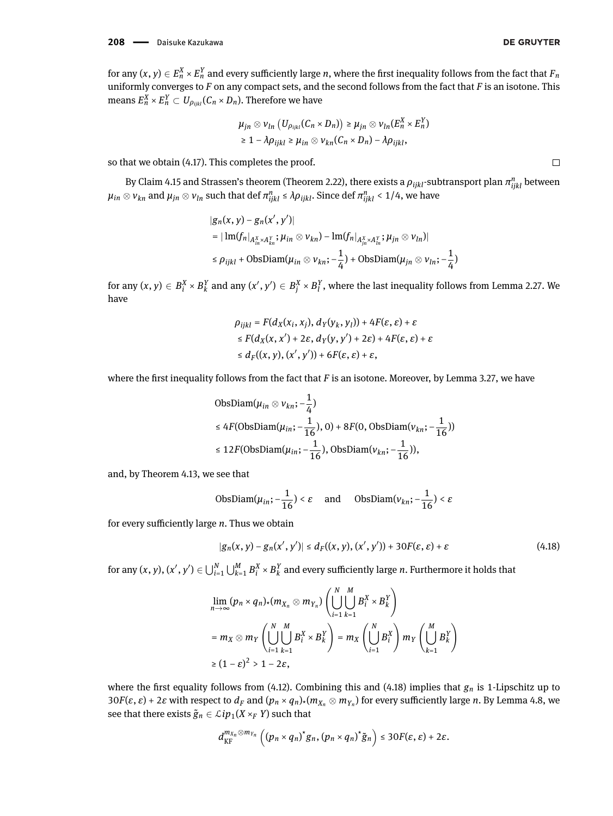for any  $(x,y)\in E_n^X\times E_n^Y$  and every sufficiently large  $n,$  where the first inequality follows from the fact that  $F_n$ uniformly converges to *F* on any compact sets, and the second follows from the fact that *F* is an isotone. This means  $E_n^X \times E_n^Y \subset U_{\rho_{ijkl}} (\mathcal{C}_n \times D_n).$  Therefore we have

$$
\mu_{jn} \otimes \nu_{ln} (U_{\rho_{ijkl}}(C_n \times D_n)) \geq \mu_{jn} \otimes \nu_{ln}(E_n^X \times E_n^Y)
$$
  
\n
$$
\geq 1 - \lambda \rho_{ijkl} \geq \mu_{in} \otimes \nu_{kn}(C_n \times D_n) - \lambda \rho_{ijkl},
$$

so that we obtain [\(4.17\)](#page-21-0). This completes the proof.

By Claim [4.15](#page-21-1) and Strassen's theorem (Theorem [2.22\)](#page-5-2), there exists a  $\rho_{ijkl}$ -subtransport plan  $\pi_{ijkl}^n$  between  $\mu_{in}\otimes\nu_{kn}$  and  $\mu_{jn}\otimes\nu_{ln}$  such that def  $\pi_{ijkl}^n\leq\lambda\rho_{ijkl}.$  Since def  $\pi_{ijkl}^n< 1/4,$  we have

$$
|g_n(x, y) - g_n(x', y')|
$$
  
= | Im( $f_n|_{A^x_m \times A^y_m}$ ;  $\mu_{in} \otimes \nu_{kn}$ ) - Im( $f_n|_{A^x_m \times A^y_n}$ ;  $\mu_{jn} \otimes \nu_{ln}$ )|  
 $\leq \rho_{ijkl}$  + ObsDiam( $\mu_{in} \otimes \nu_{kn}$ ;  $-\frac{1}{4}$ ) + ObsDiam( $\mu_{jn} \otimes \nu_{ln}$ ;  $-\frac{1}{4}$ )

for any  $(x,y)\in B_i^X\times B_k^Y$  and any  $(x',y')\in B_j^X\times B_l^Y,$  where the last inequality follows from Lemma [2.27.](#page-6-2) We have

$$
\rho_{ijkl} = F(d_X(x_i, x_j), d_Y(y_k, y_l)) + 4F(\varepsilon, \varepsilon) + \varepsilon
$$
  
\n
$$
\leq F(d_X(x, x') + 2\varepsilon, d_Y(y, y') + 2\varepsilon) + 4F(\varepsilon, \varepsilon) + \varepsilon
$$
  
\n
$$
\leq d_F((x, y), (x', y')) + 6F(\varepsilon, \varepsilon) + \varepsilon,
$$

where the first inequality follows from the fact that *F* is an isotone. Moreover, by Lemma [3.27,](#page-12-1) we have

ObsDiam(
$$
\mu_{in} \otimes v_{kn}
$$
; - $\frac{1}{4}$ )  
≤ 4F(ObsDiam( $\mu_{in}$ ; - $\frac{1}{16}$ ), 0) + 8F(0, ObsDiam( $v_{kn}$ ; - $\frac{1}{16}$ ))  
≤ 12F(ObsDiam( $\mu_{in}$ ; - $\frac{1}{16}$ ), ObsDiam( $v_{kn}$ ; - $\frac{1}{16}$ )),

and, by Theorem [4.13,](#page-19-0) we see that

$$
\text{ObsDiam}(\mu_{in}; -\frac{1}{16}) < \varepsilon \quad \text{and} \quad \text{ObsDiam}(v_{kn}; -\frac{1}{16}) < \varepsilon
$$

for every sufficiently large *n*. Thus we obtain

<span id="page-22-0"></span>
$$
|g_n(x, y) - g_n(x', y')| \leq d_F((x, y), (x', y')) + 30F(\varepsilon, \varepsilon) + \varepsilon
$$
\n(4.18)

for any  $(x, y), (x', y') \in \bigcup_{i=1}^N \bigcup_{k=1}^M B_i^X \times B_k^Y$  and every sufficiently large *n*. Furthermore it holds that

$$
\lim_{n \to \infty} (p_n \times q_n)_*(m_{X_n} \otimes m_{Y_n}) \left( \bigcup_{i=1}^N \bigcup_{k=1}^M B_i^X \times B_k^Y \right)
$$
\n
$$
= m_X \otimes m_Y \left( \bigcup_{i=1}^N \bigcup_{k=1}^M B_i^X \times B_k^Y \right) = m_X \left( \bigcup_{i=1}^N B_i^X \right) m_Y \left( \bigcup_{k=1}^M B_k^Y \right)
$$
\n
$$
\geq (1 - \varepsilon)^2 > 1 - 2\varepsilon,
$$

where the first equality follows from [\(4.12\)](#page-20-0). Combining this and [\(4.18\)](#page-22-0) implies that  $g_n$  is 1-Lipschitz up to 30 $F(\varepsilon,\varepsilon)$  + 2 $\varepsilon$  with respect to  $d_F$  and  $(p_n \times q_n)_*(m_{X_n} \otimes m_{Y_n})$  for every sufficiently large n. By Lemma [4.8,](#page-17-2) we see that there exists  $\tilde{g}_n \in \mathcal{L}ip_1(X \times_F Y)$  such that

$$
d_{\mathrm{KF}}^{m_{X_n}\otimes m_{Y_n}}\left(\left(p_n\times q_n\right)^*g_n,\left(p_n\times q_n\right)^*\tilde{g}_n\right)\leq 30F(\varepsilon,\varepsilon)+2\varepsilon.
$$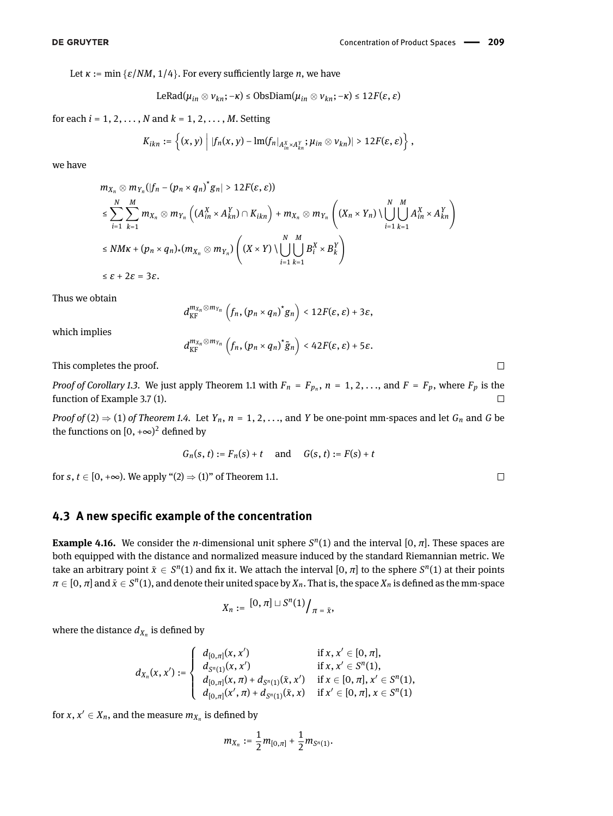Let  $\kappa := \min \{ \varepsilon / NM, 1/4 \}$ . For every sufficiently large *n*, we have

$$
\text{LeRad}(\mu_{in} \otimes \nu_{kn}; -\kappa) \leq \text{ObsDiam}(\mu_{in} \otimes \nu_{kn}; -\kappa) \leq 12F(\varepsilon, \varepsilon)
$$

for each *i* = 1, 2, *. . .* , *N* and *k* = 1, 2, *. . .* , *M*. Setting

$$
K_{ikn}:=\left\{(x,y)\,\Big|\,\|f_n(x,y)-\mathrm{Im}(f_n|_{A_{in}^X\rtimes A_{kn}^Y};\mu_{in}\otimes\nu_{kn})\|>12F(\varepsilon,\varepsilon)\right\},\,
$$

we have

$$
m_{X_n} \otimes m_{Y_n}(|f_n - (p_n \times q_n)^* g_n| > 12F(\varepsilon, \varepsilon))
$$
  
\n
$$
\leq \sum_{i=1}^N \sum_{k=1}^M m_{X_n} \otimes m_{Y_n} \left( (A_{in}^X \times A_{kn}^Y) \cap K_{ikn} \right) + m_{X_n} \otimes m_{Y_n} \left( (X_n \times Y_n) \setminus \bigcup_{i=1}^N \bigcup_{k=1}^M A_{in}^X \times A_{kn}^Y \right)
$$
  
\n
$$
\leq NMK + (p_n \times q_n) \times (m_{X_n} \otimes m_{Y_n}) \left( (X \times Y) \setminus \bigcup_{i=1}^N \bigcup_{k=1}^M B_i^X \times B_k^Y \right)
$$
  
\n
$$
\leq \varepsilon + 2\varepsilon = 3\varepsilon.
$$

Thus we obtain

$$
d_{\text{KF}}^{m_{X_n}\otimes m_{Y_n}}\left(f_n,\left(p_n\times q_n\right)^*g_n\right)<12F(\varepsilon,\varepsilon)+3\varepsilon,
$$

which implies

 $d_{\textrm{KF}}^{m_{X_n} \otimes m_{Y_n}}\left(f_n, \left(p_n \times q_n\right)^* \tilde{g}_n\right) < 42F(\varepsilon, \varepsilon) + 5\varepsilon.$ 

This completes the proof.

*Proof of Corollary [1.3.](#page-2-3)* We just apply Theorem [1.1](#page-1-0) with  $F_n = F_{p_n}$ ,  $n = 1, 2, ...,$  and  $F = F_p$ , where  $F_p$  is the function of Example [3.7](#page-7-1) [\(1\)](#page-7-2).  $\Box$ 

*Proof of* [\(2\)](#page-2-0)  $\Rightarrow$  [\(1\)](#page-2-1) *of Theorem [1.4.](#page-2-2)* Let *Y<sub>n</sub>*, *n* = 1, 2, ..., and *Y* be one-point mm-spaces and let *G<sub>n</sub>* and *G* be the functions on  $[0, +\infty)^2$  defined by

$$
G_n(s, t) := F_n(s) + t
$$
 and  $G(s, t) := F(s) + t$ 

for *s*,  $t \in [0, +\infty)$ . We apply "[\(2\)](#page-1-2)  $\Rightarrow$  [\(1\)](#page-1-3)" of Theorem [1.1.](#page-1-0)

# **4.3 A new specific example of the concentration**

<span id="page-23-0"></span>**Example 4.16.** We consider the *n*-dimensional unit sphere  $S<sup>n</sup>(1)$  and the interval [0,  $\pi$ ]. These spaces are both equipped with the distance and normalized measure induced by the standard Riemannian metric. We take an arbitrary point  $\bar{x} \in S^n(1)$  and fix it. We attach the interval  $[0, \pi]$  to the sphere  $S^n(1)$  at their points  $\pi\in[0,\pi]$  and  $\bar{x}\in S^n(1)$ , and denote their united space by  $X_n$ . That is, the space  $X_n$  is defined as the mm-space

$$
X_n:=\left[0,\pi\right]\sqcup S^n(1)\big/_{\pi=\bar x},
$$

where the distance  $d_{X_n}$  is defined by

$$
d_{X_n}(x,x'):=\left\{\begin{array}{ll} d_{[0,\pi]}(x,x') & \text{if } x,x'\in [0,\pi],\\ d_{S^n(1)}(x,x') & \text{if } x,x'\in S^n(1),\\ d_{[0,\pi]}(x,\pi)+d_{S^n(1)}(\bar x,x') & \text{if } x\in [0,\pi], x'\in S^n(1),\\ d_{[0,\pi]}(x',\pi)+d_{S^n(1)}(\bar x,x) & \text{if } x'\in [0,\pi], x\in S^n(1)\end{array}\right.
$$

for  $x, x' \in X_n$ , and the measure  $m_{X_n}$  is defined by

$$
m_{X_n}:=\frac{1}{2}m_{[0,\pi]}+\frac{1}{2}m_{S^n(1)}.
$$

$$
\Box
$$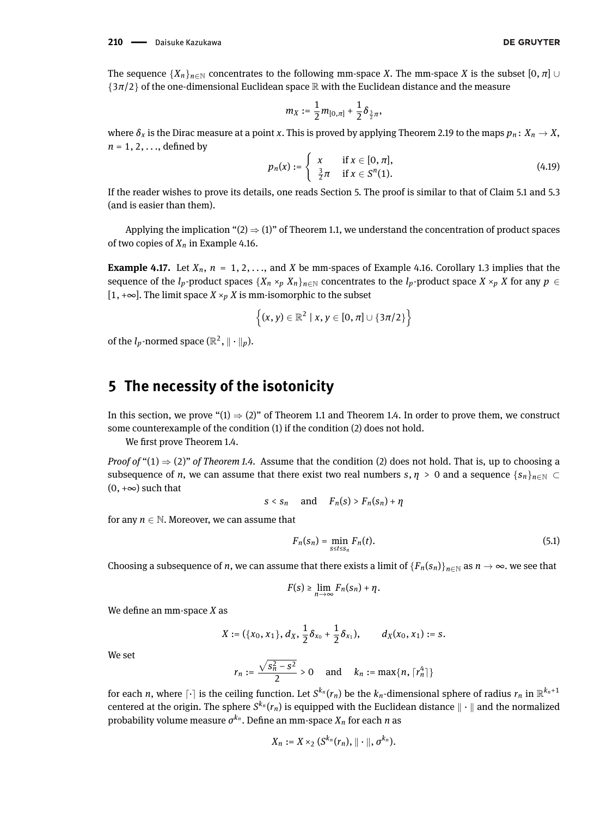The sequence  $\{X_n\}_{n\in\mathbb{N}}$  concentrates to the following mm-space *X*. The mm-space *X* is the subset  $[0, \pi]$  ∪  $\{3\pi/2\}$  of the one-dimensional Euclidean space R with the Euclidean distance and the measure

$$
m_X:=\frac{1}{2}m_{[0,\pi]}+\frac{1}{2}\delta_{\frac{3}{2}\pi},
$$

where  $\delta_x$  is the Dirac measure at a point *x*. This is proved by applying Theorem [2.19](#page-5-1) to the maps  $p_n: X_n \to X$ ,  $n = 1, 2, \ldots$ , defined by

$$
p_n(x) := \begin{cases} x & \text{if } x \in [0, \pi], \\ \frac{3}{2}\pi & \text{if } x \in S^n(1). \end{cases}
$$
 (4.19)

If the reader wishes to prove its details, one reads Section 5. The proof is similar to that of Claim [5.1](#page-25-0) and [5.3](#page-27-0) (and is easier than them).

Applying the implication " $(2) \Rightarrow (1)$  $(2) \Rightarrow (1)$  $(2) \Rightarrow (1)$ " of Theorem [1.1,](#page-1-0) we understand the concentration of product spaces of two copies of  $X_n$  in Example [4.16.](#page-23-0)

**Example 4.17.** Let  $X_n$ ,  $n = 1, 2, \ldots$ , and *X* be mm-spaces of Example [4.16.](#page-23-0) Corollary [1.3](#page-2-3) implies that the sequence of the *l<sub>p</sub>*-product spaces  $\{X_n \times_p X_n\}_{n \in \mathbb{N}}$  concentrates to the *l<sub>p</sub>*-product space  $X \times_p X$  for any  $p \in$ [1,  $+∞$ ]. The limit space *X* ×<sub>*p</sub> X* is mm-isomorphic to the subset</sub>

$$
\left\{(x,y)\in\mathbb{R}^2\mid x,y\in[0,\pi]\cup\{3\pi/2\}\right\}
$$

of the  $l_p$ -normed space ( $\mathbb{R}^2$ ,  $\|\cdot\|_p$ ).

# **5 The necessity of the isotonicity**

In this section, we prove " $(1) \Rightarrow (2)$  $(1) \Rightarrow (2)$  $(1) \Rightarrow (2)$ " of Theorem [1.1](#page-1-0) and Theorem [1.4.](#page-2-2) In order to prove them, we construct some counterexample of the condition [\(1\)](#page-1-3) if the condition [\(2\)](#page-1-2) does not hold.

We first prove Theorem [1.4.](#page-2-2)

*Proof of* " $(1) \Rightarrow (2)$  $(1) \Rightarrow (2)$  $(1) \Rightarrow (2)$ " *of Theorem [1.4.](#page-2-2)* Assume that the condition (2) does not hold. That is, up to choosing a subsequence of *n*, we can assume that there exist two real numbers  $s, \eta > 0$  and a sequence  $\{s_n\}_{n\in\mathbb{N}} \subset$  $(0, +\infty)$  such that

$$
s < s_n \quad \text{and} \quad F_n(s) > F_n(s_n) + \eta
$$

for any  $n \in \mathbb{N}$ . Moreover, we can assume that

<span id="page-24-0"></span>
$$
F_n(s_n) = \min_{s \le t \le s_n} F_n(t). \tag{5.1}
$$

Choosing a subsequence of *n*, we can assume that there exists a limit of  ${F_n(s_n)}_{n\in\mathbb{N}}$  as  $n \to \infty$ . we see that

$$
F(s) \geq \lim_{n \to \infty} F_n(s_n) + \eta.
$$

We define an mm-space *X* as

$$
X := (\{x_0, x_1\}, d_X, \frac{1}{2}\delta_{x_0} + \frac{1}{2}\delta_{x_1}), \qquad d_X(x_0, x_1) := s.
$$

We set

$$
r_n := \frac{\sqrt{s_n^2 - s^2}}{2} > 0 \quad \text{ and } \quad k_n := \max\{n, \lceil r_n^4 \rceil\}
$$

for each *n*, where  $\lceil \cdot \rceil$  is the ceiling function. Let  $S^{k_n}(r_n)$  be the  $k_n$ -dimensional sphere of radius  $r_n$  in  $\mathbb{R}^{k_n+1}$ centered at the origin. The sphere  $S^{k_n}(r_n)$  is equipped with the Euclidean distance  $\|\cdot\|$  and the normalized probability volume measure  $\sigma^{k_n}.$  Define an mm-space  $X_n$  for each *n* as

$$
X_n:=X\times_2(S^{k_n}(r_n),\|\cdot\|,\sigma^{k_n}).
$$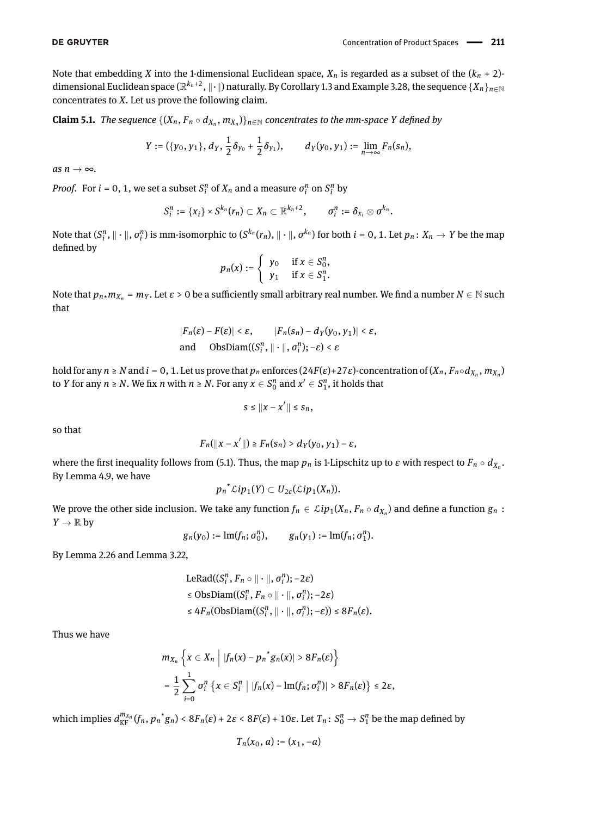Note that embedding *X* into the 1-dimensional Euclidean space,  $X_n$  is regarded as a subset of the  $(k_n + 2)$ dimensional Euclidean space ( $\R^{k_n+2}$ ,  $\|\cdot\|$ ) naturally. By Corollary [1.3](#page-2-3) and Example [3.28,](#page-13-3) the sequence  $\{X_n\}_{n\in\mathbb{N}}$ concentrates to *X*. Let us prove the following claim.

<span id="page-25-0"></span>**Claim 5.1.** *The sequence*  $\{(X_n, F_n \circ d_{X_n}, m_{X_n})\}_{n \in \mathbb{N}}$  concentrates to the mm-space Y defined by

$$
Y := (\{y_0, y_1\}, d_Y, \frac{1}{2}\delta_{y_0} + \frac{1}{2}\delta_{y_1}), \qquad d_Y(y_0, y_1) := \lim_{n \to \infty} F_n(s_n),
$$

 $as n \rightarrow \infty$ .

*Proof.* For  $i = 0, 1$ , we set a subset  $S_i^n$  of  $X_n$  and a measure  $\sigma_i^n$  on  $S_i^n$  by

$$
S_i^n := \{x_i\} \times S^{k_n}(r_n) \subset X_n \subset \mathbb{R}^{k_n+2}, \qquad \sigma_i^n := \delta_{x_i} \otimes \sigma^{k_n}.
$$

Note that  $(S_i^n, \|\cdot\|, \sigma_i^n)$  is mm-isomorphic to  $(S^{k_n}(r_n), \|\cdot\|, \sigma^{k_n})$  for both  $i=0,1.$  Let  $p_n\colon X_n\to Y$  be the map defined by

$$
p_n(x) := \begin{cases} y_0 & \text{if } x \in S_0^n, \\ y_1 & \text{if } x \in S_1^n. \end{cases}
$$

Note that  $p_n$ *x* $m_{X_n}$  =  $m_Y$ . Let  $\varepsilon > 0$  be a sufficiently small arbitrary real number. We find a number  $N \in \mathbb{N}$  such that

$$
|F_n(\varepsilon) - F(\varepsilon)| < \varepsilon, \qquad |F_n(s_n) - d_Y(y_0, y_1)| < \varepsilon,
$$
\nand 
$$
\text{ObsDiam}((S_i^n, \|\cdot\|, \sigma_i^n); -\varepsilon) < \varepsilon
$$

hold for any  $n \ge N$  and  $i = 0, 1$ . Let us prove that  $p_n$  enforces (24F( $\varepsilon$ )+27 $\varepsilon$ )-concentration of ( $X_n$ ,  $F_n \circ d_{X_n}$ ,  $m_{X_n}$ ) to *Y* for any  $n \ge N$ . We fix *n* with  $n \ge N$ . For any  $x \in S_0^n$  and  $x' \in S_1^n$ , it holds that

$$
s\leq||x-x'||\leq s_n,
$$

so that

$$
F_n(||x-x'||) \geq F_n(s_n) > d_Y(y_0, y_1) - \varepsilon,
$$

where the first inequality follows from [\(5.1\)](#page-24-0). Thus, the map  $p_n$  is 1-Lipschitz up to  $\varepsilon$  with respect to  $F_n \circ d_{X_n}.$ By Lemma [4.9,](#page-17-1) we have

$$
{p_n}^{\star}\mathcal{L}{ip_1}(Y) \subset U_{2\varepsilon}(\mathcal{L}{ip_1}(X_n)).
$$

We prove the other side inclusion. We take any function  $f_n\in \mathcal{L}ip_1(X_n,F_n\circ d_{X_n})$  and define a function  $g_n$  :  $Y \to \mathbb{R}$  by

$$
g_n(y_0) := \text{Im}(f_n; \sigma_0^n), \qquad g_n(y_1) := \text{Im}(f_n; \sigma_1^n).
$$

By Lemma [2.26](#page-6-1) and Lemma [3.22,](#page-10-2)

$$
LeRad((S_i^n, F_n \circ || \cdot ||, \sigma_i^n); -2\varepsilon)
$$
  
\n
$$
\leq \text{ObsDiam}((S_i^n, F_n \circ || \cdot ||, \sigma_i^n); -2\varepsilon)
$$
  
\n
$$
\leq 4F_n(\text{ObsDiam}((S_i^n, || \cdot ||, \sigma_i^n); -\varepsilon)) \leq 8F_n(\varepsilon).
$$

Thus we have

$$
m_{X_n}\left\{x\in X_n \middle| |f_n(x)-p_n\right\}g_n(x)| > 8F_n(\varepsilon)\right\}
$$
  
=  $\frac{1}{2}\sum_{i=0}^1\sigma_i^n\left\{x\in S_i^n \middle| |f_n(x)-\text{Im}(f_n;\sigma_i^n)| > 8F_n(\varepsilon)\right\} \leq 2\varepsilon$ ,

which implies  $d_{\text{KF}}^{m_{X_n}}(f_n,p_n^*g_n) < 8F_n(\varepsilon) + 2\varepsilon < 8F(\varepsilon) + 10\varepsilon.$  Let  $T_n\colon S_0^n\to S_1^n$  be the map defined by

$$
T_n(x_0, a) := (x_1, -a)
$$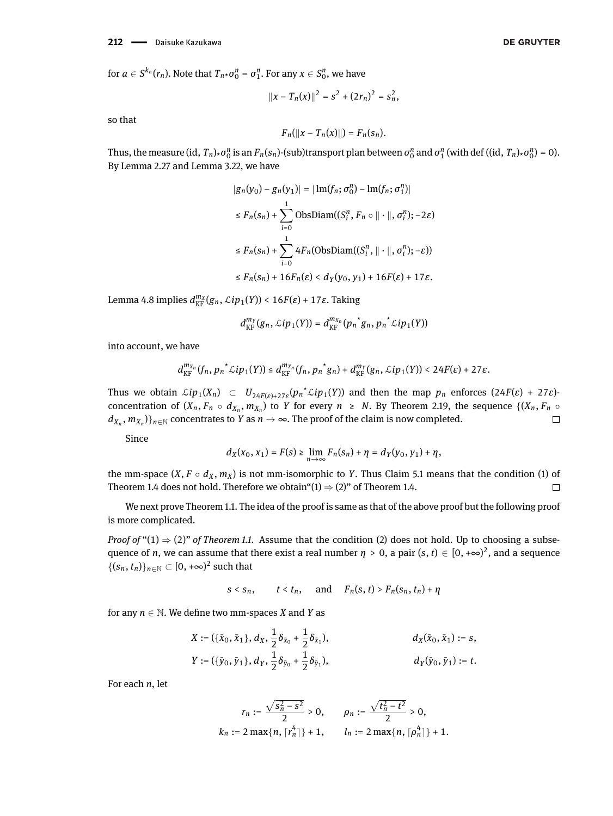$$
||x-T_n(x)||^2 = s^2 + (2r_n)^2 = s_n^2,
$$

so that

$$
F_n(||x - T_n(x)||) = F_n(s_n).
$$

Thus, the measure (id,  $T_n$ ) $\star \sigma_0^n$  is an  $F_n(s_n)$ -(sub)transport plan between  $\sigma_0^n$  and  $\sigma_1^n$  (with def ((id,  $T_n$ ) $\star \sigma_0^n$ ) = 0). By Lemma [2.27](#page-6-2) and Lemma [3.22,](#page-10-2) we have

$$
|g_n(y_0) - g_n(y_1)| = |\operatorname{Im}(f_n; \sigma_0^n) - \operatorname{Im}(f_n; \sigma_1^n)|
$$
  
\n
$$
\leq F_n(s_n) + \sum_{i=0}^1 \operatorname{ObsDiam}((S_i^n, F_n \circ || \cdot ||, \sigma_i^n); -2\varepsilon)
$$
  
\n
$$
\leq F_n(s_n) + \sum_{i=0}^1 4F_n(\operatorname{ObsDiam}((S_i^n, || \cdot ||, \sigma_i^n); -\varepsilon))
$$
  
\n
$$
\leq F_n(s_n) + 16F_n(\varepsilon) < d_Y(y_0, y_1) + 16F(\varepsilon) + 17\varepsilon.
$$

Lemma [4.8](#page-17-2) implies  $d_{\mathrm{KF}}^{m_X}(g_n, \mathcal{L}ip_1(Y)) < 16F(\varepsilon) + 17\varepsilon$ . Taking

$$
d_{\mathrm{KF}}^{m_Y}(g_n,\mathcal{L}ip_1(Y))=d_{\mathrm{KF}}^{m_{X_n}}(p_n\big\uparrow g_n,p_n\big\uparrow\mathcal{L}ip_1(Y))
$$

into account, we have

$$
d_{\mathrm{KF}}^{m_{X_n}}(f_n, {p_n}^{\star}\mathcal{L}ip_1(Y)) \leq d_{\mathrm{KF}}^{m_{X_n}}(f_n, {p_n}^{\star}g_n) + d_{\mathrm{KF}}^{m_Y}(g_n, \mathcal{L}ip_1(Y)) < 24F(\varepsilon) + 27\varepsilon.
$$

Thus we obtain  $\mathcal{L}ip_1(X_n) \subset U_{24F(\varepsilon)+27\varepsilon}(p_n \times \mathcal{L}ip_1(Y))$  and then the map  $p_n$  enforces  $(24F(\varepsilon)+27\varepsilon)$ concentration of  $(X_n, F_n \circ d_{X_n}, m_{X_n})$  to *Y* for every  $n \geq N$ . By Theorem [2.19,](#page-5-1) the sequence  $\{(X_n, F_n \circ d_{X_n}, m_{X_n})\}$  $d_{X_n}, m_{X_n})\}_{n\in\mathbb{N}}$  concentrates to  $Y$  as  $n\to\infty.$  The proof of the claim is now completed.  $\Box$ 

Since

$$
d_X(x_0, x_1) = F(s) \ge \lim_{n \to \infty} F_n(s_n) + \eta = d_Y(y_0, y_1) + \eta,
$$

the mm-space  $(X, F \circ d_X, m_X)$  is not mm-isomorphic to *Y*. Thus Claim [5.1](#page-25-0) means that the condition [\(1\)](#page-2-1) of Theorem [1.4](#page-2-2) does not hold. Therefore we obtain"[\(1\)](#page-2-1)  $\Rightarrow$  [\(2\)](#page-2-0)" of Theorem [1.4.](#page-2-2)  $\Box$ 

We next prove Theorem [1.1.](#page-1-0) The idea of the proof is same as that of the above proof but the following proof is more complicated.

*Proof of* " $(1) \Rightarrow (2)$  $(1) \Rightarrow (2)$  $(1) \Rightarrow (2)$ " *of Theorem [1.1.](#page-1-0)* Assume that the condition (2) does not hold. Up to choosing a subsequence of *n*, we can assume that there exist a real number  $\eta > 0$ , a pair  $(s, t) \in [0, +\infty)^2$ , and a sequence  $\{(s_n, t_n)\}_{n \in \mathbb{N}} \subset [0, +\infty)^2$  such that

$$
s < s_n, \qquad t < t_n, \quad \text{and} \quad F_n(s, t) > F_n(s_n, t_n) + \eta
$$

for any  $n \in \mathbb{N}$ . We define two mm-spaces *X* and *Y* as

$$
X := (\{\bar{x}_0, \bar{x}_1\}, d_X, \frac{1}{2}\delta_{\bar{x}_0} + \frac{1}{2}\delta_{\bar{x}_1}),
$$
  
\n
$$
d_X(\bar{x}_0, \bar{x}_1) := s,
$$
  
\n
$$
Y := (\{\bar{y}_0, \bar{y}_1\}, d_Y, \frac{1}{2}\delta_{\bar{y}_0} + \frac{1}{2}\delta_{\bar{y}_1}),
$$
  
\n
$$
d_Y(\bar{y}_0, \bar{y}_1) := t.
$$

For each *n*, let

$$
r_n := \frac{\sqrt{s_n^2 - s^2}}{2} > 0, \qquad \rho_n := \frac{\sqrt{t_n^2 - t^2}}{2} > 0,
$$
  

$$
k_n := 2 \max\{n, \lceil r_n^4 \rceil\} + 1, \qquad l_n := 2 \max\{n, \lceil \rho_n^4 \rceil\} + 1.
$$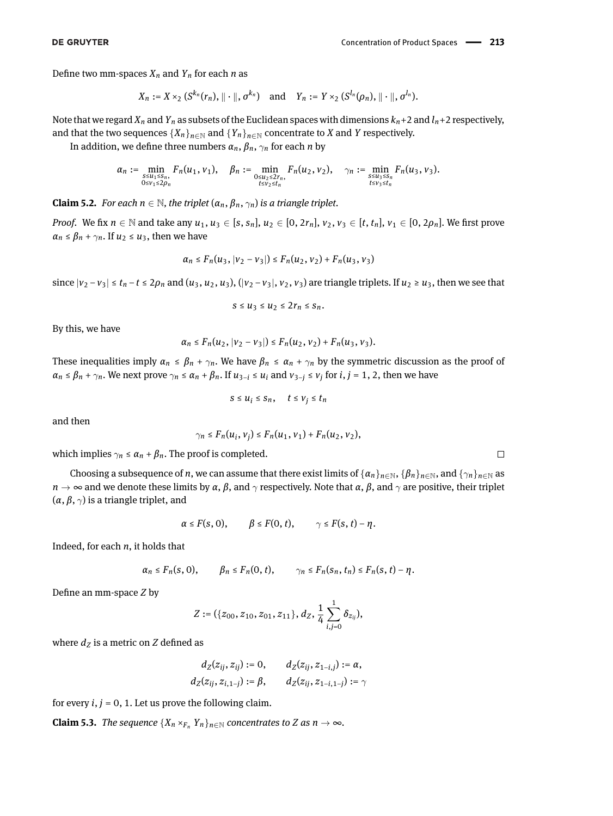Define two mm-spaces  $X_n$  and  $Y_n$  for each *n* as

$$
X_n := X \times_2 (S^{k_n}(r_n), \|\cdot\|, \sigma^{k_n}) \quad \text{and} \quad Y_n := Y \times_2 (S^{l_n}(\rho_n), \|\cdot\|, \sigma^{l_n}).
$$

Note that we regard  $X_n$  and  $Y_n$  as subsets of the Euclidean spaces with dimensions  $k_n+2$  and  $l_n+2$  respectively, and that the two sequences  ${X_n}_{n \in \mathbb{N}}$  and  ${Y_n}_{n \in \mathbb{N}}$  concentrate to *X* and *Y* respectively.

In addition, we define three numbers  $\alpha_n$ ,  $\beta_n$ ,  $\gamma_n$  for each *n* by

$$
\alpha_n := \min_{\substack{s \leq u_1 \leq s_n, \\ 0 \leq v_1 \leq 2\rho_n}} F_n(u_1, v_1), \quad \beta_n := \min_{\substack{0 \leq u_2 \leq 2r_n, \\ t \leq v_2 \leq t_n}} F_n(u_2, v_2), \quad \gamma_n := \min_{\substack{s \leq u_3 \leq s_n \\ t \leq v_3 \leq t_n}} F_n(u_3, v_3).
$$

**Claim 5.2.** *For each*  $n \in \mathbb{N}$ , the triplet  $(\alpha_n, \beta_n, \gamma_n)$  is a triangle triplet.

*Proof.* We fix  $n \in \mathbb{N}$  and take any  $u_1, u_3 \in [s, s_n]$ ,  $u_2 \in [0, 2r_n]$ ,  $v_2, v_3 \in [t, t_n]$ ,  $v_1 \in [0, 2\rho_n]$ . We first prove  $\alpha_n \leq \beta_n + \gamma_n$ . If  $u_2 \leq u_3$ , then we have

$$
\alpha_n \leq F_n(u_3, |v_2 - v_3|) \leq F_n(u_2, v_2) + F_n(u_3, v_3)
$$

since  $|v_2 - v_3| \le t_n - t \le 2\rho_n$  and  $(u_3, u_2, u_3)$ ,  $(|v_2 - v_3|, v_2, v_3)$  are triangle triplets. If  $u_2 \ge u_3$ , then we see that

$$
s\leq u_3\leq u_2\leq 2r_n\leq s_n.
$$

By this, we have

$$
\alpha_n \leq F_n(u_2, |v_2-v_3|) \leq F_n(u_2, v_2) + F_n(u_3, v_3).
$$

These inequalities imply  $\alpha_n \le \beta_n + \gamma_n$ . We have  $\beta_n \le \alpha_n + \gamma_n$  by the symmetric discussion as the proof of  $\alpha_n \leq \beta_n + \gamma_n$ . We next prove  $\gamma_n \leq \alpha_n + \beta_n$ . If  $u_{3-i} \leq u_i$  and  $v_{3-j} \leq v_j$  for  $i, j = 1, 2$ , then we have

$$
s \le u_i \le s_n, \quad t \le v_j \le t_n
$$

and then

$$
\gamma_n \le F_n(u_i, v_j) \le F_n(u_1, v_1) + F_n(u_2, v_2),
$$

which implies  $\gamma_n \leq \alpha_n + \beta_n$ . The proof is completed.

Choosing a subsequence of *n*, we can assume that there exist limits of  $\{\alpha_n\}_{n\in\mathbb{N}}$ ,  $\{\beta_n\}_{n\in\mathbb{N}}$ , and  $\{\gamma_n\}_{n\in\mathbb{N}}$  as *n* → ∞ and we denote these limits by *α*, *β*, and  $\gamma$  respectively. Note that *α*, *β*, and  $\gamma$  are positive, their triplet  $(\alpha, \beta, \gamma)$  is a triangle triplet, and

$$
\alpha \leq F(s, 0), \qquad \beta \leq F(0, t), \qquad \gamma \leq F(s, t) - \eta.
$$

Indeed, for each *n*, it holds that

$$
\alpha_n \leq F_n(s,0), \qquad \beta_n \leq F_n(0,t), \qquad \gamma_n \leq F_n(s_n,t_n) \leq F_n(s,t) - \eta.
$$

Define an mm-space *Z* by

$$
Z:=(\{z_{00},z_{10},z_{01},z_{11}\},d_Z,\frac{1}{4}\sum_{i,j=0}^1\delta_{z_{ij}}),
$$

where  $d_Z$  is a metric on  $Z$  defined as

$$
d_Z(z_{ij}, z_{ij}) := 0, \t d_Z(z_{ij}, z_{1-i,j}) := \alpha,
$$
  

$$
d_Z(z_{ij}, z_{i,1-j}) := \beta, \t d_Z(z_{ij}, z_{1-i,1-j}) := \gamma
$$

for every  $i, j = 0, 1$ . Let us prove the following claim.

<span id="page-27-0"></span>**Claim 5.3.** *The sequence*  $\{X_n \times_{F_n} Y_n\}_{n \in \mathbb{N}}$  *concentrates to Z as*  $n \to \infty$ *.*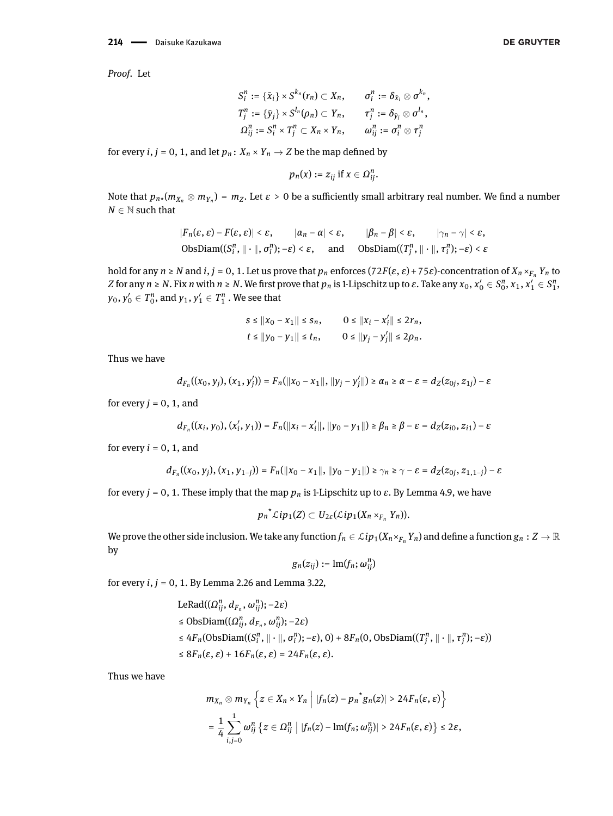$$
S_i^n := {\bar{x}_i} \times S^{k_n}(r_n) \subset X_n, \qquad \sigma_i^n := \delta_{\bar{x}_i} \otimes \sigma^{k_n},
$$
  
\n
$$
T_j^n := {\bar{y}_j} \times S^{l_n}(\rho_n) \subset Y_n, \qquad \tau_j^n := \delta_{\bar{y}_j} \otimes \sigma^{l_n},
$$
  
\n
$$
\Omega_{ij}^n := S_i^n \times T_j^n \subset X_n \times Y_n, \qquad \omega_{ij}^n := \sigma_i^n \otimes \tau_j^n
$$

for every *i*,  $j = 0, 1$ , and let  $p_n: X_n \times Y_n \to Z$  be the map defined by

$$
p_n(x) := z_{ij} \text{ if } x \in \Omega_{ij}^n.
$$

Note that  $p_{n\star}(m_{X_n}\otimes m_{Y_n})=m_Z.$  Let  $\varepsilon>0$  be a sufficiently small arbitrary real number. We find a number  $N \in \mathbb{N}$  such that

$$
|F_n(\varepsilon, \varepsilon) - F(\varepsilon, \varepsilon)| < \varepsilon, \qquad |\alpha_n - \alpha| < \varepsilon, \qquad |\beta_n - \beta| < \varepsilon, \qquad |\gamma_n - \gamma| < \varepsilon,
$$
\n
$$
\text{ObsDiam}((S_i^n, \|\cdot\|, \sigma_i^n); -\varepsilon) < \varepsilon, \qquad \text{and} \qquad \text{ObsDiam}((T_j^n, \|\cdot\|, \tau_i^n); -\varepsilon) < \varepsilon
$$

hold for any  $n \ge N$  and  $i, j = 0, 1$ . Let us prove that  $p_n$  enforces  $(72F(\varepsilon, \varepsilon) + 75\varepsilon)$ -concentration of  $X_n \times_{F_n} Y_n$  to Z for any  $n\ge N.$  Fix  $n$  with  $n\ge N.$  We first prove that  $p_n$  is 1-Lipschitz up to  $\varepsilon.$  Take any  $x_0,x_0'\in S_0^n, x_1,x_1'\in S_1^n,$  $y_0, y'_0 \in T_0^n$ , and  $y_1, y'_1 \in T_1^n$  . We see that

$$
s \le ||x_0 - x_1|| \le s_n, \qquad 0 \le ||x_i - x'_i|| \le 2r_n, \n t \le ||y_0 - y_1|| \le t_n, \qquad 0 \le ||y_j - y'_j|| \le 2\rho_n.
$$

Thus we have

$$
d_{F_n}((x_0, y_j), (x_1, y_j')) = F_n(\|x_0 - x_1\|, \|y_j - y_j'\|) \ge \alpha_n \ge \alpha - \varepsilon = d_Z(z_{0j}, z_{1j}) - \varepsilon
$$

for every  $j = 0, 1$ , and

$$
d_{F_n}((x_i,y_0),(x'_i,y_1)) = F_n(\|x_i-x'_i\|, \|y_0-y_1\|) \geq \beta_n \geq \beta - \varepsilon = d_Z(z_{i0},z_{i1}) - \varepsilon
$$

for every  $i = 0, 1$ , and

$$
d_{F_n}((x_0, y_j), (x_1, y_{1-j})) = F_n(\|x_0 - x_1\|, \|y_0 - y_1\|) \ge \gamma_n \ge \gamma - \varepsilon = d_Z(z_{0j}, z_{1, 1-j}) - \varepsilon
$$

for every *j* = 0, 1. These imply that the map *p<sup>n</sup>* is 1-Lipschitz up to *ε*. By Lemma [4.9,](#page-17-1) we have

$$
p_n\hat{\;} \mathcal{L}ip_1(Z)\subset U_{2\varepsilon}(\mathcal{L}ip_1(X_n\times_{F_n}Y_n)).
$$

We prove the other side inclusion. We take any function  $f_n \in \mathcal{L}ip_1(X_n \times_{F_n} Y_n)$  and define a function  $g_n : Z \to \mathbb{R}$ by

$$
g_n(z_{ij}):=\mathrm{lm}(f_n;\omega_{ij}^n)
$$

for every *i*, *j* = 0, 1. By Lemma [2.26](#page-6-1) and Lemma [3.22,](#page-10-2)

$$
\begin{aligned}\n\text{LeRad}((\Omega_{ij}^n, d_{F_n}, \omega_{ij}^n); -2\varepsilon) \\
&\leq \text{ObsDiam}((\Omega_{ij}^n, d_{F_n}, \omega_{ij}^n); -2\varepsilon) \\
&\leq 4F_n(\text{ObsDiam}((S_i^n, \|\cdot\|, \sigma_i^n); -\varepsilon), 0) + 8F_n(0, \text{ObsDiam}((T_j^n, \|\cdot\|, \tau_j^n); -\varepsilon)) \\
&\leq 8F_n(\varepsilon, \varepsilon) + 16F_n(\varepsilon, \varepsilon) = 24F_n(\varepsilon, \varepsilon).\n\end{aligned}
$$

Thus we have

$$
m_{X_n} \otimes m_{Y_n} \left\{ z \in X_n \times Y_n \middle| |f_n(z) - p_n^* g_n(z)| > 24 F_n(\varepsilon, \varepsilon) \right\}
$$
  
= 
$$
\frac{1}{4} \sum_{i,j=0}^1 \omega_{ij}^n \left\{ z \in \Omega_{ij}^n \middle| |f_n(z) - \text{Im}(f_n; \omega_{ij}^n)| > 24 F_n(\varepsilon, \varepsilon) \right\} \le 2\varepsilon,
$$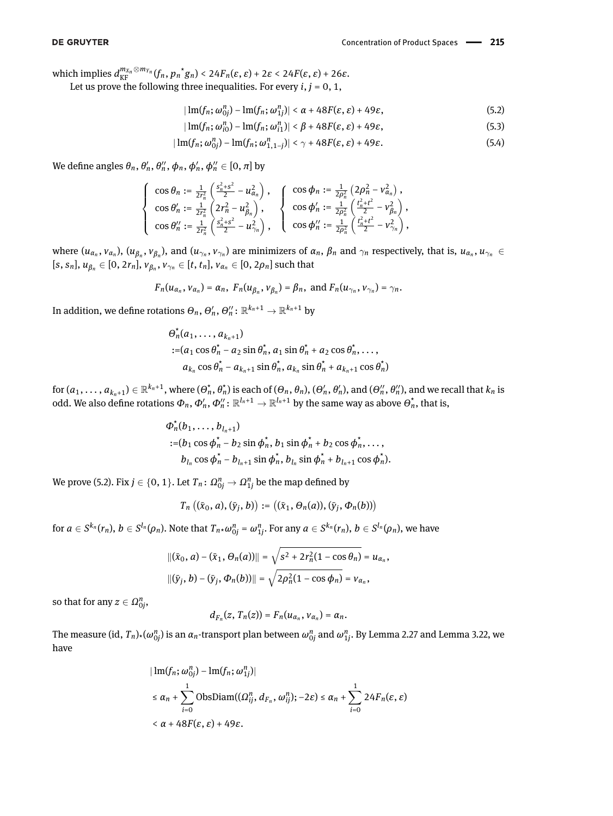$W$  which implies  $d_{\text{KF}}^{m_{X_n} \otimes m_{Y_n}}(f_n, p_n \circ g_n) < 24F_n(\varepsilon, \varepsilon) + 2\varepsilon < 24F(\varepsilon, \varepsilon) + 26\varepsilon$ .

Let us prove the following three inequalities. For every  $i, j = 0, 1$ ,

$$
|\operatorname{Im}(f_n; \omega_{0j}^n) - \operatorname{Im}(f_n; \omega_{1j}^n)| < \alpha + 48F(\varepsilon, \varepsilon) + 49\varepsilon,
$$
\n(5.2)

<span id="page-29-2"></span><span id="page-29-1"></span><span id="page-29-0"></span>
$$
|\operatorname{Im}(f_n; \omega_{i0}^n) - \operatorname{Im}(f_n; \omega_{i1}^n)| < \beta + 48F(\varepsilon, \varepsilon) + 49\varepsilon,
$$
\n(5.3)

$$
|\operatorname{Im}(f_n; \omega_{0j}^n) - \operatorname{Im}(f_n; \omega_{1,1-j}^n)| < \gamma + 48F(\varepsilon, \varepsilon) + 49\varepsilon.
$$
 (5.4)

We define angles  $\theta_n$ ,  $\theta_n'$ ,  $\theta_n''$ ,  $\phi_n$ ,  $\phi_n'$ ,  $\phi_n'' \in [0, \pi]$  by

$$
\left\{\begin{array}{l} \cos\theta_{n}:=\frac{1}{2r_{n}^{2}}\left(\frac{s_{n}^{2}+s^{2}}{2}-u_{\alpha_{n}}^{2}\right), \\ \cos\theta_{n}^{\prime}:=\frac{1}{2r_{n}^{2}}\left(2r_{n}^{2}-u_{\beta_{n}}^{2}\right), \\ \cos\theta_{n}^{\prime\prime}:=\frac{1}{2r_{n}^{2}}\left(\frac{s_{n}^{2}+s^{2}}{2}-u_{\gamma_{n}}^{2}\right), \end{array}\right\}\begin{array}{l} \cos\phi_{n}:=\frac{1}{2\rho_{n}^{2}}\left(2\rho_{n}^{2}-v_{\alpha_{n}}^{2}\right), \\ \cos\phi_{n}^{\prime}:=\frac{1}{2\rho_{n}^{2}}\left(\frac{t_{n}^{2}+t^{2}}{2}-v_{\beta_{n}}^{2}\right), \\ \cos\phi_{n}^{\prime\prime}:=\frac{1}{2\rho_{n}^{2}}\left(\frac{t_{n}^{2}+t^{2}}{2}-v_{\gamma_{n}}^{2}\right), \end{array}\right.
$$

where  $(u_{\alpha_n},v_{\alpha_n}),$   $(u_{\beta_n},v_{\beta_n}),$  and  $(u_{\gamma_n},v_{\gamma_n})$  are minimizers of  $\alpha_n,$   $\beta_n$  and  $\gamma_n$  respectively, that is,  $u_{\alpha_n},u_{\gamma_n}\in$  $[s, s_n], u_{\beta_n} \in [0, 2r_n], v_{\beta_n}, v_{\gamma_n} \in [t, t_n], v_{\alpha_n} \in [0, 2\rho_n]$  such that

$$
F_n(u_{\alpha_n},v_{\alpha_n})=\alpha_n, F_n(u_{\beta_n},v_{\beta_n})=\beta_n, \text{ and } F_n(u_{\gamma_n},v_{\gamma_n})=\gamma_n.
$$

In addition, we define rotations  $\varTheta_n, \varTheta'_n, \varTheta''_n \colon \mathbb{R}^{k_n+1} \to \mathbb{R}^{k_n+1}$  by

$$
\theta_n^*(a_1, \ldots, a_{k_n+1})
$$
  
:= $(a_1 \cos \theta_n^* - a_2 \sin \theta_n^*, a_1 \sin \theta_n^* + a_2 \cos \theta_n^*, \ldots,$   
 $a_{k_n} \cos \theta_n^* - a_{k_n+1} \sin \theta_n^*, a_{k_n} \sin \theta_n^* + a_{k_n+1} \cos \theta_n^*)$ 

for  $(a_1,\ldots,a_{k_n+1})\in\mathbb{R}^{k_n+1}$ , where  $(\theta_n^*,\theta_n^*)$  is each of  $(\theta_n,\theta_n),(\theta_n',\theta_n')$ , and  $(\theta_n'',\theta_n'')$ , and we recall that  $k_n$  is odd. We also define rotations  $\Phi_n,$   $\Phi'_n,$   $\Phi''_n\colon\R^{l_n+1}\to\R^{l_n+1}$  by the same way as above  $\Theta^{\star}_n$ , that is,

$$
\Phi_n^*(b_1, \ldots, b_{l_n+1})
$$
  
:= $(b_1 \cos \phi_n^* - b_2 \sin \phi_n^*, b_1 \sin \phi_n^* + b_2 \cos \phi_n^*, \ldots, b_{l_n} \cos \phi_n^* - b_{l_{n+1}} \sin \phi_n^*, b_{l_n} \sin \phi_n^* + b_{l_{n+1}} \cos \phi_n^*).$ 

We prove [\(5.2\)](#page-29-0). Fix  $j \in \{0, 1\}$ . Let  $T_n \colon \Omega_{0j}^n \to \Omega_{1j}^n$  be the map defined by

$$
T_n ((\bar{x}_0, a), (\bar{y}_j, b)) := ((\bar{x}_1, \Theta_n(a)), (\bar{y}_j, \Phi_n(b)))
$$

for  $a\in S^{k_n}(r_n),$   $b\in S^{l_n}(\rho_n).$  Note that  $T_n\star\omega_{0j}^n=\omega_{1j}^n.$  For any  $a\in S^{k_n}(r_n),$   $b\in S^{l_n}(\rho_n),$  we have

$$
||(\bar{x}_0, a) - (\bar{x}_1, \Theta_n(a))|| = \sqrt{s^2 + 2r_n^2(1 - \cos \theta_n)} = u_{\alpha_n},
$$
  

$$
||(\bar{y}_j, b) - (\bar{y}_j, \Phi_n(b))|| = \sqrt{2\rho_n^2(1 - \cos \Phi_n)} = v_{\alpha_n},
$$

so that for any  $z \in \Omega_{0j}^n$ ,

$$
d_{F_n}(z, T_n(z)) = F_n(u_{\alpha_n}, v_{\alpha_n}) = \alpha_n.
$$

The measure (id,  $T_n)$ \*( $\omega_{0j}^n$ ) is an  $\alpha_n$ -transport plan between  $\omega_{0j}^n$  and  $\omega_{1j}^n$ . By Lemma [2.27](#page-6-2) and Lemma [3.22,](#page-10-2) we have

$$
|\operatorname{Im}(f_n; \omega_{0j}^n) - \operatorname{Im}(f_n; \omega_{1j}^n)|
$$
  
\n
$$
\leq \alpha_n + \sum_{i=0}^1 \operatorname{ObsDiam}((\Omega_{ij}^n, d_{F_n}, \omega_{ij}^n); -2\varepsilon) \leq \alpha_n + \sum_{i=0}^1 24F_n(\varepsilon, \varepsilon)
$$
  
\n
$$
< \alpha + 48F(\varepsilon, \varepsilon) + 49\varepsilon.
$$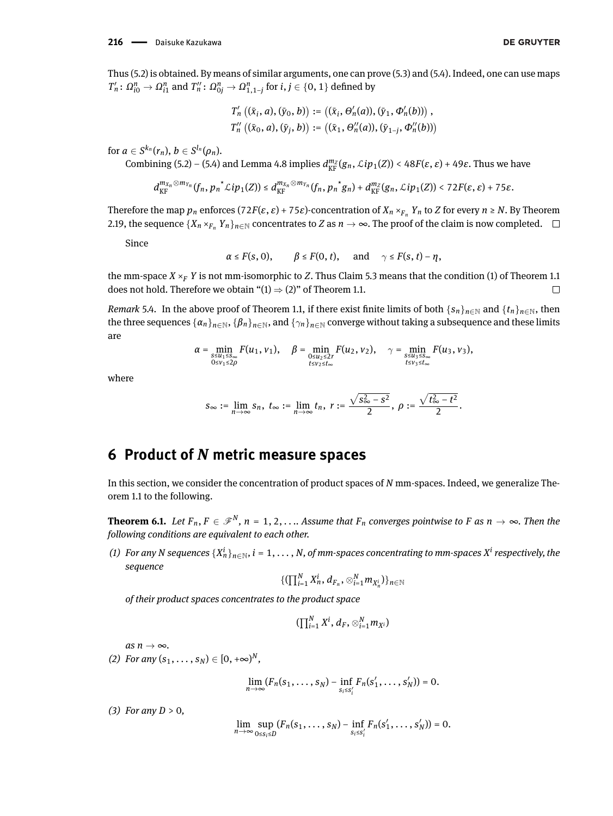Thus [\(5.2\)](#page-29-0) is obtained. By means of similar arguments, one can prove [\(5.3\)](#page-29-1) and [\(5.4\)](#page-29-2). Indeed, one can use maps  $T_n':\,\Omega_{i0}^n\to\Omega_{i1}^n$  and  $T_n'':\,\Omega_{0j}^n\to\Omega_{1,1-j}^n$  for  $i,j\in\{0,1\}$  defined by

$$
T'_{n} ((\bar{x}_{i}, a), (\bar{y}_{0}, b)) := ((\bar{x}_{i}, \Theta'_{n}(a)), (\bar{y}_{1}, \Phi'_{n}(b))) ,
$$
  

$$
T''_{n} ((\bar{x}_{0}, a), (\bar{y}_{j}, b)) := ((\bar{x}_{1}, \Theta''_{n}(a)), (\bar{y}_{1-j}, \Phi''_{n}(b)))
$$

for  $a \in S^{k_n}(r_n)$ ,  $b \in S^{l_n}(\rho_n)$ .

Combining [\(5.2\)](#page-29-0) – [\(5.4\)](#page-29-2) and Lemma [4.8](#page-17-2) implies  $d_{\text{KF}}^{m_Z}(g_n, \mathcal{L}ip_1(Z)) < 48F(\varepsilon, \varepsilon) + 49\varepsilon$ . Thus we have

$$
d_{\mathrm{KF}}^{m_{X_n}\otimes m_{Y_n}}(f_n,{p_n}^{\star}\mathcal{L}ip_1(Z))\leq d_{\mathrm{KF}}^{m_{X_n}\otimes m_{Y_n}}(f_n,{p_n}^{\star}g_n)+d_{\mathrm{KF}}^{m_Z}(g_n,\mathcal{L}ip_1(Z))<72F(\varepsilon,\varepsilon)+75\varepsilon.
$$

Therefore the map  $p_n$  enforces (72*F*( $\varepsilon$ ,  $\varepsilon$ ) + 75 $\varepsilon$ )-concentration of  $X_n \times_{F_n} Y_n$  to *Z* for every  $n \ge N$ . By Theorem [2.19,](#page-5-1) the sequence  $\{X_n \times_{F_n} Y_n\}_{n \in \mathbb{N}}$  concentrates to *Z* as  $n \to \infty$ . The proof of the claim is now completed.  $\Box$ 

Since

$$
\alpha \le F(s, 0), \qquad \beta \le F(0, t), \quad \text{and} \quad \gamma \le F(s, t) - \eta,
$$

the mm-space  $X \times_F Y$  is not mm-isomorphic to Z. Thus Claim [5.3](#page-27-0) means that the condition [\(1\)](#page-1-3) of Theorem [1.1](#page-1-0) does not hold. Therefore we obtain " $(1) \Rightarrow (2)$  $(1) \Rightarrow (2)$  $(1) \Rightarrow (2)$ " of Theorem [1.1.](#page-1-0)  $\Box$ 

*Remark* 5.4. In the above proof of Theorem [1.1,](#page-1-0) if there exist finite limits of both  $\{s_n\}_{n\in\mathbb{N}}$  and  $\{t_n\}_{n\in\mathbb{N}}$ , then the three sequences  $\{\alpha_n\}_{n\in\mathbb{N}}, \{\beta_n\}_{n\in\mathbb{N}}$ , and  $\{\gamma_n\}_{n\in\mathbb{N}}$  converge without taking a subsequence and these limits are

$$
\alpha = \min_{\substack{s \leq u_1 \leq s_\infty \\ 0 \leq v_1 \leq 2\rho}} F(u_1, v_1), \quad \beta = \min_{\substack{0 \leq u_2 \leq 2r \\ t \leq v_2 \leq t_\infty}} F(u_2, v_2), \quad \gamma = \min_{\substack{s \leq u_3 \leq s_\infty \\ t \leq v_3 \leq t_\infty}} F(u_3, v_3),
$$

where

$$
s_{\infty} := \lim_{n \to \infty} s_n, \ t_{\infty} := \lim_{n \to \infty} t_n, \ r := \frac{\sqrt{s_{\infty}^2 - s^2}}{2}, \ \rho := \frac{\sqrt{t_{\infty}^2 - t^2}}{2}.
$$

# **6 Product of** *N* **metric measure spaces**

In this section, we consider the concentration of product spaces of *N* mm-spaces. Indeed, we generalize Theorem [1.1](#page-1-0) to the following.

<span id="page-30-0"></span>**Theorem 6.1.** Let  $F_n, F \in \mathscr{F}^N$ ,  $n = 1, 2, ...$  Assume that  $F_n$  converges pointwise to F as  $n \to \infty$ . Then the *following conditions are equivalent to each other.*

(1) For any N sequences  $\{X_n^i\}_{n\in\mathbb{N}}, i=1,\ldots,N,$  of mm-spaces concentrating to mm-spaces  $X^i$  respectively, the *sequence*

$$
\{(\prod_{i=1}^N X_n^i, d_{F_n}, \otimes_{i=1}^N m_{X_n^i})\}_{n \in \mathbb{N}}
$$

*of their product spaces concentrates to the product space*

$$
(\prod_{i=1}^N X^i, d_F, \otimes_{i=1}^N m_{X^i})
$$

 $as n \rightarrow \infty$ .

*(2) For any*  $(s_1, \ldots, s_N) \in [0, +\infty)^N$ ,

$$
\lim_{n\to\infty}(F_n(s_1,\ldots,s_N)-\inf_{s_i\leq s'_i}F_n(s'_1,\ldots,s'_N))=0.
$$

*(3) For any D* > 0*,*

$$
\lim_{n\to\infty}\sup_{0\leq s_i\leq D}(F_n(s_1,\ldots,s_N)-\inf_{s_i\leq s'_i}F_n(s'_1,\ldots,s'_N))=0.
$$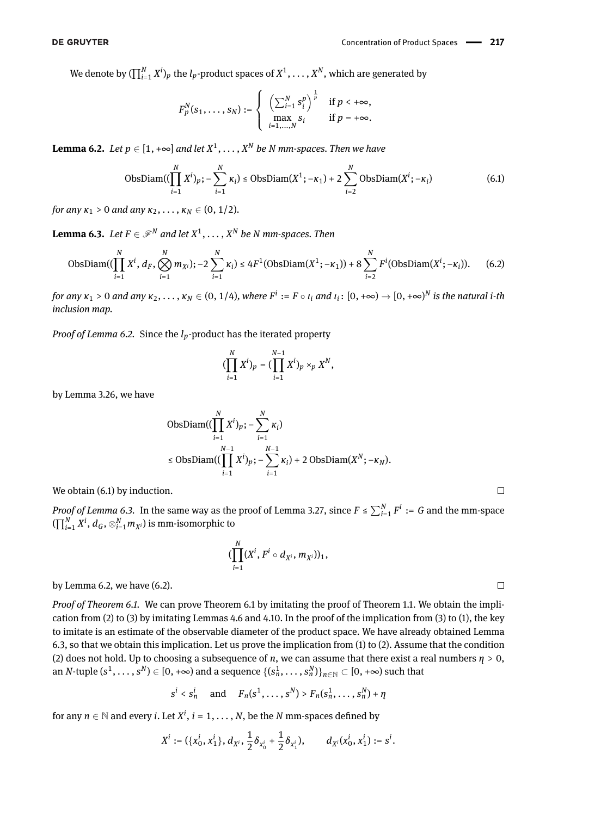$\Box$ 

 $\Box$ 

We denote by  $(\prod_{i=1}^N X^i)_p$  the  $l_p$ -product spaces of  $X^1,\ldots,X^N,$  which are generated by

<span id="page-31-1"></span>
$$
F_p^N(s_1,\ldots,s_N):=\left\{\begin{array}{cc}\left(\sum_{i=1}^N s_i^p\right)^{\frac{1}{p}}&\text{if }p<+\infty,\\ \max_{i=1,\ldots,N}s_i&\text{if }p=+\infty.\end{array}\right.
$$

<span id="page-31-0"></span>**Lemma 6.2.** Let  $p \in [1, +\infty]$  and let  $X^1, \ldots, X^N$  be N mm-spaces. Then we have

$$
ObsDiam((\prod_{i=1}^{N} X^{i})_{p}; -\sum_{i=1}^{N} \kappa_{i}) \leq ObsDiam(X^{1}; -\kappa_{1}) + 2\sum_{i=2}^{N} ObsDiam(X^{i}; -\kappa_{i})
$$
(6.1)

*for any*  $\kappa_1 > 0$  *and any*  $\kappa_2, \ldots, \kappa_N \in (0, 1/2)$ *.* 

<span id="page-31-2"></span>**Lemma 6.3.** Let  $F \in \mathscr{F}^N$  and let  $X^1, \ldots, X^N$  be N mm-spaces. Then

$$
\text{ObsDiam}((\prod_{i=1}^{N} X^{i}, d_{F}, \bigotimes_{i=1}^{N} m_{X^{i}}); -2 \sum_{i=1}^{N} \kappa_{i}) \leq 4F^{1}(\text{ObsDiam}(X^{1}; -\kappa_{1})) + 8 \sum_{i=2}^{N} F^{i}(\text{ObsDiam}(X^{i}; -\kappa_{i})).
$$
 (6.2)

for any  $\kappa_1>0$  and any  $\kappa_2,\ldots,\kappa_N\in(0,1/4),$  where  $F^i:=F\circ\iota_i$  and  $\iota_i\colon[0,+\infty)\to[0,+\infty)^N$  is the natural  $i$ -th *inclusion map.*

*Proof of Lemma [6.2.](#page-31-0)* Since the *lp*-product has the iterated property

<span id="page-31-3"></span>
$$
(\prod_{i=1}^N X^i)_p = (\prod_{i=1}^{N-1} X^i)_p \times_p X^N,
$$

by Lemma [3.26,](#page-11-2) we have

$$
\begin{aligned} \n\text{ObsDiam}((\prod_{i=1}^N X^i)_p; -\sum_{i=1}^N \kappa_i) \\ \n&\leq \text{ObsDiam}((\prod_{i=1}^{N-1} X^i)_p; -\sum_{i=1}^{N-1} \kappa_i) + 2 \text{ObsDiam}(X^N; -\kappa_N). \n\end{aligned}
$$

We obtain  $(6.1)$  by induction.

*Proof of Lemma* [6.3.](#page-31-2) In the same way as the proof of Lemma [3.27,](#page-12-1) since  $F \leq \sum_{i=1}^{N} F^i := G$  and the mm-space  $(\prod_{i=1}^N X^i, d_G, \otimes_{i=1}^N m_{X^i})$  is mm-isomorphic to

$$
(\prod_{i=1}^N (X^i, F^i \circ d_{X^i}, m_{X^i}))_1,
$$

by Lemma [6.2,](#page-31-0) we have [\(6.2\)](#page-31-3).

*Proof of Theorem [6.1.](#page-30-0)* We can prove Theorem [6.1](#page-30-0) by imitating the proof of Theorem [1.1.](#page-1-0) We obtain the implication from (2) to (3) by imitating Lemmas [4.6](#page-15-0) and [4.10.](#page-17-0) In the proof of the implication from (3) to (1), the key to imitate is an estimate of the observable diameter of the product space. We have already obtained Lemma [6.3,](#page-31-2) so that we obtain this implication. Let us prove the implication from (1) to (2). Assume that the condition (2) does not hold. Up to choosing a subsequence of *n*, we can assume that there exist a real numbers *η* > 0, an *N*-tuple  $(s^1,\ldots,s^N)\in[0,+\infty)$  and a sequence  $\{(s_n^1,\ldots,s_n^N)\}_{n\in\mathbb{N}}\subset[0,+\infty)$  such that

$$
s^i < s_n^i \quad \text{ and } \quad F_n(s^1, \ldots, s^N) > F_n(s_n^1, \ldots, s_n^N) + \eta
$$

for any  $n \in \mathbb{N}$  and every *i*. Let  $X^i$ ,  $i = 1, \ldots, N$ , be the  $N$  mm-spaces defined by

$$
X^i := (\{x_0^i, x_1^i\}, d_{X^i}, \frac{1}{2}\delta_{x_0^i} + \frac{1}{2}\delta_{x_1^i}), \qquad d_{X^i}(x_0^i, x_1^i) := s^i.
$$